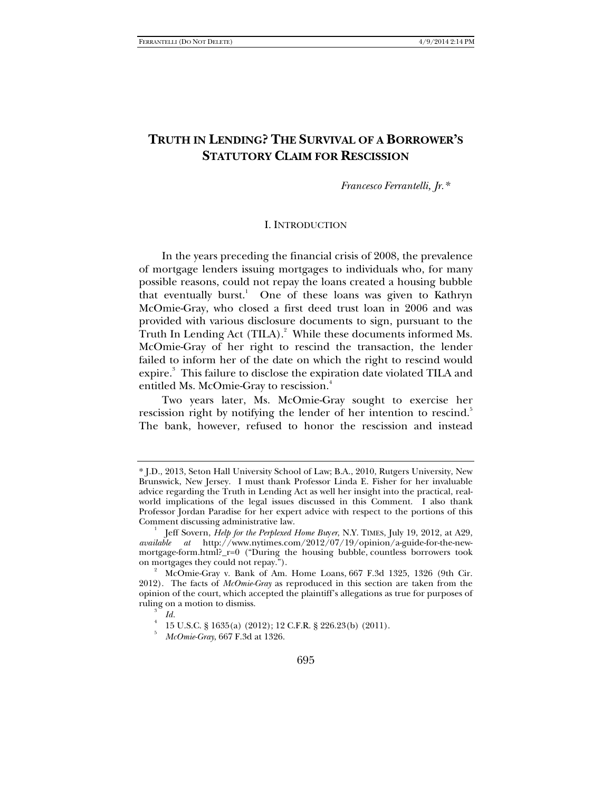# **TRUTH IN LENDING? THE SURVIVAL OF A BORROWER'S STATUTORY CLAIM FOR RESCISSION**

*Francesco Ferrantelli, Jr.\** 

## I. INTRODUCTION

In the years preceding the financial crisis of 2008, the prevalence of mortgage lenders issuing mortgages to individuals who, for many possible reasons, could not repay the loans created a housing bubble that eventually burst.<sup>1</sup> One of these loans was given to Kathryn McOmie-Gray, who closed a first deed trust loan in 2006 and was provided with various disclosure documents to sign, pursuant to the Truth In Lending Act (TILA).<sup>2</sup> While these documents informed Ms. McOmie-Gray of her right to rescind the transaction, the lender failed to inform her of the date on which the right to rescind would expire.<sup>3</sup> This failure to disclose the expiration date violated TILA and entitled Ms. McOmie-Gray to rescission.<sup>4</sup>

Two years later, Ms. McOmie-Gray sought to exercise her rescission right by notifying the lender of her intention to rescind.<sup>5</sup> The bank, however, refused to honor the rescission and instead

5

<sup>\*</sup> J.D., 2013, Seton Hall University School of Law; B.A., 2010, Rutgers University, New Brunswick, New Jersey. I must thank Professor Linda E. Fisher for her invaluable advice regarding the Truth in Lending Act as well her insight into the practical, realworld implications of the legal issues discussed in this Comment. I also thank Professor Jordan Paradise for her expert advice with respect to the portions of this Comment discussing administrative law. 1

Jeff Sovern, *Help for the Perplexed Home Bu*y*er*, N.Y. TIMES, July 19, 2012, at A29, *available at* http://www.nytimes.com/2012/07/19/opinion/a-guide-for-the-newmortgage-form.html?\_r=0 ("During the housing bubble, countless borrowers took on mortgages they could not repay."). 2

McOmie-Gray v. Bank of Am. Home Loans, 667 F.3d 1325, 1326 (9th Cir. 2012). The facts of *McOmie-Gray* as reproduced in this section are taken from the opinion of the court, which accepted the plaintiff's allegations as true for purposes of ruling on a motion to dismiss.

 $I_d$ 

 <sup>15</sup> U.S.C. § 1635(a) (2012); 12 C.F.R. § 226.23(b) (2011).

*McOmie-Gray*, 667 F.3d at 1326.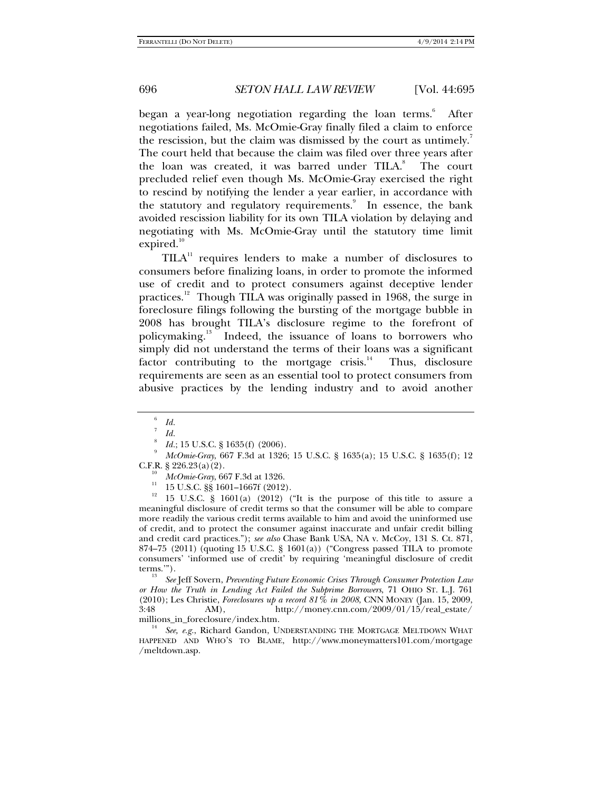began a year-long negotiation regarding the loan terms.<sup>6</sup> After negotiations failed, Ms. McOmie-Gray finally filed a claim to enforce the rescission, but the claim was dismissed by the court as untimely.<sup>7</sup> The court held that because the claim was filed over three years after the loan was created, it was barred under TILA.<sup>8</sup> The court precluded relief even though Ms. McOmie-Gray exercised the right to rescind by notifying the lender a year earlier, in accordance with the statutory and regulatory requirements.<sup>9</sup> In essence, the bank avoided rescission liability for its own TILA violation by delaying and negotiating with Ms. McOmie-Gray until the statutory time limit expired. $10$ 

 $TILA<sup>11</sup>$  requires lenders to make a number of disclosures to consumers before finalizing loans, in order to promote the informed use of credit and to protect consumers against deceptive lender practices.<sup>12</sup> Though TILA was originally passed in 1968, the surge in foreclosure filings following the bursting of the mortgage bubble in 2008 has brought TILA's disclosure regime to the forefront of policymaking.13 Indeed, the issuance of loans to borrowers who simply did not understand the terms of their loans was a significant factor contributing to the mortgage crisis. $14$  Thus, disclosure requirements are seen as an essential tool to protect consumers from abusive practices by the lending industry and to avoid another

*M* 15 U.S.C. §§ 1601–1667f (2012).<br><sup>12</sup> 15 U.S.C. § 1601(a) (2012) ("It is the purpose of this title to assure a meaningful disclosure of credit terms so that the consumer will be able to compare more readily the various credit terms available to him and avoid the uninformed use of credit, and to protect the consumer against inaccurate and unfair credit billing and credit card practices."); *see also* Chase Bank USA, NA v. McCoy, 131 S. Ct. 871,  $874-75$  (2011) (quoting 15 U.S.C. § 1601(a)) ("Congress passed TILA to promote consumers' 'informed use of credit' by requiring 'meaningful disclosure of credit

terms.'"). 13 *See* Jeff Sovern, *Preventing Future Economic Crises Through Consumer Protection Law or How the Truth in Lending Act Failed the Subprime Borrowers*, 71 OHIO ST. L.J. 761 (2010); Les Christie, *Foreclosures up a record 81% in 2008*, CNN MONEY (Jan. 15, 2009, 3:48 AM), http://money.cnn.com/2009/01/15/real\_estate/<br>millions\_in\_foreclosure/index.htm.

See, e.g., Richard Gandon, UNDERSTANDING THE MORTGAGE MELTDOWN WHAT HAPPENED AND WHO'S TO BLAME, http://www.moneymatters101.com/mortgage /meltdown.asp.

<sup>6</sup> *Id.* 

*Id.* 

*Id.*; 15 U.S.C. § 1635(f) (2006).

*McOmie-Gray*, 667 F.3d at 1326; 15 U.S.C. § 1635(a); 15 U.S.C. § 1635(f); 12 C.F.R. § 226.23(a)(2).<br><sup>10</sup> *McOmie-Gray*, 667 F.3d at 1326.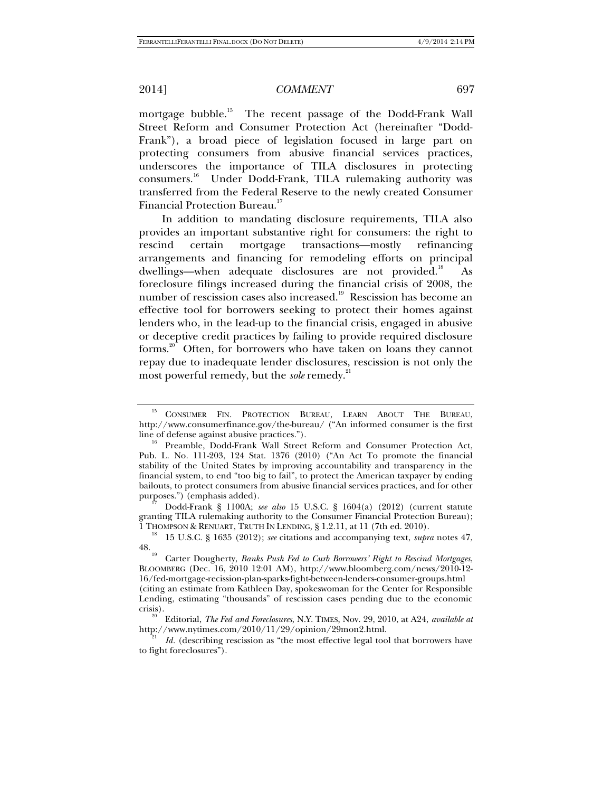mortgage bubble.<sup>15</sup> The recent passage of the Dodd-Frank Wall Street Reform and Consumer Protection Act (hereinafter "Dodd-Frank"), a broad piece of legislation focused in large part on protecting consumers from abusive financial services practices, underscores the importance of TILA disclosures in protecting consumers.16 Under Dodd-Frank, TILA rulemaking authority was transferred from the Federal Reserve to the newly created Consumer Financial Protection Bureau.<sup>17</sup>

In addition to mandating disclosure requirements, TILA also provides an important substantive right for consumers: the right to rescind certain mortgage transactions—mostly refinancing arrangements and financing for remodeling efforts on principal dwellings—when adequate disclosures are not provided.<sup>18</sup> As foreclosure filings increased during the financial crisis of 2008, the number of rescission cases also increased.<sup>19</sup> Rescission has become an effective tool for borrowers seeking to protect their homes against lenders who, in the lead-up to the financial crisis, engaged in abusive or deceptive credit practices by failing to provide required disclosure forms.<sup>20</sup> Often, for borrowers who have taken on loans they cannot repay due to inadequate lender disclosures, rescission is not only the most powerful remedy, but the *sole* remedy.<sup>2</sup>

granting TILA rulemaking authority to the Consumer Financial Protection Bureau);<br>1 THOMPSON & RENUART, TRUTH IN LENDING, § 1.2.11, at 11 (7th ed. 2010).

<sup>18</sup> 15 U.S.C. § 1635 (2012); *see* citations and accompanying text, *supra* notes 47, <br>48.

<sup>15</sup> CONSUMER FIN. PROTECTION BUREAU, LEARN ABOUT THE BUREAU, http://www.consumerfinance.gov/the-bureau/ ("An informed consumer is the first line of defense against abusive practices.").<br><sup>16</sup> Preamble, Dodd-Frank Wall Street Reform and Consumer Protection Act,

Pub. L. No. 111-203, 124 Stat. 1376 (2010) ("An Act To promote the financial stability of the United States by improving accountability and transparency in the financial system, to end "too big to fail", to protect the American taxpayer by ending bailouts, to protect consumers from abusive financial services practices, and for other purposes.") (emphasis added). 17 Dodd-Frank § 1100A; *see also* 15 U.S.C. § 1604(a) (2012) (current statute

<sup>48. 19</sup> Carter Dougherty, *Banks Push Fed to Curb Borrowers' Right to Rescind Mortgages*, BLOOMBERG (Dec. 16, 2010 12:01 AM), http://www.bloomberg.com/news/2010-12- 16/fed-mortgage-recission-plan-sparks-fight-between-lenders-consumer-groups.html (citing an estimate from Kathleen Day, spokeswoman for the Center for Responsible Lending, estimating "thousands" of rescission cases pending due to the economic

crisis). 20 Editorial, *The Fed and Foreclosures*, N.Y. TIMES, Nov. 29, 2010, at A24, *available at*

*Hd.* (describing rescission as "the most effective legal tool that borrowers have to fight foreclosures").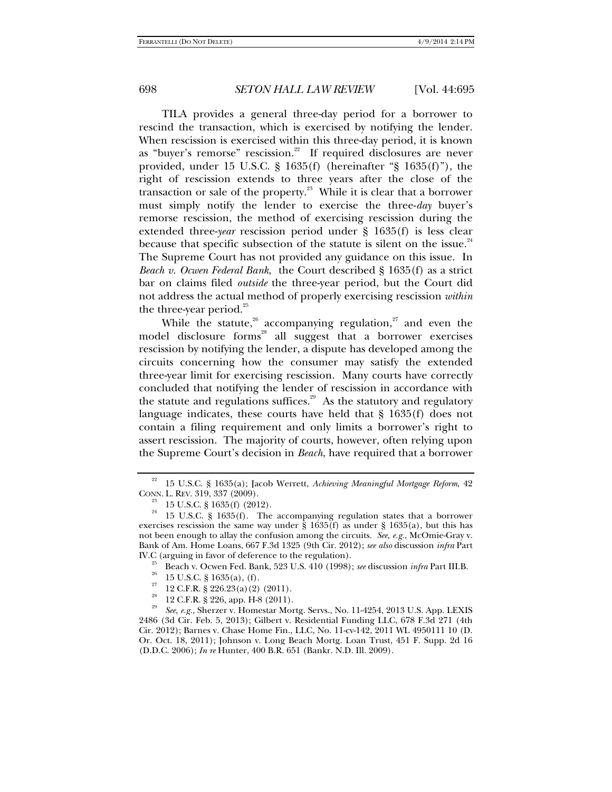TILA provides a general three-day period for a borrower to rescind the transaction, which is exercised by notifying the lender. When rescission is exercised within this three-day period, it is known as "buyer's remorse" rescission.<sup>22</sup> If required disclosures are never provided, under 15 U.S.C. § 1635(f) (hereinafter "§ 1635(f)"), the right of rescission extends to three years after the close of the transaction or sale of the property.<sup>23</sup> While it is clear that a borrower must simply notify the lender to exercise the three-*day* buyer's remorse rescission, the method of exercising rescission during the extended three-*year* rescission period under § 1635(f) is less clear because that specific subsection of the statute is silent on the issue. $24$ The Supreme Court has not provided any guidance on this issue. In *Beach v. Ocwen Federal Bank*, the Court described § 1635(f) as a strict bar on claims filed *outside* the three-year period, but the Court did not address the actual method of properly exercising rescission *within* the three-year period. $25$ 

While the statute, $26$  accompanying regulation, $27$  and even the model disclosure forms $^{28}$  all suggest that a borrower exercises rescission by notifying the lender, a dispute has developed among the circuits concerning how the consumer may satisfy the extended three-year limit for exercising rescission. Many courts have correctly concluded that notifying the lender of rescission in accordance with the statute and regulations suffices. $29$  As the statutory and regulatory language indicates, these courts have held that § 1635(f) does not contain a filing requirement and only limits a borrower's right to assert rescission. The majority of courts, however, often relying upon the Supreme Court's decision in *Beach*, have required that a borrower

29 *See, e.g.*, Sherzer v. Homestar Mortg. Servs., No. 11-4254, 2013 U.S. App. LEXIS 2486 (3d Cir. Feb. 5, 2013); Gilbert v. Residential Funding LLC, 678 F.3d 271 (4th Cir. 2012); Barnes v. Chase Home Fin., LLC, No. 11-cv-142, 2011 WL 4950111 10 (D. Or. Oct. 18, 2011); Johnson v. Long Beach Mortg. Loan Trust, 451 F. Supp. 2d 16 (D.D.C. 2006); *In re* Hunter, 400 B.R. 651 (Bankr. N.D. Ill. 2009).

<sup>&</sup>lt;sup>22</sup> 15 U.S.C. § 1635(a); Jacob Werrett, *Achieving Meaningful Mortgage Reform*, 42 CONN. L. REV. 319, 337 (2009).

<sup>15</sup> U.S.C. § 1635(f) (2012).

 $24$  15 U.S.C. § 1635(f). The accompanying regulation states that a borrower exercises rescission the same way under  $\S$  1635(f) as under  $\S$  1635(a), but this has not been enough to allay the confusion among the circuits. *See, e.g.*, McOmie-Gray v. Bank of Am. Home Loans, 667 F.3d 1325 (9th Cir. 2012); *see also* discussion *infra* Part

IV.C (arguing in favor of deference to the regulation).<br><sup>25</sup> Beach v. Ocwen Fed. Bank, 523 U.S. 410 (1998); *see* discussion *infra* Part III.B.<br><sup>26</sup> 15 U.S.C. § 1635(a), (f).<br><sup>27</sup> 19 C.E.B. § 986 98(a)(9), (9911).

<sup>27 12</sup> C.F.R. § 226.23(a)(2) (2011).

<sup>28 12</sup> C.F.R. § 226, app. H-8 (2011).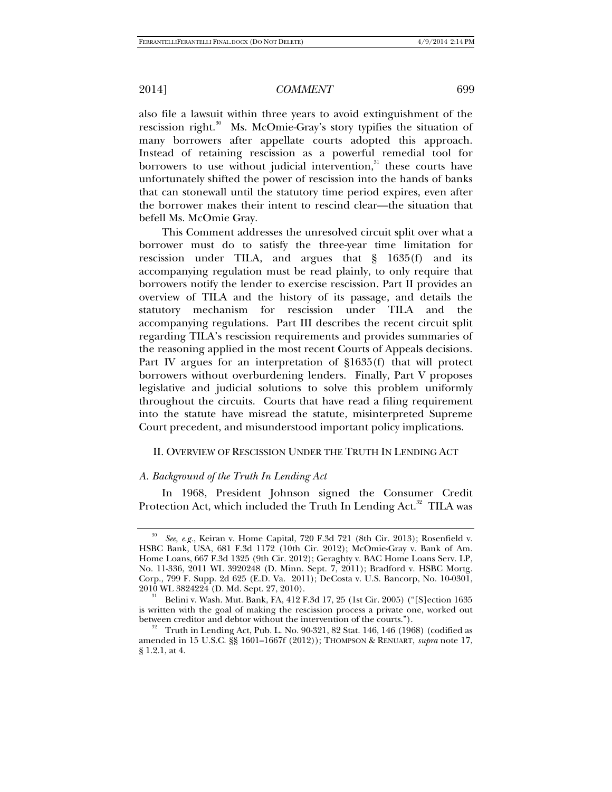also file a lawsuit within three years to avoid extinguishment of the rescission right.<sup>30</sup> Ms. McOmie-Gray's story typifies the situation of many borrowers after appellate courts adopted this approach. Instead of retaining rescission as a powerful remedial tool for borrowers to use without judicial intervention,<sup>31</sup> these courts have unfortunately shifted the power of rescission into the hands of banks that can stonewall until the statutory time period expires, even after the borrower makes their intent to rescind clear—the situation that befell Ms. McOmie Gray.

This Comment addresses the unresolved circuit split over what a borrower must do to satisfy the three-year time limitation for rescission under TILA, and argues that § 1635(f) and its accompanying regulation must be read plainly, to only require that borrowers notify the lender to exercise rescission. Part II provides an overview of TILA and the history of its passage, and details the statutory mechanism for rescission under TILA and the accompanying regulations. Part III describes the recent circuit split regarding TILA's rescission requirements and provides summaries of the reasoning applied in the most recent Courts of Appeals decisions. Part IV argues for an interpretation of §1635(f) that will protect borrowers without overburdening lenders. Finally, Part V proposes legislative and judicial solutions to solve this problem uniformly throughout the circuits. Courts that have read a filing requirement into the statute have misread the statute, misinterpreted Supreme Court precedent, and misunderstood important policy implications.

## II. OVERVIEW OF RESCISSION UNDER THE TRUTH IN LENDING ACT

#### *A. Background of the Truth In Lending Act*

In 1968, President Johnson signed the Consumer Credit Protection Act, which included the Truth In Lending Act.<sup>32</sup> TILA was

<sup>30</sup> *See, e.g.*, Keiran v. Home Capital, 720 F.3d 721 (8th Cir. 2013); Rosenfield v. HSBC Bank, USA, 681 F.3d 1172 (10th Cir. 2012); McOmie-Gray v. Bank of Am. Home Loans, 667 F.3d 1325 (9th Cir. 2012); Geraghty v. BAC Home Loans Serv. LP, No. 11-336, 2011 WL 3920248 (D. Minn. Sept. 7, 2011); Bradford v. HSBC Mortg. Corp., 799 F. Supp. 2d 625 (E.D. Va. 2011); DeCosta v. U.S. Bancorp, No. 10-0301,

 $31$  Belini v. Wash. Mut. Bank, FA, 412 F.3d 17, 25 (1st Cir. 2005) ("[S]ection 1635 is written with the goal of making the rescission process a private one, worked out between creditor and debtor without the intervention of the courts.").

Truth in Lending Act, Pub. L. No.  $90-321$ , 82 Stat. 146, 146 (1968) (codified as amended in 15 U.S.C. §§ 1601–1667f (2012)); THOMPSON & RENUART, *supra* note 17, § 1.2.1, at 4.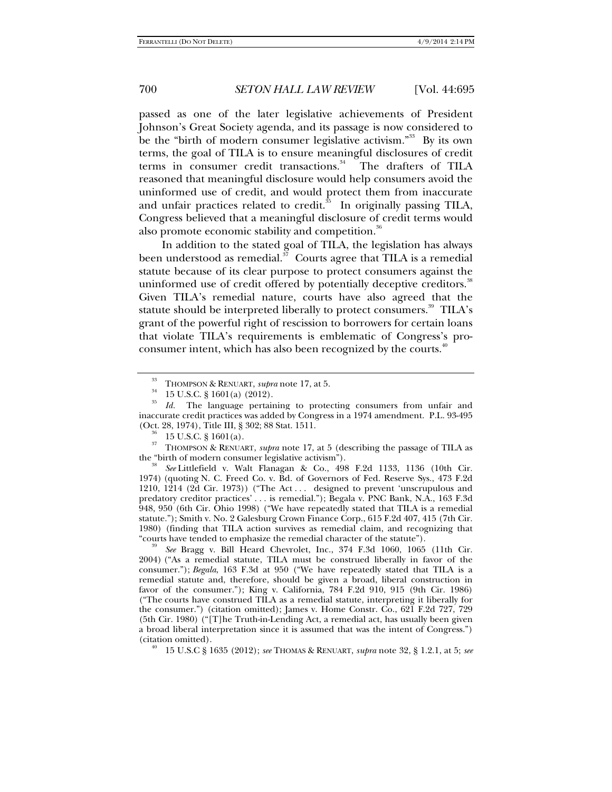passed as one of the later legislative achievements of President Johnson's Great Society agenda, and its passage is now considered to be the "birth of modern consumer legislative activism."<sup>33</sup> By its own terms, the goal of TILA is to ensure meaningful disclosures of credit terms in consumer credit transactions.<sup>34</sup> The drafters of TILA reasoned that meaningful disclosure would help consumers avoid the uninformed use of credit, and would protect them from inaccurate and unfair practices related to credit. $35$  In originally passing TILA, Congress believed that a meaningful disclosure of credit terms would also promote economic stability and competition.<sup>36</sup>

In addition to the stated goal of TILA, the legislation has always been understood as remedial. $3^7$  Courts agree that TILA is a remedial statute because of its clear purpose to protect consumers against the uninformed use of credit offered by potentially deceptive creditors.<sup>38</sup> Given TILA's remedial nature, courts have also agreed that the statute should be interpreted liberally to protect consumers.<sup>39</sup> TILA's grant of the powerful right of rescission to borrowers for certain loans that violate TILA's requirements is emblematic of Congress's proconsumer intent, which has also been recognized by the courts.<sup>40</sup>

<sup>37</sup> THOMPSON & RENUART, *supra* note 17, at 5 (describing the passage of TILA as the "birth of modern consumer legislative activism").

 *See* Littlefield v. Walt Flanagan & Co., 498 F.2d 1133, 1136 (10th Cir. 1974) (quoting N. C. Freed Co. v. Bd. of Governors of Fed. Reserve Sys., 473 F.2d 1210, 1214 (2d Cir. 1973)) ("The Act . . . designed to prevent 'unscrupulous and predatory creditor practices' . . . is remedial."); Begala v. PNC Bank, N.A., 163 F.3d 948, 950 (6th Cir. Ohio 1998) ("We have repeatedly stated that TILA is a remedial statute."); Smith v. No. 2 Galesburg Crown Finance Corp., 615 F.2d 407, 415 (7th Cir. 1980) (finding that TILA action survives as remedial claim, and recognizing that "courts have tended to emphasize the remedial character of the statute").

See Bragg v. Bill Heard Chevrolet, Inc., 374 F.3d 1060, 1065 (11th Cir. 2004) ("As a remedial statute, TILA must be construed liberally in favor of the consumer."); *Begala*, 163 F.3d at 950 ("We have repeatedly stated that TILA is a remedial statute and, therefore, should be given a broad, liberal construction in favor of the consumer."); King v. California, 784 F.2d 910, 915 (9th Cir. 1986) ("The courts have construed TILA as a remedial statute, interpreting it liberally for the consumer.") (citation omitted); James v. Home Constr. Co., 621 F.2d 727, 729 (5th Cir. 1980) ("[T]he Truth-in-Lending Act, a remedial act, has usually been given a broad liberal interpretation since it is assumed that was the intent of Congress.") (citation omitted). 40 15 U.S.C § 1635 (2012); *see* THOMAS & RENUART, *supra* note 32, § 1.2.1, at 5; *see*

<sup>&</sup>lt;sup>33</sup> THOMPSON & RENUART, *supra* note 17, at 5.<br><sup>34</sup> 15 U.S.C. § 1601(a) (2012).

<sup>35</sup> *Id.* The language pertaining to protecting consumers from unfair and inaccurate credit practices was added by Congress in a 1974 amendment. P.L. 93-495 (Oct. 28, 1974), Title III, § 302; 88 Stat. 1511. 36 15 U.S.C. § 1601(a).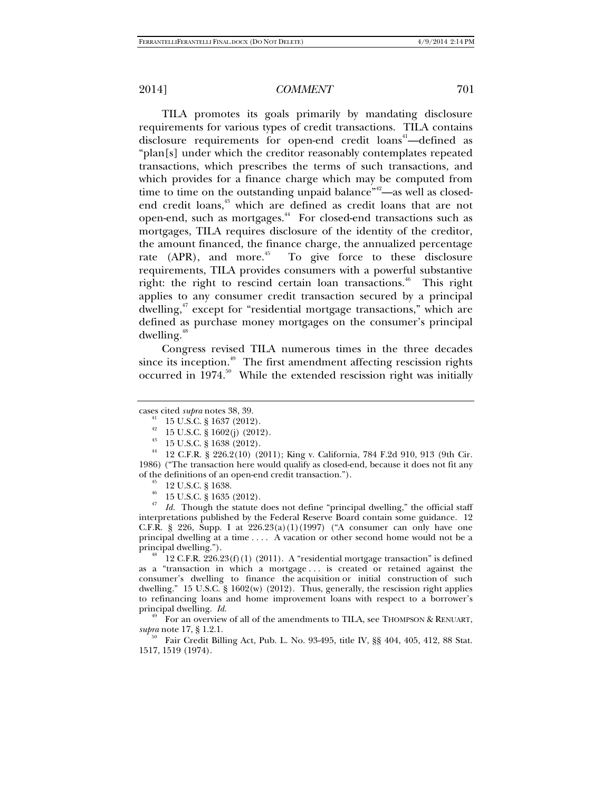TILA promotes its goals primarily by mandating disclosure requirements for various types of credit transactions. TILA contains disclosure requirements for open-end credit loans<sup>41</sup>—defined as "plan[s] under which the creditor reasonably contemplates repeated transactions, which prescribes the terms of such transactions, and which provides for a finance charge which may be computed from time to time on the outstanding unpaid balance"<sup>42</sup>—as well as closedend credit loans,<sup>43</sup> which are defined as credit loans that are not open-end, such as mortgages.44 For closed-end transactions such as mortgages, TILA requires disclosure of the identity of the creditor, the amount financed, the finance charge, the annualized percentage rate  $(APR)$ , and more.<sup>45</sup> To give force to these disclosure requirements, TILA provides consumers with a powerful substantive right: the right to rescind certain loan transactions.<sup>46</sup> This right applies to any consumer credit transaction secured by a principal dwelling, $\frac{47}{1}$  except for "residential mortgage transactions," which are defined as purchase money mortgages on the consumer's principal  $dwelling.<sup>48</sup>$ 

Congress revised TILA numerous times in the three decades since its inception.<sup>49</sup> The first amendment affecting rescission rights occurred in  $1974$ <sup>50</sup>. While the extended rescission right was initially

 *Id.* Though the statute does not define "principal dwelling," the official staff interpretations published by the Federal Reserve Board contain some guidance. 12 C.F.R. § 226, Supp. I at  $226.23(a)(1)(1997)$  ("A consumer can only have one principal dwelling at a time . . . . A vacation or other second home would not be a principal dwelling.").<br><sup>48</sup> 12 C.F.R. 226.23(f)(1) (2011). A "residential mortgage transaction" is defined

as a "transaction in which a mortgage . . . is created or retained against the consumer's dwelling to finance the acquisition or initial construction of such dwelling." 15 U.S.C. § 1602(w) (2012). Thus, generally, the rescission right applies to refinancing loans and home improvement loans with respect to a borrower's principal dwelling. *Id.* 49 For an overview of all of the amendments to TILA, see THOMPSON & RENUART,

*supra* note 17, § 1.2.1.<br><sup>50</sup> Fair Credit Billing Act, Pub. L. No. 93-495, title IV, §§ 404, 405, 412, 88 Stat.

1517, 1519 (1974).

cases cited *supra* notes 38, 39. 41 15 U.S.C. § 1637 (2012).

 $^{42}$  15 U.S.C. § 1602(j) (2012).

 $^{43}$  15 U.S.C. § 1638 (2012).

<sup>44 12</sup> C.F.R. § 226.2(10) (2011); King v. California, 784 F.2d 910, 913 (9th Cir. 1986) ("The transaction here would qualify as closed-end, because it does not fit any of the definitions of an open-end credit transaction.").<br><sup>45</sup> 12 U.S.C. § 1638.

 $^{46}$  15 U.S.C. § 1635 (2012).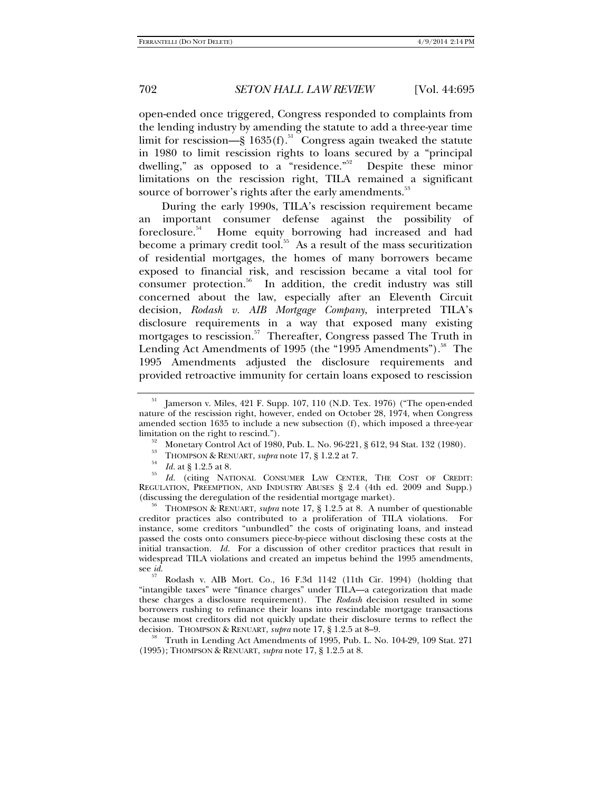open-ended once triggered, Congress responded to complaints from the lending industry by amending the statute to add a three-year time limit for rescission—§ 1635(f).<sup>51</sup> Congress again tweaked the statute in 1980 to limit rescission rights to loans secured by a "principal dwelling," as opposed to a "residence."<sup>52</sup> Despite these minor limitations on the rescission right, TILA remained a significant source of borrower's rights after the early amendments.<sup>5</sup>

During the early 1990s, TILA's rescission requirement became an important consumer defense against the possibility of foreclosure.54 Home equity borrowing had increased and had become a primary credit tool.<sup>55</sup> As a result of the mass securitization of residential mortgages, the homes of many borrowers became exposed to financial risk, and rescission became a vital tool for consumer protection.<sup>56</sup> In addition, the credit industry was still concerned about the law, especially after an Eleventh Circuit decision, *Rodash v. AIB Mortgage Company*, interpreted TILA's disclosure requirements in a way that exposed many existing mortgages to rescission.<sup>57</sup> Thereafter, Congress passed The Truth in Lending Act Amendments of 1995 (the "1995 Amendments").<sup>58</sup> The 1995 Amendments adjusted the disclosure requirements and provided retroactive immunity for certain loans exposed to rescission

(discussing the deregulation of the residential mortgage market). 56 THOMPSON & RENUART, *supra* note 17, § 1.2.5 at 8. A number of questionable creditor practices also contributed to a proliferation of TILA violations. For instance, some creditors "unbundled" the costs of originating loans, and instead passed the costs onto consumers piece-by-piece without disclosing these costs at the initial transaction. *Id.* For a discussion of other creditor practices that result in widespread TILA violations and created an impetus behind the 1995 amendments, see *id.*

57 Rodash v. AIB Mort. Co., 16 F.3d 1142 (11th Cir. 1994) (holding that "intangible taxes" were "finance charges" under TILA—a categorization that made these charges a disclosure requirement). The *Rodash* decision resulted in some borrowers rushing to refinance their loans into rescindable mortgage transactions because most creditors did not quickly update their disclosure terms to reflect the decision. THOMPSON & RENUART, *supra* note 17, § 1.2.5 at 8–9.

Truth in Lending Act Amendments of 1995, Pub. L. No. 104-29, 109 Stat. 271 (1995); THOMPSON & RENUART, *supra* note 17, § 1.2.5 at 8.

Jamerson v. Miles, 421 F. Supp. 107, 110 (N.D. Tex. 1976) ("The open-ended nature of the rescission right, however, ended on October 28, 1974, when Congress amended section  $1635$  to include a new subsection  $(f)$ , which imposed a three-year limitation on the right to rescind.").

<sup>&</sup>lt;sup>52</sup> Monetary Control Act of 1980, Pub. L. No. 96-221, § 612, 94 Stat. 132 (1980).

<sup>&</sup>lt;sup>53</sup> THOMPSON & RENUART, *supra* note 17, § 1.2.2 at 7.<br><sup>54</sup> *Id.* at § 1.2.5 at 8.<br><sup>55</sup> *Id.* (siting MATO) M. CONSULTER JAW. CENTER

*Id.* (citing NATIONAL CONSUMER LAW CENTER, THE COST OF CREDIT: REGULATION, PREEMPTION, AND INDUSTRY ABUSES § 2.4 (4th ed. 2009 and Supp.)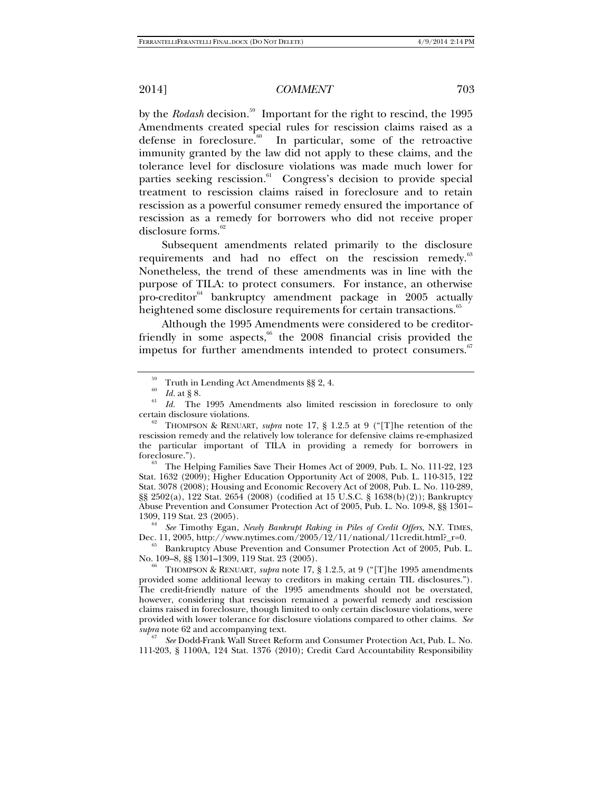by the *Rodash* decision.<sup>59</sup> Important for the right to rescind, the 1995 Amendments created special rules for rescission claims raised as a defense in foreclosure.<sup>60</sup> In particular, some of the retroactive immunity granted by the law did not apply to these claims, and the tolerance level for disclosure violations was made much lower for parties seeking rescission.<sup>61</sup> Congress's decision to provide special treatment to rescission claims raised in foreclosure and to retain rescission as a powerful consumer remedy ensured the importance of rescission as a remedy for borrowers who did not receive proper disclosure forms.<sup>62</sup>

Subsequent amendments related primarily to the disclosure requirements and had no effect on the rescission remedy.<sup>63</sup> Nonetheless, the trend of these amendments was in line with the purpose of TILA: to protect consumers. For instance, an otherwise pro-creditor<sup>64</sup> bankruptcy amendment package in 2005 actually heightened some disclosure requirements for certain transactions.<sup>65</sup>

Although the 1995 Amendments were considered to be creditorfriendly in some aspects, $66$  the 2008 financial crisis provided the impetus for further amendments intended to protect consumers.<sup>67</sup>

Stat. 1632 (2009); Higher Education Opportunity Act of 2008, Pub. L. 110-315, 122 Stat. 3078 (2008); Housing and Economic Recovery Act of 2008, Pub. L. No. 110-289, §§ 2502(a), 122 Stat. 2654 (2008) (codified at 15 U.S.C. § 1638(b)(2)); Bankruptcy Abuse Prevention and Consumer Protection Act of 2005, Pub. L. No. 109-8, §§ 1301– 1309, 119 Stat. 23 (2005).

<sup>64</sup> See Timothy Egan, *Newly Bankrupt Raking in Piles of Credit Offers*, N.Y. TIMES, Dec. 11, 2005, http://www.nytimes.com/2005/12/11/national/11credit.html?\_r=0.

Bankruptcy Abuse Prevention and Consumer Protection Act of 2005, Pub. L. No. 109–8, §§ 1301–1309, 119 Stat. 23 (2005). 66 THOMPSON & RENUART, *supra* note 17, § 1.2.5, at 9 ("[T]he 1995 amendments

provided some additional leeway to creditors in making certain TIL disclosures."). The credit-friendly nature of the 1995 amendments should not be overstated, however, considering that rescission remained a powerful remedy and rescission claims raised in foreclosure, though limited to only certain disclosure violations, were provided with lower tolerance for disclosure violations compared to other claims. *See supra* note 62 and accompanying text. 67 *See* Dodd-Frank Wall Street Reform and Consumer Protection Act, Pub. L. No.

111-203, § 1100A, 124 Stat. 1376 (2010); Credit Card Accountability Responsibility

<sup>59</sup> Truth in Lending Act Amendments §§ 2, 4.

<sup>60</sup>  $\frac{1}{61}$  *Id.* at § 8.

*Id.* The 1995 Amendments also limited rescission in foreclosure to only certain disclosure violations. 62 THOMPSON & RENUART, *supra* note 17, § 1.2.5 at 9 ("[T]he retention of the

rescission remedy and the relatively low tolerance for defensive claims re-emphasized the particular important of TILA in providing a remedy for borrowers in foreclosure."). 63 The Helping Families Save Their Homes Act of 2009, Pub. L. No. 111-22, 123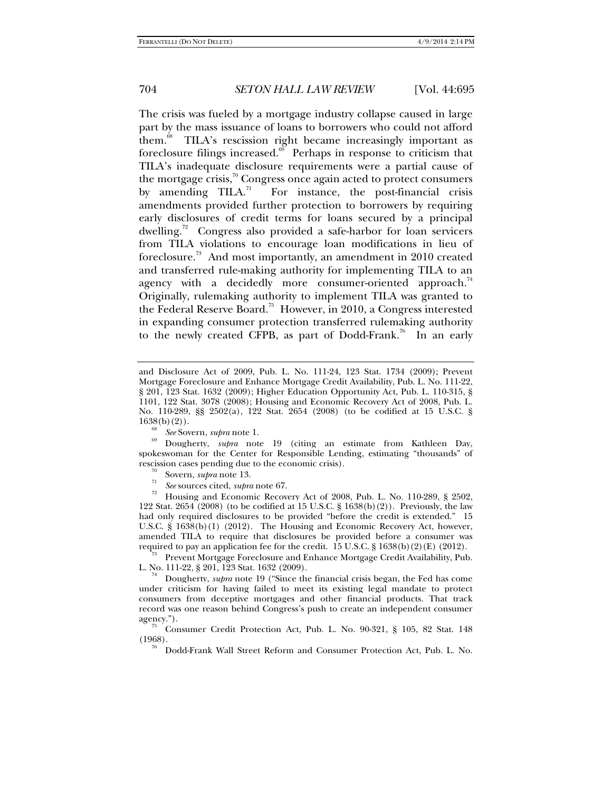The crisis was fueled by a mortgage industry collapse caused in large part by the mass issuance of loans to borrowers who could not afford them.<sup>68</sup> TILA's rescission right became increasingly important as foreclosure filings increased. $69$  Perhaps in response to criticism that TILA's inadequate disclosure requirements were a partial cause of the mortgage crisis,<sup>70</sup> Congress once again acted to protect consumers by amending  $\text{TIIA}^{\tau_1}$  For instance, the post-financial crisis amendments provided further protection to borrowers by requiring early disclosures of credit terms for loans secured by a principal dwelling.<sup>72</sup> Congress also provided a safe-harbor for loan servicers from TILA violations to encourage loan modifications in lieu of foreclosure.<sup>73</sup> And most importantly, an amendment in 2010 created and transferred rule-making authority for implementing TILA to an agency with a decidedly more consumer-oriented approach.<sup>74</sup> Originally, rulemaking authority to implement TILA was granted to the Federal Reserve Board.<sup>75</sup> However, in 2010, a Congress interested in expanding consumer protection transferred rulemaking authority to the newly created CFPB, as part of Dodd-Frank.<sup>76</sup> In an early

<sup>69</sup> Dougherty, *supra* note 19 (citing an estimate from Kathleen Day, spokeswoman for the Center for Responsible Lending, estimating "thousands" of rescission cases pending due to the economic crisis).<br><sup>70</sup> Sovern, *supra* note 13.<br><sup>71</sup> See sources cited, *subra* note 67.

<sup>72</sup> Housing and Economic Recovery Act of 2008, Pub. L. No. 110-289, § 2502, 122 Stat. 2654 (2008) (to be codified at 15 U.S.C. § 1638(b)(2)). Previously, the law had only required disclosures to be provided "before the credit is extended." 15 U.S.C. § 1638(b)(1) (2012). The Housing and Economic Recovery Act, however, amended TILA to require that disclosures be provided before a consumer was

required to pay an application fee for the credit. 15 U.S.C. § 1638(b)(2)(E) (2012).<br><sup>73</sup> Prevent Mortgage Foreclosure and Enhance Mortgage Credit Availability, Pub.<br>L. No. 111-22, § 201, 123 Stat. 1632 (2009).

Dougherty, *supra* note 19 ("Since the financial crisis began, the Fed has come under criticism for having failed to meet its existing legal mandate to protect consumers from deceptive mortgages and other financial products. That track record was one reason behind Congress's push to create an independent consumer agency.").<br><sup>75</sup> Consumer Credit Protection Act, Pub. L. No. 90-321, § 105, 82 Stat. 148

 $(1968)$ .<br><sup>76</sup> Dodd-Frank Wall Street Reform and Consumer Protection Act, Pub. L. No.

and Disclosure Act of 2009, Pub. L. No. 111-24, 123 Stat. 1734 (2009); Prevent Mortgage Foreclosure and Enhance Mortgage Credit Availability, Pub. L. No. 111-22, § 201, 123 Stat. 1632 (2009); Higher Education Opportunity Act, Pub. L. 110-315, § 1101, 122 Stat. 3078 (2008); Housing and Economic Recovery Act of 2008, Pub. L. No. 110-289, §§ 2502(a), 122 Stat. 2654 (2008) (to be codified at 15 U.S.C. §  $1638(b)(2)$ ).<br><sup>68</sup> *See* Sovern, *supra* note 1.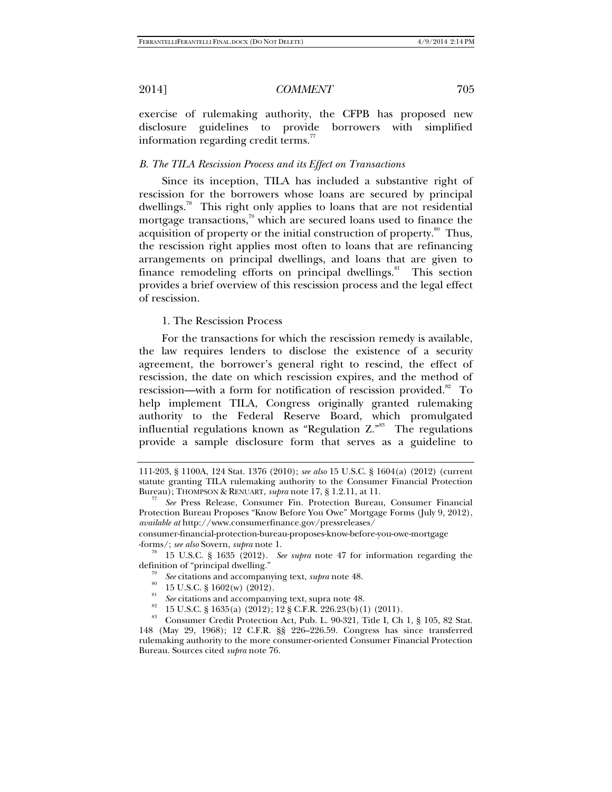exercise of rulemaking authority, the CFPB has proposed new disclosure guidelines to provide borrowers with simplified information regarding credit terms. $\frac{7}{7}$ 

### *B. The TILA Rescission Process and its Effect on Transactions*

Since its inception, TILA has included a substantive right of rescission for the borrowers whose loans are secured by principal dwellings.<sup>78</sup> This right only applies to loans that are not residential mortgage transactions, $\frac{79}{2}$  which are secured loans used to finance the acquisition of property or the initial construction of property.<sup>80</sup> Thus, the rescission right applies most often to loans that are refinancing arrangements on principal dwellings, and loans that are given to finance remodeling efforts on principal dwellings.<sup>81</sup> This section provides a brief overview of this rescission process and the legal effect of rescission.

#### 1. The Rescission Process

For the transactions for which the rescission remedy is available, the law requires lenders to disclose the existence of a security agreement, the borrower's general right to rescind, the effect of rescission, the date on which rescission expires, and the method of rescission—with a form for notification of rescission provided. $82$  To help implement TILA, Congress originally granted rulemaking authority to the Federal Reserve Board, which promulgated influential regulations known as "Regulation Z."83 The regulations provide a sample disclosure form that serves as a guideline to

- $\frac{60}{80}$  *See* citations and accompanying text, *supra* note 48. 80 15 U.S.C. § 1602(w) (2012).
- $^{80}$  15 U.S.C. § 1602(w) (2012).
- 
- <sup>81</sup> *See* citations and accompanying text, supra note 48.<br><sup>82</sup> 15 U.S.C. § 1635(a) (2012); 12 § C.F.R. 226.23(b)(1) (2011).

<sup>111-203, § 1100</sup>A, 124 Stat. 1376 (2010); *see also* 15 U.S.C. § 1604(a) (2012) (current statute granting TILA rulemaking authority to the Consumer Financial Protection Bureau); THOMPSON & RENUART, *supra* note 17, § 1.2.11, at 11.

<sup>&</sup>lt;sup>77</sup> See Press Release, Consumer Fin. Protection Bureau, Consumer Financial Protection Bureau Proposes "Know Before You Owe" Mortgage Forms (July 9, 2012), *available at* http://www.consumerfinance.gov/pressreleases/

consumer-financial-protection-bureau-proposes-know-before-you-owe-mortgage

<sup>-</sup>forms/; *see also* Sovern, *supra* note 1. 78 15 U.S.C. § 1635 (2012). *See supra* note 47 for information regarding the

<sup>83</sup> Consumer Credit Protection Act, Pub. L. 90-321, Title I, Ch 1, § 105, 82 Stat. 148 (May 29, 1968); 12 C.F.R. §§ 226–226.59. Congress has since transferred rulemaking authority to the more consumer-oriented Consumer Financial Protection Bureau. Sources cited *supra* note 76.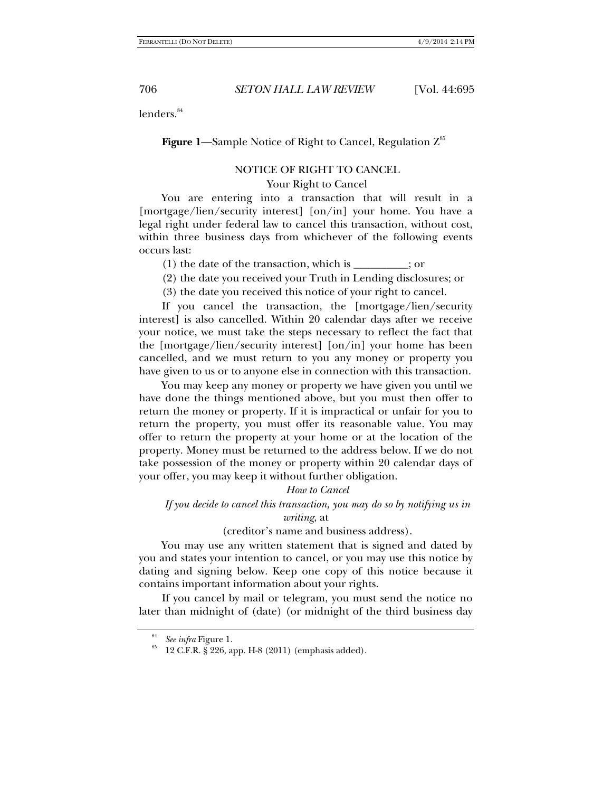lenders.<sup>84</sup>

**Figure 1—Sample Notice of Right to Cancel, Regulation**  $Z^{ss}$ 

# NOTICE OF RIGHT TO CANCEL

## Your Right to Cancel

You are entering into a transaction that will result in a [mortgage/lien/security interest] [on/in] your home. You have a legal right under federal law to cancel this transaction, without cost, within three business days from whichever of the following events occurs last:

(1) the date of the transaction, which is \_\_\_\_\_\_\_\_\_\_; or

(2) the date you received your Truth in Lending disclosures; or

(3) the date you received this notice of your right to cancel.

If you cancel the transaction, the [mortgage/lien/security interest] is also cancelled. Within 20 calendar days after we receive your notice, we must take the steps necessary to reflect the fact that the [mortgage/lien/security interest] [on/in] your home has been cancelled, and we must return to you any money or property you have given to us or to anyone else in connection with this transaction.

You may keep any money or property we have given you until we have done the things mentioned above, but you must then offer to return the money or property. If it is impractical or unfair for you to return the property, you must offer its reasonable value. You may offer to return the property at your home or at the location of the property. Money must be returned to the address below. If we do not take possession of the money or property within 20 calendar days of your offer, you may keep it without further obligation.

#### *How to Cancel*

*If you decide to cancel this transaction, you may do so by notifying us in writing*, at

(creditor's name and business address).

You may use any written statement that is signed and dated by you and states your intention to cancel, or you may use this notice by dating and signing below. Keep one copy of this notice because it contains important information about your rights.

If you cancel by mail or telegram, you must send the notice no later than midnight of (date) (or midnight of the third business day

See infra Figure 1.<br>12 C.F.R. § 226, app. H-8 (2011) (emphasis added).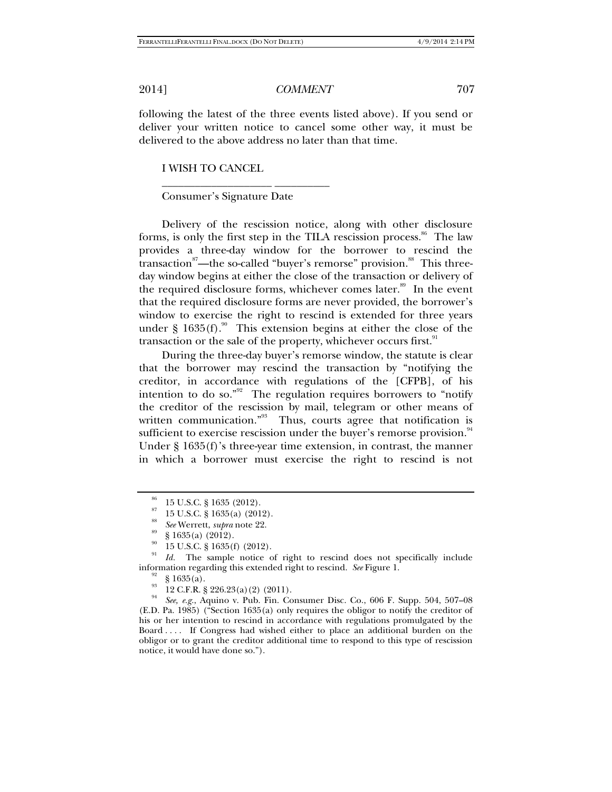following the latest of the three events listed above). If you send or deliver your written notice to cancel some other way, it must be delivered to the above address no later than that time.

### I WISH TO CANCEL

#### Consumer's Signature Date

\_\_\_\_\_\_\_\_\_\_\_\_\_\_\_\_\_\_\_\_ \_\_\_\_\_\_\_\_\_\_

Delivery of the rescission notice, along with other disclosure forms, is only the first step in the TILA rescission process.<sup>86</sup> The law provides a three-day window for the borrower to rescind the transaction<sup>87</sup>—the so-called "buyer's remorse" provision.<sup>88</sup> This threeday window begins at either the close of the transaction or delivery of the required disclosure forms, whichever comes later.<sup>89</sup> In the event that the required disclosure forms are never provided, the borrower's window to exercise the right to rescind is extended for three years under  $\frac{1}{2}$  1635(f).<sup>90</sup> This extension begins at either the close of the transaction or the sale of the property, whichever occurs first.

During the three-day buyer's remorse window, the statute is clear that the borrower may rescind the transaction by "notifying the creditor, in accordance with regulations of the [CFPB], of his intention to do so."<sup>92</sup> The regulation requires borrowers to "notify" the creditor of the rescission by mail, telegram or other means of written communication."<sup>93</sup> Thus, courts agree that notification is sufficient to exercise rescission under the buyer's remorse provision.<sup>94</sup> Under § 1635(f)'s three-year time extension, in contrast, the manner in which a borrower must exercise the right to rescind is not

<sup>15</sup> U.S.C. § 1635 (2012).

<sup>15</sup> U.S.C. § 1635(a) (2012).

<sup>88</sup> *See* Werrett, *supra* note 22.<br>§ 1635(a) (2012).

<sup>15</sup> U.S.C. § 1635(f) (2012).

<sup>91</sup> *Id.* The sample notice of right to rescind does not specifically include information regarding this extended right to rescind. *See* Figure 1. 92 § 1635(a).

 $^{93}$  12 C.F.R. § 226.23(a)(2)(2011).

<sup>94</sup> *See, e.g.*, Aquino v. Pub. Fin. Consumer Disc. Co., 606 F. Supp. 504, 507–08 (E.D. Pa. 1985) ("Section 1635(a) only requires the obligor to notify the creditor of his or her intention to rescind in accordance with regulations promulgated by the Board . . . . If Congress had wished either to place an additional burden on the obligor or to grant the creditor additional time to respond to this type of rescission notice, it would have done so.").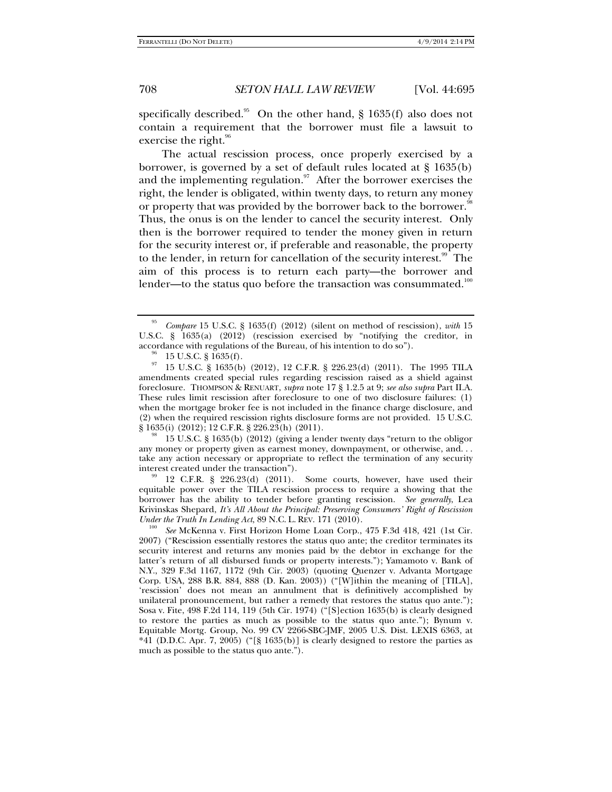specifically described.<sup>95</sup> On the other hand, § 1635(f) also does not contain a requirement that the borrower must file a lawsuit to exercise the right. $96$ 

The actual rescission process, once properly exercised by a borrower, is governed by a set of default rules located at § 1635(b) and the implementing regulation.<sup>97</sup> After the borrower exercises the right, the lender is obligated, within twenty days, to return any money or property that was provided by the borrower back to the borrower.<sup>98</sup> Thus, the onus is on the lender to cancel the security interest. Only then is the borrower required to tender the money given in return for the security interest or, if preferable and reasonable, the property to the lender, in return for cancellation of the security interest.<sup>99</sup> The aim of this process is to return each party—the borrower and lender—to the status quo before the transaction was consummated.<sup>100</sup>

15 U.S.C. § 1635(b) (2012) (giving a lender twenty days "return to the obligor any money or property given as earnest money, downpayment, or otherwise, and. . . take any action necessary or appropriate to reflect the termination of any security

interest created under the transaction").<br><sup>99</sup> 12 C.F.R. § 226.23(d) (2011). Some courts, however, have used their equitable power over the TILA rescission process to require a showing that the borrower has the ability to tender before granting rescission. *See generally*, Lea Krivinskas Shepard, *It's All About the Principal: Preserving Consumers' Right of Rescission Under the Truth In Lending Act*, 89 N.C. L. REV. 171 (2010).

<sup>95</sup> *Compare* 15 U.S.C. § 1635(f) (2012) (silent on method of rescission), *with* 15 U.S.C. § 1635(a) (2012) (rescission exercised by "notifying the creditor, in accordance with regulations of the Bureau, of his intention to do so").<br><sup>96</sup> 15 U.S.C. § 1635(f).<br><sup>97</sup> 15 U.S.C. § 1635(b). (9019). 19 C.E.B. § 996 93(d). (9011).

<sup>97 15</sup> U.S.C. § 1635(b) (2012), 12 C.F.R. § 226.23(d) (2011). The 1995 TILA amendments created special rules regarding rescission raised as a shield against foreclosure. THOMPSON & RENUART, *supra* note 17 § 1.2.5 at 9; *see also supra* Part II.A. These rules limit rescission after foreclosure to one of two disclosure failures: (1) when the mortgage broker fee is not included in the finance charge disclosure, and (2) when the required rescission rights disclosure forms are not provided. 15 U.S.C.  $\S$  1635(i) (2012); 12 C.F.R.  $\S$  226.23(h) (2011).

*See* McKenna v. First Horizon Home Loan Corp., 475 F.3d 418, 421 (1st Cir. 2007) ("Rescission essentially restores the status quo ante; the creditor terminates its security interest and returns any monies paid by the debtor in exchange for the latter's return of all disbursed funds or property interests."); Yamamoto v. Bank of N.Y., 329 F.3d 1167, 1172 (9th Cir. 2003) (quoting Quenzer v. Advanta Mortgage Corp. USA, 288 B.R. 884, 888 (D. Kan. 2003)) ("[W]ithin the meaning of [TILA], 'rescission' does not mean an annulment that is definitively accomplished by unilateral pronouncement, but rather a remedy that restores the status quo ante."); Sosa v. Fite, 498 F.2d 114, 119 (5th Cir. 1974) ("[S]ection 1635(b) is clearly designed to restore the parties as much as possible to the status quo ante."); Bynum v. Equitable Mortg. Group, No. 99 CV 2266-SBC-JMF, 2005 U.S. Dist. LEXIS 6363, at \*41 (D.D.C. Apr. 7, 2005) ("[§ 1635(b)] is clearly designed to restore the parties as much as possible to the status quo ante.").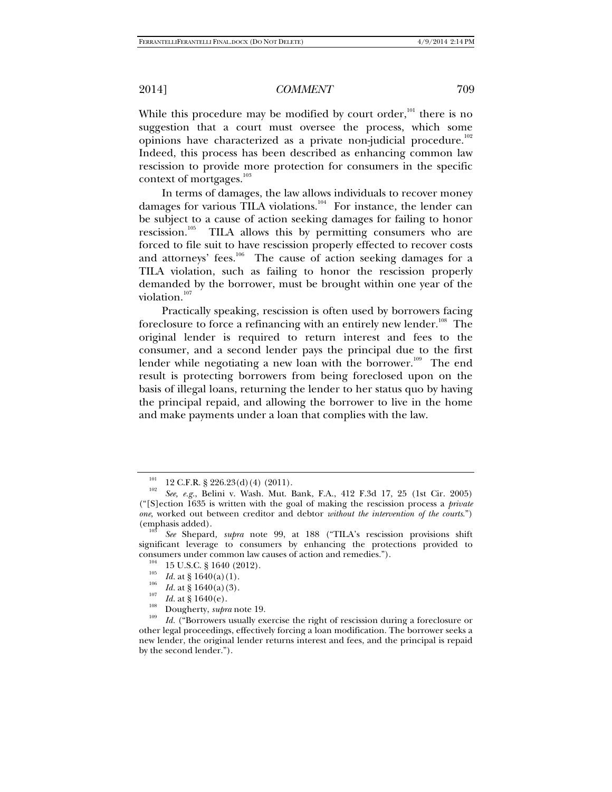While this procedure may be modified by court order, $101$  there is no suggestion that a court must oversee the process, which some opinions have characterized as a private non-judicial procedure.<sup>102</sup> Indeed, this process has been described as enhancing common law rescission to provide more protection for consumers in the specific context of mortgages. $103$ 

In terms of damages, the law allows individuals to recover money damages for various TILA violations.<sup>104</sup> For instance, the lender can be subject to a cause of action seeking damages for failing to honor rescission.<sup>105</sup> TILA allows this by permitting consumers who are forced to file suit to have rescission properly effected to recover costs and attorneys' fees.<sup>106</sup> The cause of action seeking damages for a TILA violation, such as failing to honor the rescission properly demanded by the borrower, must be brought within one year of the violation.<sup>107</sup>

Practically speaking, rescission is often used by borrowers facing foreclosure to force a refinancing with an entirely new lender.<sup>108</sup> The original lender is required to return interest and fees to the consumer, and a second lender pays the principal due to the first lender while negotiating a new loan with the borrower.<sup>109</sup> The end result is protecting borrowers from being foreclosed upon on the basis of illegal loans, returning the lender to her status quo by having the principal repaid, and allowing the borrower to live in the home and make payments under a loan that complies with the law.

- 
- 

<sup>101 12</sup> C.F.R. § 226.23(d)(4) (2011). 102 *See, e.g.*, Belini v. Wash. Mut. Bank, F.A., 412 F.3d 17, 25 (1st Cir. 2005) ("[S]ection 1635 is written with the goal of making the rescission process a *private one*, worked out between creditor and debtor *without the intervention of the courts*.") (emphasis added). 103 *See* Shepard*, supra* note 99, at 188 ("TILA's rescission provisions shift

significant leverage to consumers by enhancing the protections provided to consumers under common law causes of action and remedies.").<br>
<sup>104</sup> 15 U.S.C. § 1640 (2012).<br> *Id.* at § 1640(a)(1).<br> *Id.* at § 1640(a)(3).<br> *Id.* at § 1640(e).

<sup>&</sup>lt;sup>108</sup> Dougherty, *supra* note 19.<br><sup>109</sup> *Id.* ("Borrowers usually exercise the right of rescission during a foreclosure or other legal proceedings, effectively forcing a loan modification. The borrower seeks a new lender, the original lender returns interest and fees, and the principal is repaid by the second lender.").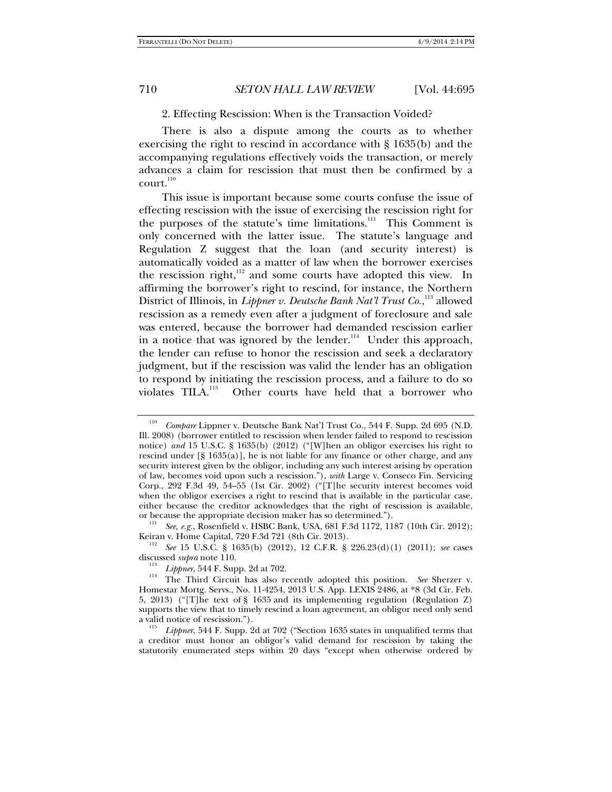2. Effecting Rescission: When is the Transaction Voided?

There is also a dispute among the courts as to whether exercising the right to rescind in accordance with § 1635(b) and the accompanying regulations effectively voids the transaction, or merely advances a claim for rescission that must then be confirmed by a  $\text{court.}^{^{110}}$ 

This issue is important because some courts confuse the issue of effecting rescission with the issue of exercising the rescission right for the purposes of the statute's time limitations.<sup>111</sup> This Comment is only concerned with the latter issue. The statute's language and Regulation Z suggest that the loan (and security interest) is automatically voided as a matter of law when the borrower exercises the rescission right, $112$  and some courts have adopted this view. In affirming the borrower's right to rescind, for instance, the Northern District of Illinois, in *Lippner v. Deutsche Bank Nat'l Trust Co.*,<sup>113</sup> allowed rescission as a remedy even after a judgment of foreclosure and sale was entered, because the borrower had demanded rescission earlier in a notice that was ignored by the lender.<sup>114</sup> Under this approach, the lender can refuse to honor the rescission and seek a declaratory judgment, but if the rescission was valid the lender has an obligation to respond by initiating the rescission process, and a failure to do so violates TILA.<sup>115</sup> Other courts have held that a borrower who Other courts have held that a borrower who

See, e.g., Rosenfield v. HSBC Bank, USA, 681 F.3d 1172, 1187 (10th Cir. 2012); Keiran v. Home Capital, 720 F.3d 721 (8th Cir. 2013).

 *See* 15 U.S.C. § 1635(b) (2012), 12 C.F.R. § 226.23(d)(1) (2011); *see* cases discussed *supra* note 110.<br><sup>113</sup> *Lippner*, 544 F. Supp. 2d at 702.

Lippner, 544 F. Supp. 2d at 702 ("Section 1635 states in unqualified terms that a creditor must honor an obligor's valid demand for rescission by taking the statutorily enumerated steps within 20 days "except when otherwise ordered by

<sup>110</sup> *Compare* Lippner v. Deutsche Bank Nat'l Trust Co., 544 F. Supp. 2d 695 (N.D. Ill. 2008) (borrower entitled to rescission when lender failed to respond to rescission notice) *and* 15 U.S.C. § 1635(b) (2012) ("[W]hen an obligor exercises his right to rescind under  $[\S 1635(a)]$ , he is not liable for any finance or other charge, and any security interest given by the obligor, including any such interest arising by operation of law, becomes void upon such a rescission."), *with* Large v. Conseco Fin. Servicing Corp., 292 F.3d 49, 54–55 (1st Cir. 2002) ("[T]he security interest becomes void when the obligor exercises a right to rescind that is available in the particular case, either because the creditor acknowledges that the right of rescission is available, or because the appropriate decision maker has so determined.").

*Lippner*, 544 F. Supp. 2d at 702. 114 The Third Circuit has also recently adopted this position. *See* Sherzer v. Homestar Mortg. Servs., No. 11-4254, 2013 U.S. App. LEXIS 2486, at \*8 (3d Cir. Feb. 5, 2013) ("[T]he text of § 1635 and its implementing regulation (Regulation Z) supports the view that to timely rescind a loan agreement, an obligor need only send a valid notice of rescission.").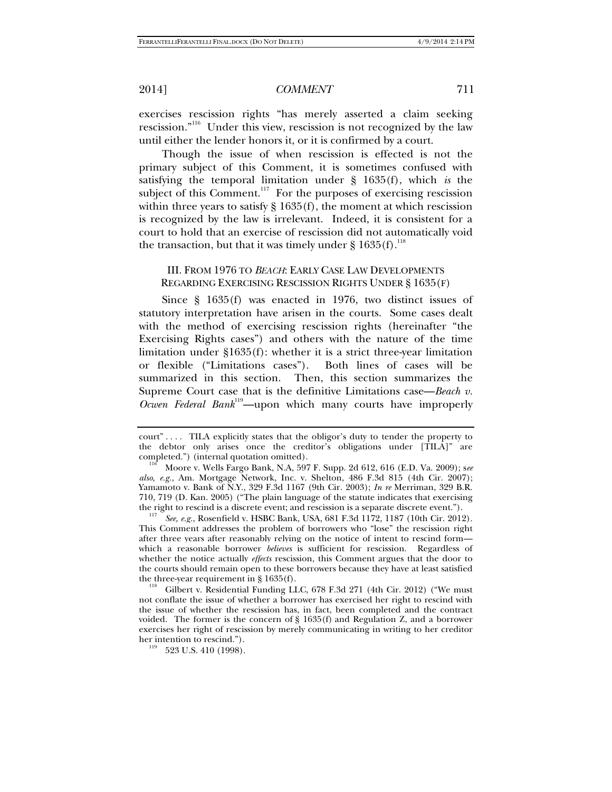exercises rescission rights "has merely asserted a claim seeking rescission."116 Under this view, rescission is not recognized by the law until either the lender honors it, or it is confirmed by a court.

Though the issue of when rescission is effected is not the primary subject of this Comment, it is sometimes confused with satisfying the temporal limitation under § 1635(f), which *is* the subject of this Comment.<sup>117</sup> For the purposes of exercising rescission within three years to satisfy  $\S 1635(f)$ , the moment at which rescission is recognized by the law is irrelevant. Indeed, it is consistent for a court to hold that an exercise of rescission did not automatically void the transaction, but that it was timely under  $\S 1635(f).$ <sup>118</sup>

III. FROM 1976 TO *BEACH*: EARLY CASE LAW DEVELOPMENTS REGARDING EXERCISING RESCISSION RIGHTS UNDER § 1635(F)

Since § 1635(f) was enacted in 1976, two distinct issues of statutory interpretation have arisen in the courts. Some cases dealt with the method of exercising rescission rights (hereinafter "the Exercising Rights cases") and others with the nature of the time limitation under §1635(f): whether it is a strict three-year limitation or flexible ("Limitations cases"). Both lines of cases will be summarized in this section. Then, this section summarizes the Supreme Court case that is the definitive Limitations case—*Beach v. Ocwen Federal Bank*<sup>119</sup>—upon which many courts have improperly

 *See, e.g.*, Rosenfield v. HSBC Bank, USA, 681 F.3d 1172, 1187 (10th Cir. 2012). This Comment addresses the problem of borrowers who "lose" the rescission right after three years after reasonably relying on the notice of intent to rescind form which a reasonable borrower *believes* is sufficient for rescission. Regardless of whether the notice actually *effects* rescission, this Comment argues that the door to the courts should remain open to these borrowers because they have at least satisfied the three-year requirement in §  $1635(f)$ .

Gilbert v. Residential Funding LLC, 678 F.3d 271 (4th Cir. 2012) ("We must not conflate the issue of whether a borrower has exercised her right to rescind with the issue of whether the rescission has, in fact, been completed and the contract voided. The former is the concern of  $\S 1635(f)$  and Regulation Z, and a borrower exercises her right of rescission by merely communicating in writing to her creditor her intention to rescind.").<br> $^{119}$  523 U.S. 410 (1998).

court" . . . . TILA explicitly states that the obligor's duty to tender the property to the debtor only arises once the creditor's obligations under [TILA]" are completed.") (internal quotation omitted).<br><sup>116</sup> Moore v. Wells Fargo Bank, N.A, 597 F. Supp. 2d 612, 616 (E.D. Va. 2009); see

*also, e.g.*, Am. Mortgage Network, Inc. v. Shelton, 486 F.3d 815 (4th Cir. 2007); Yamamoto v. Bank of N.Y., 329 F.3d 1167 (9th Cir. 2003); *In re* Merriman, 329 B.R. 710, 719 (D. Kan. 2005) ("The plain language of the statute indicates that exercising the right to rescind is a discrete event; and rescission is a separate discrete event.").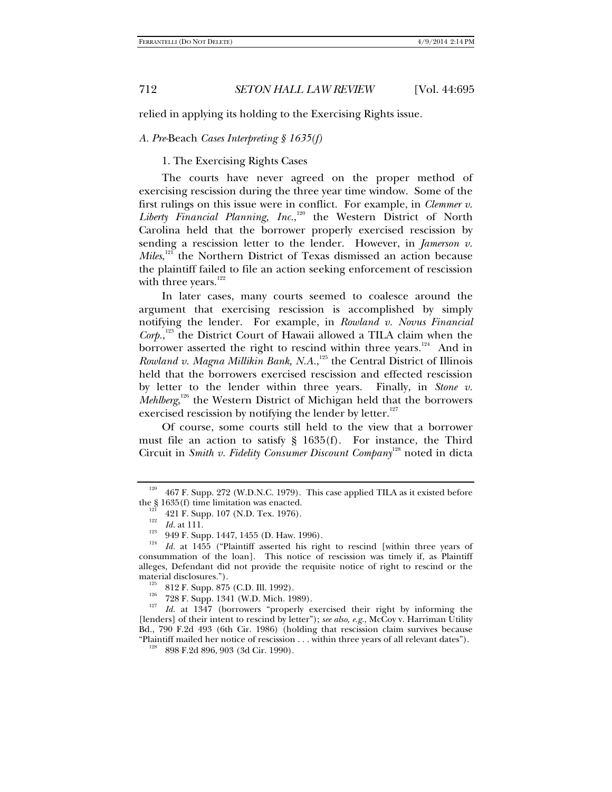relied in applying its holding to the Exercising Rights issue.

### *A. Pre-*Beach *Cases Interpreting § 1635(f)*

1. The Exercising Rights Cases

The courts have never agreed on the proper method of exercising rescission during the three year time window. Some of the first rulings on this issue were in conflict. For example, in *Clemmer v.*  Liberty Financial Planning, Inc.,<sup>120</sup> the Western District of North Carolina held that the borrower properly exercised rescission by sending a rescission letter to the lender. However, in *Jamerson v. Miles*,<sup>121</sup> the Northern District of Texas dismissed an action because the plaintiff failed to file an action seeking enforcement of rescission with three years. $122$ 

In later cases, many courts seemed to coalesce around the argument that exercising rescission is accomplished by simply notifying the lender. For example, in *Rowland v. Novus Financial*  Corp.,<sup>123</sup> the District Court of Hawaii allowed a TILA claim when the borrower asserted the right to rescind within three years.<sup>124</sup> And in *Rowland v. Magna Millikin Bank, N.A.*, 125 the Central District of Illinois held that the borrowers exercised rescission and effected rescission by letter to the lender within three years. Finally, in *Stone v. Mehlberg*,<sup>126</sup> the Western District of Michigan held that the borrowers exercised rescission by notifying the lender by letter. $127$ 

Of course, some courts still held to the view that a borrower must file an action to satisfy § 1635(f). For instance, the Third Circuit in *Smith v. Fidelity Consumer Discount Company*128 noted in dicta

 $120$  467 F. Supp. 272 (W.D.N.C. 1979). This case applied TILA as it existed before the § 1635(f) time limitation was enacted.<br><sup>121</sup> 421 F. Supp. 107 (N.D. Tex. 1976).<br>*122 Id.* at 111.

<sup>&</sup>lt;sup>123</sup> 949 F. Supp. 1447, 1455 (D. Haw. 1996).<br><sup>124</sup> *Id.* at 1455 ("Plaintiff asserted his right to rescind [within three years of consummation of the loan]. This notice of rescission was timely if, as Plaintiff alleges, Defendant did not provide the requisite notice of right to rescind or the material disclosures.").<br><sup>125</sup> 812 F. Supp. 875 (C.D. Ill. 1992).<br><sup>126</sup> 728 F. Supp. 1341 (W.D. Mich. 1989).<br><sup>127</sup> *Id.* at 1347 (borrowers "properly exercised their right by informing the

<sup>[</sup>lenders] of their intent to rescind by letter"); *see also, e.g.*, McCoy v. Harriman Utility Bd., 790 F.2d 493 (6th Cir. 1986) (holding that rescission claim survives because "Plaintiff mailed her notice of rescission . . . within three years of all relevant dates").  $^{128}$  898 F.2d 896, 903 (3d Cir. 1990).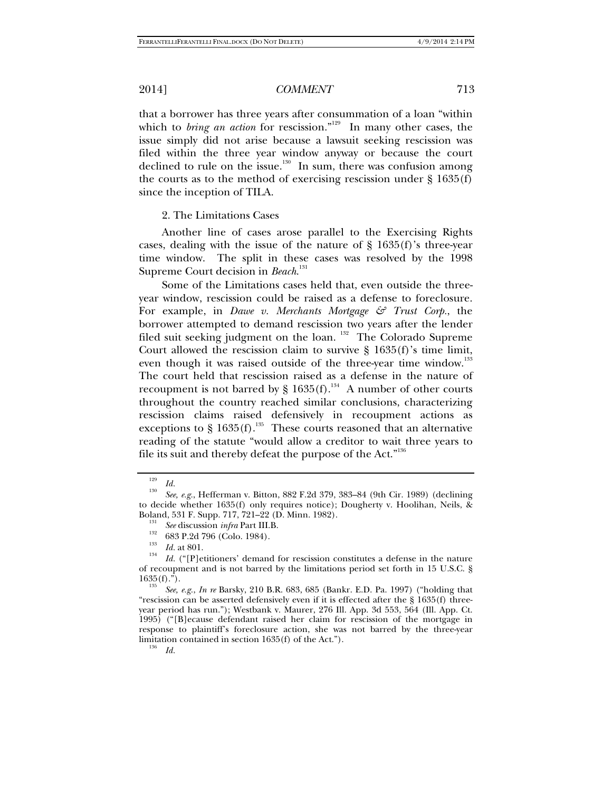that a borrower has three years after consummation of a loan "within which to *bring an action* for rescission."<sup>129</sup> In many other cases, the issue simply did not arise because a lawsuit seeking rescission was filed within the three year window anyway or because the court declined to rule on the issue.<sup>130</sup> In sum, there was confusion among the courts as to the method of exercising rescission under  $\S$  1635(f) since the inception of TILA.

#### 2. The Limitations Cases

Another line of cases arose parallel to the Exercising Rights cases, dealing with the issue of the nature of § 1635(f)'s three-year time window. The split in these cases was resolved by the 1998 Supreme Court decision in *Beach*. 131

Some of the Limitations cases held that, even outside the threeyear window, rescission could be raised as a defense to foreclosure. For example, in *Dawe v. Merchants Mortgage & Trust Corp.*, the borrower attempted to demand rescission two years after the lender filed suit seeking judgment on the loan. <sup>132</sup> The Colorado Supreme Court allowed the rescission claim to survive  $\S$  1635(f)'s time limit, even though it was raised outside of the three-year time window.<sup>133</sup> The court held that rescission raised as a defense in the nature of recoupment is not barred by § 1635(f).<sup>134</sup> A number of other courts throughout the country reached similar conclusions, characterizing rescission claims raised defensively in recoupment actions as exceptions to § 1635(f).<sup>135</sup> These courts reasoned that an alternative reading of the statute "would allow a creditor to wait three years to file its suit and thereby defeat the purpose of the Act."<sup>136</sup>

*Id.*

<sup>129</sup>  $\frac{125}{130}$  *Id.* 

*See, e.g.*, Hefferman v. Bitton, 882 F.2d 379, 383–84 (9th Cir. 1989) (declining to decide whether 1635(f) only requires notice); Dougherty v. Hoolihan, Neils,  $\tilde{\mathbf{x}}$ Boland, 531 F. Supp. 717, 721–22 (D. Minn. 1982).<br><sup>131</sup> See discussion *infra* Part III.B.

<sup>&</sup>lt;sup>132</sup> 683 P.2d 796 (Colo. 1984).<br><sup>133</sup> *Id.* at 801.

<sup>&</sup>lt;sup>134</sup> *Id.* ("[P]etitioners' demand for rescission constitutes a defense in the nature of recoupment and is not barred by the limitations period set forth in 15 U.S.C. §  $1635(f).$ ").

*See, e.g.*, *In re* Barsky, 210 B.R. 683, 685 (Bankr. E.D. Pa. 1997) ("holding that "rescission can be asserted defensively even if it is effected after the  $\S$  1635(f) threeyear period has run."); Westbank v. Maurer, 276 Ill. App. 3d 553, 564 (Ill. App. Ct. 1995) ("[B]ecause defendant raised her claim for rescission of the mortgage in response to plaintiff's foreclosure action, she was not barred by the three-year limitation contained in section  $1635(f)$  of the Act.").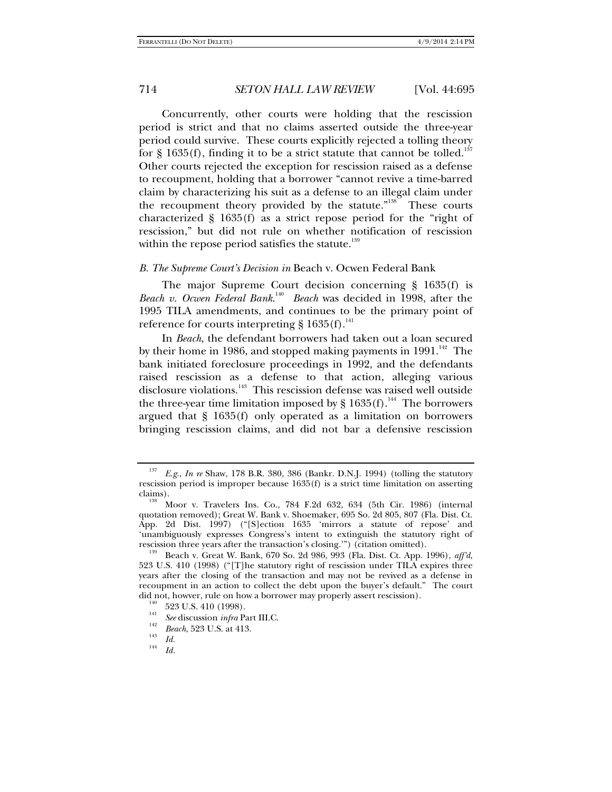Concurrently, other courts were holding that the rescission period is strict and that no claims asserted outside the three-year period could survive. These courts explicitly rejected a tolling theory for § 1635(f), finding it to be a strict statute that cannot be tolled.<sup>13</sup> Other courts rejected the exception for rescission raised as a defense to recoupment, holding that a borrower "cannot revive a time-barred claim by characterizing his suit as a defense to an illegal claim under the recoupment theory provided by the statute."<sup>138</sup> These courts characterized § 1635(f) as a strict repose period for the "right of rescission," but did not rule on whether notification of rescission within the repose period satisfies the statute. $139$ 

#### *B. The Supreme Court's Decision in* Beach v. Ocwen Federal Bank

The major Supreme Court decision concerning § 1635(f) is Beach v. Ocwen Federal Bank.<sup>140</sup> Beach was decided in 1998, after the 1995 TILA amendments, and continues to be the primary point of reference for courts interpreting  $\S 1635(f).$ <sup>141</sup>

In *Beach*, the defendant borrowers had taken out a loan secured by their home in 1986, and stopped making payments in 1991.<sup>142</sup> The bank initiated foreclosure proceedings in 1992, and the defendants raised rescission as a defense to that action, alleging various disclosure violations.<sup>143</sup> This rescission defense was raised well outside the three-year time limitation imposed by  $\S$  1635(f).<sup>144</sup> The borrowers argued that § 1635(f) only operated as a limitation on borrowers bringing rescission claims, and did not bar a defensive rescission

<sup>137</sup> *E.g.*, *In re* Shaw, 178 B.R. 380, 386 (Bankr. D.N.J. 1994) (tolling the statutory rescission period is improper because 1635(f) is a strict time limitation on asserting

Moor v. Travelers Ins. Co., 784 F.2d 632, 634 (5th Cir. 1986) (internal quotation removed); Great W. Bank v. Shoemaker, 695 So. 2d 805, 807 (Fla. Dist. Ct. App. 2d Dist. 1997) ("[S]ection 1635 'mirrors a statute of repose' and 'unambiguously expresses Congress's intent to extinguish the statutory right of rescission three years after the transaction's closing.") (citation omitted).

Beach v. Great W. Bank, 670 So. 2d 986, 993 (Fla. Dist. Ct. App. 1996), *aff'd*, 523 U.S. 410 (1998) ("[T]he statutory right of rescission under TILA expires three years after the closing of the transaction and may not be revived as a defense in recoupment in an action to collect the debt upon the buyer's default." The court did not, howver, rule on how a borrower may properly assert rescission).<br><sup>140</sup> 523 U.S. 410 (1998).<br><sup>141</sup> *See* discussion *infra* Part III.C.

<sup>&</sup>lt;sup>142</sup> *Beach*, 523 U.S. at 413.<br><sup>143</sup> *Id.* 144 *IJ* 

*Id.*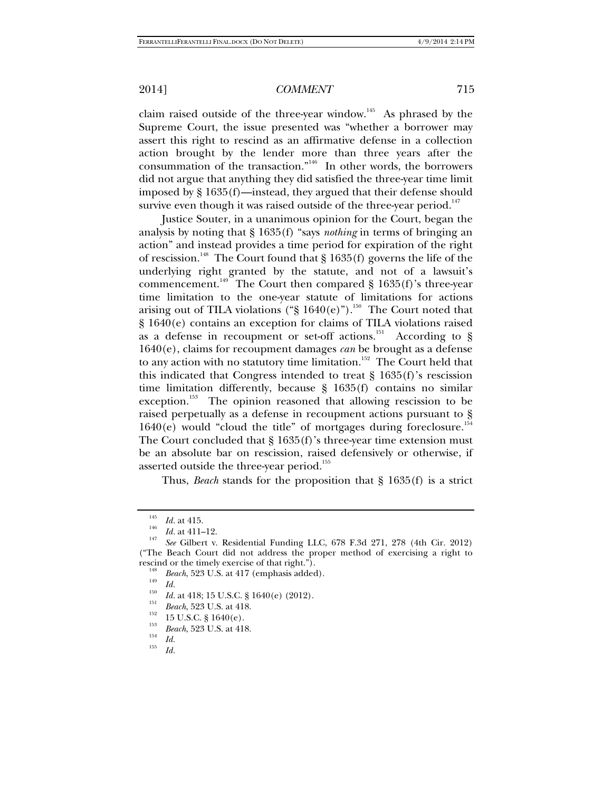claim raised outside of the three-year window.<sup>145</sup> As phrased by the Supreme Court, the issue presented was "whether a borrower may assert this right to rescind as an affirmative defense in a collection action brought by the lender more than three years after the consummation of the transaction."146 In other words, the borrowers did not argue that anything they did satisfied the three-year time limit imposed by § 1635(f)—instead, they argued that their defense should survive even though it was raised outside of the three-year period. $147$ 

Justice Souter, in a unanimous opinion for the Court, began the analysis by noting that § 1635(f) "says *nothing* in terms of bringing an action" and instead provides a time period for expiration of the right of rescission.<sup>148</sup> The Court found that  $\S$  1635(f) governs the life of the underlying right granted by the statute, and not of a lawsuit's commencement.<sup>149</sup> The Court then compared § 1635(f)'s three-year time limitation to the one-year statute of limitations for actions arising out of TILA violations ("§  $1640(e)$ ").<sup>150</sup> The Court noted that § 1640(e) contains an exception for claims of TILA violations raised as a defense in recoupment or set-off actions.<sup>151</sup> According to  $\S$ 1640(e), claims for recoupment damages *can* be brought as a defense to any action with no statutory time limitation.<sup>152</sup> The Court held that this indicated that Congress intended to treat  $\S$  1635(f)'s rescission time limitation differently, because § 1635(f) contains no similar exception.<sup>153</sup> The opinion reasoned that allowing rescission to be raised perpetually as a defense in recoupment actions pursuant to §  $1640(e)$  would "cloud the title" of mortgages during foreclosure.<sup>154</sup> The Court concluded that  $\S 1635(f)$ 's three-year time extension must be an absolute bar on rescission, raised defensively or otherwise, if asserted outside the three-year period.<sup>155</sup>

Thus, *Beach* stands for the proposition that § 1635(f) is a strict

<sup>&</sup>lt;sup>145</sup> *Id.* at 415.<br><sup>146</sup> *Id.* at 411–12.

<sup>&</sup>lt;sup>147</sup> *See* Gilbert v. Residential Funding LLC, 678 F.3d 271, 278 (4th Cir. 2012) ("The Beach Court did not address the proper method of exercising a right to rescind or the timely exercise of that right.").<br><sup>148</sup> *Beach*, 523 U.S. at 417 (emphasis added).<br><sup>149</sup> *Id.* 150 149 15 U.S. 6. 8 1640(). (2010).

*Id.* at 418; 15 U.S.C. § 1640(e) (2012).<br> *Beach*, 523 U.S. at 418.<br>
<sup>152</sup> 15 U.S.C. § 1640(e).

<sup>&</sup>lt;sup>153</sup> *Beach*, 523 U.S. at 418.<br><sup>154</sup> *Id.* 

*Id.*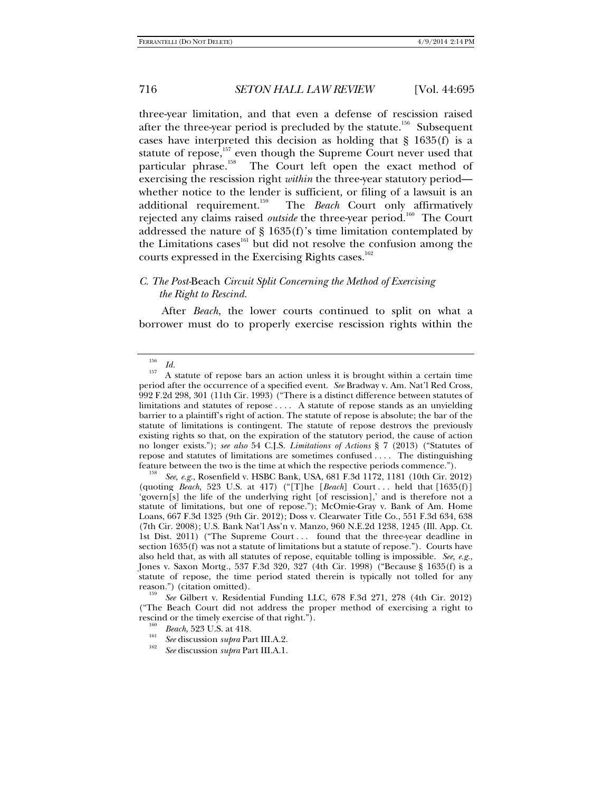three-year limitation, and that even a defense of rescission raised after the three-year period is precluded by the statute.<sup>156</sup> Subsequent cases have interpreted this decision as holding that § 1635(f) is a statute of repose,<sup>157</sup> even though the Supreme Court never used that particular phrase.<sup>158</sup> The Court left open the exact method of The Court left open the exact method of exercising the rescission right *within* the three-year statutory period whether notice to the lender is sufficient, or filing of a lawsuit is an additional requirement.<sup>159</sup> The *Beach* Court only affirmatively The *Beach* Court only affirmatively rejected any claims raised *outside* the three-year period.<sup>160</sup> The Court addressed the nature of  $\S$  1635(f)'s time limitation contemplated by the Limitations cases<sup>161</sup> but did not resolve the confusion among the courts expressed in the Exercising Rights cases.<sup>162</sup>

## *C. The Post-*Beach *Circuit Split Concerning the Method of Exercising the Right to Rescind.*

After *Beach*, the lower courts continued to split on what a borrower must do to properly exercise rescission rights within the

See Gilbert v. Residential Funding LLC, 678 F.3d 271, 278 (4th Cir. 2012) ("The Beach Court did not address the proper method of exercising a right to rescind or the timely exercise of that right.").<br> *Beach*, 523 U.S. at 418.

<sup>&</sup>lt;sup>156</sup> *Id.* 157 *A* statute of repose bars an action unless it is brought within a certain time period after the occurrence of a specified event. *See* Bradway v. Am. Nat'l Red Cross, 992 F.2d 298, 301 (11th Cir. 1993) ("There is a distinct difference between statutes of limitations and statutes of repose . . . . A statute of repose stands as an unyielding barrier to a plaintiff's right of action. The statute of repose is absolute; the bar of the statute of limitations is contingent. The statute of repose destroys the previously existing rights so that, on the expiration of the statutory period, the cause of action no longer exists."); *see also* 54 C.J.S. *Limitations of Actions* § 7 (2013) ("Statutes of repose and statutes of limitations are sometimes confused . . . . The distinguishing feature between the two is the time at which the respective periods commence.").

*See, e.g.*, Rosenfield v. HSBC Bank, USA, 681 F.3d 1172, 1181 (10th Cir. 2012) (quoting *Beach*, 523 U.S. at 417) ("[T]he [*Beach*] Court . . . held that [1635(f)] 'govern[s] the life of the underlying right [of rescission],' and is therefore not a statute of limitations, but one of repose."); McOmie-Gray v. Bank of Am. Home Loans, 667 F.3d 1325 (9th Cir. 2012); Doss v. Clearwater Title Co., 551 F.3d 634, 638 (7th Cir. 2008); U.S. Bank Nat'l Ass'n v. Manzo, 960 N.E.2d 1238, 1245 (Ill. App. Ct. 1st Dist. 2011) ("The Supreme Court . . . found that the three-year deadline in section 1635(f) was not a statute of limitations but a statute of repose."). Courts have also held that, as with all statutes of repose, equitable tolling is impossible. *See, e.g.*, Jones v. Saxon Mortg*.*, 537 F.3d 320, 327 (4th Cir. 1998) ("Because § 1635(f) is a statute of repose, the time period stated therein is typically not tolled for any reason.") (citation omitted).

<sup>&</sup>lt;sup>161</sup> *See* discussion *supra* Part III.A.2.

*See* discussion *supra* Part III.A.1.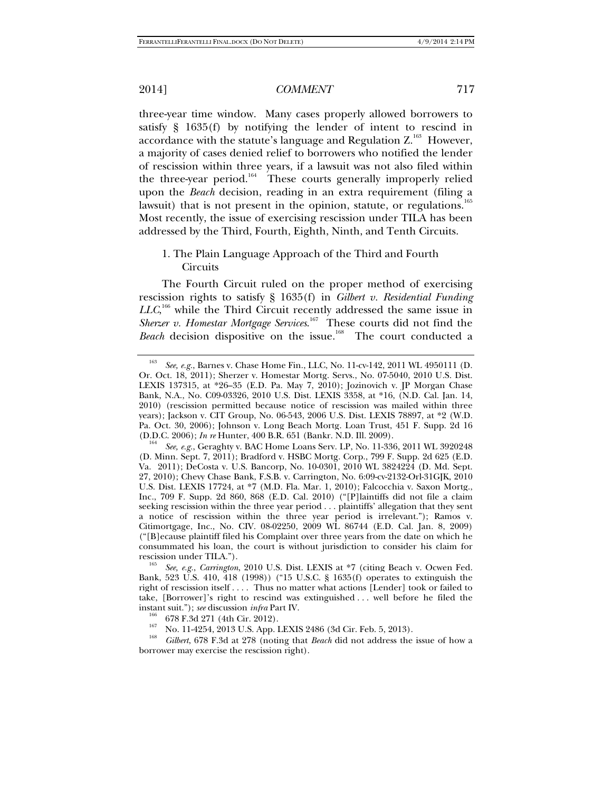three-year time window. Many cases properly allowed borrowers to satisfy § 1635(f) by notifying the lender of intent to rescind in accordance with the statute's language and Regulation  $Z.^{^{163}}$  However, a majority of cases denied relief to borrowers who notified the lender of rescission within three years, if a lawsuit was not also filed within the three-year period.<sup>164</sup> These courts generally improperly relied upon the *Beach* decision, reading in an extra requirement (filing a lawsuit) that is not present in the opinion, statute, or regulations.<sup>165</sup> Most recently, the issue of exercising rescission under TILA has been addressed by the Third, Fourth, Eighth, Ninth, and Tenth Circuits.

## 1. The Plain Language Approach of the Third and Fourth **Circuits**

The Fourth Circuit ruled on the proper method of exercising rescission rights to satisfy § 1635(f) in *Gilbert v. Residential Funding*  LLC,<sup>166</sup> while the Third Circuit recently addressed the same issue in *Sherzer v. Homestar Mortgage Services*. 167 These courts did not find the *Beach* decision dispositive on the issue.<sup>168</sup> The court conducted a

<sup>163</sup> *See, e.g.*, Barnes v. Chase Home Fin., LLC, No. 11-cv-142, 2011 WL 4950111 (D. Or. Oct. 18, 2011); Sherzer v. Homestar Mortg. Servs., No. 07-5040, 2010 U.S. Dist. LEXIS 137315, at \*26–35 (E.D. Pa. May 7, 2010); Jozinovich v. JP Morgan Chase Bank, N.A., No. C09-03326, 2010 U.S. Dist. LEXIS 3358, at \*16, (N.D. Cal. Jan. 14, 2010) (rescission permitted because notice of rescission was mailed within three years); Jackson v. CIT Group, No. 06-543, 2006 U.S. Dist. LEXIS 78897, at \*2 (W.D. Pa. Oct. 30, 2006); Johnson v. Long Beach Mortg. Loan Trust, 451 F. Supp. 2d 16 (D.D.C. 2006); *In re* Hunter, 400 B.R. 651 (Bankr. N.D. Ill. 2009).

*See, e.g.*, Geraghty v. BAC Home Loans Serv. LP, No. 11-336, 2011 WL 3920248 (D. Minn. Sept. 7, 2011); Bradford v. HSBC Mortg. Corp., 799 F. Supp. 2d 625 (E.D. Va. 2011); DeCosta v. U.S. Bancorp, No. 10-0301, 2010 WL 3824224 (D. Md. Sept. 27, 2010); Chevy Chase Bank, F.S.B. v. Carrington, No. 6:09-cv-2132-Orl-31GJK, 2010 U.S. Dist. LEXIS 17724, at \*7 (M.D. Fla. Mar. 1, 2010); Falcocchia v. Saxon Mortg., Inc., 709 F. Supp. 2d 860, 868 (E.D. Cal. 2010) ("[P]laintiffs did not file a claim seeking rescission within the three year period . . . plaintiffs' allegation that they sent a notice of rescission within the three year period is irrelevant."); Ramos v. Citimortgage, Inc., No. CIV. 08-02250, 2009 WL 86744 (E.D. Cal. Jan. 8, 2009) ("[B]ecause plaintiff filed his Complaint over three years from the date on which he consummated his loan, the court is without jurisdiction to consider his claim for rescission under TILA.").

See, e.g., Carrington, 2010 U.S. Dist. LEXIS at \*7 (citing Beach v. Ocwen Fed. Bank, 523 U.S. 410, 418 (1998)) ("15 U.S.C. § 1635(f) operates to extinguish the right of rescission itself . . . . Thus no matter what actions [Lender] took or failed to take, [Borrower]'s right to rescind was extinguished . . . well before he filed the instant suit."); see discussion infra Part IV.<br>  $^{166}$  678 F.3d 271 (4th Cir. 2012).<br>
No. 11-4254, 2013 U.S. App. LEXIS 2486 (3d Cir. Feb. 5, 2013).<br>  $^{167}$  No. 11-4254, 2013 U.S. App. LEXIS 2486 (3d Cir. Feb. 5, 2013).

borrower may exercise the rescission right).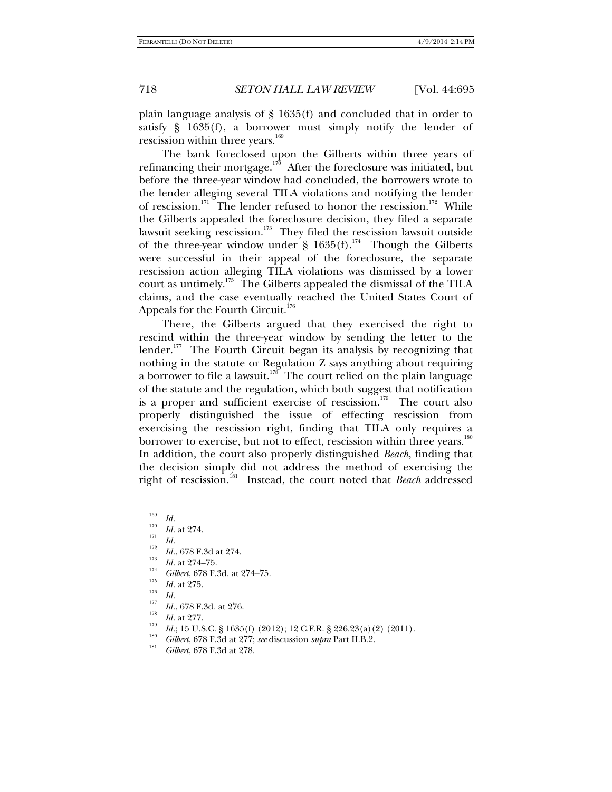plain language analysis of § 1635(f) and concluded that in order to satisfy § 1635(f), a borrower must simply notify the lender of rescission within three years.<sup>169</sup>

The bank foreclosed upon the Gilberts within three years of refinancing their mortgage.<sup>170</sup> After the foreclosure was initiated, but before the three-year window had concluded, the borrowers wrote to the lender alleging several TILA violations and notifying the lender of rescission.<sup>171</sup> The lender refused to honor the rescission.<sup>172</sup> While the Gilberts appealed the foreclosure decision, they filed a separate lawsuit seeking rescission.<sup>173</sup> They filed the rescission lawsuit outside of the three-year window under § 1635(f).<sup>174</sup> Though the Gilberts were successful in their appeal of the foreclosure, the separate rescission action alleging TILA violations was dismissed by a lower court as untimely.175 The Gilberts appealed the dismissal of the TILA claims, and the case eventually reached the United States Court of Appeals for the Fourth Circuit. $176$ 

There, the Gilberts argued that they exercised the right to rescind within the three-year window by sending the letter to the lender.<sup>177</sup> The Fourth Circuit began its analysis by recognizing that nothing in the statute or Regulation Z says anything about requiring a borrower to file a lawsuit.<sup>178</sup> The court relied on the plain language of the statute and the regulation, which both suggest that notification is a proper and sufficient exercise of rescission.<sup>179</sup> The court also properly distinguished the issue of effecting rescission from exercising the rescission right, finding that TILA only requires a borrower to exercise, but not to effect, rescission within three years.<sup>180</sup> In addition, the court also properly distinguished *Beach*, finding that the decision simply did not address the method of exercising the right of rescission.<sup>181</sup> Instead, the court noted that *Beach* addressed

- 
- <sup>174</sup> *Gilbert*, 678 F.3d. at 274–75.<br><sup>175</sup> *Id.* at 275.<br>*Id. Id.*
- 
- 
- 
- 
- *ITA Id.*, 678 F.3d. at 276.<br> *Id.* at 277.<br> *Id.*; 15 U.S.C. § 1635(f) (2012); 12 C.F.R. § 226.23(a)(2) (2011).
- <sup>180</sup> *Gilbert*, 678 F.3d at 277; *see* discussion *supra* Part II.B.2.
- *Gilbert*, 678 F.3d at 278.

<sup>169</sup>

<sup>&</sup>lt;sup>170</sup>*Id. Id.* **at 274**. <sup>171</sup>*Id.* **172** *Id.* 172

 $I_{173}$  *Id.*, 678 F.3d at 274.<br> *Id.* at 274–75.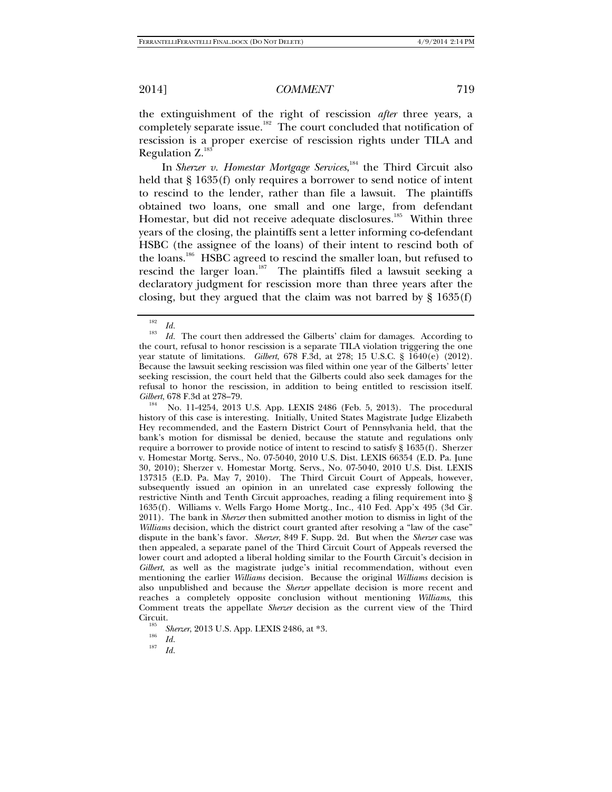the extinguishment of the right of rescission *after* three years, a completely separate issue.<sup>182</sup> The court concluded that notification of rescission is a proper exercise of rescission rights under TILA and Regulation  $Z.^{18}$ 

In *Sherzer v. Homestar Mortgage Services*, 184 the Third Circuit also held that § 1635(f) only requires a borrower to send notice of intent to rescind to the lender, rather than file a lawsuit. The plaintiffs obtained two loans, one small and one large, from defendant Homestar, but did not receive adequate disclosures.<sup>185</sup> Within three years of the closing, the plaintiffs sent a letter informing co-defendant HSBC (the assignee of the loans) of their intent to rescind both of the loans.<sup>186</sup> HSBC agreed to rescind the smaller loan, but refused to rescind the larger  $\lim_{n \to \infty}$  The plaintiffs filed a lawsuit seeking a declaratory judgment for rescission more than three years after the closing, but they argued that the claim was not barred by § 1635(f)

*Gilbert*, 678 F.3d at 278–79.<br><sup>184</sup> No. 11-4254, 2013 U.S. App. LEXIS 2486 (Feb. 5, 2013). The procedural history of this case is interesting. Initially, United States Magistrate Judge Elizabeth Hey recommended, and the Eastern District Court of Pennsylvania held, that the bank's motion for dismissal be denied, because the statute and regulations only require a borrower to provide notice of intent to rescind to satisfy § 1635(f). Sherzer v. Homestar Mortg. Servs., No. 07-5040, 2010 U.S. Dist. LEXIS 66354 (E.D. Pa. June 30, 2010); Sherzer v. Homestar Mortg. Servs., No. 07-5040, 2010 U.S. Dist. LEXIS 137315 (E.D. Pa. May 7, 2010). The Third Circuit Court of Appeals, however, subsequently issued an opinion in an unrelated case expressly following the restrictive Ninth and Tenth Circuit approaches, reading a filing requirement into § 1635(f). Williams v. Wells Fargo Home Mortg., Inc., 410 Fed. App'x 495 (3d Cir. 2011). The bank in *Sherzer* then submitted another motion to dismiss in light of the *Williams* decision, which the district court granted after resolving a "law of the case" dispute in the bank's favor. *Sherzer*, 849 F. Supp. 2d. But when the *Sherzer* case was then appealed, a separate panel of the Third Circuit Court of Appeals reversed the lower court and adopted a liberal holding similar to the Fourth Circuit's decision in *Gilbert*, as well as the magistrate judge's initial recommendation, without even mentioning the earlier *Williams* decision. Because the original *Williams* decision is also unpublished and because the *Sherzer* appellate decision is more recent and reaches a completely opposite conclusion without mentioning *Williams*, this Comment treats the appellate *Sherzer* decision as the current view of the Third Circuit.

<sup>185</sup> *Sherzer*, 2013 U.S. App. LEXIS 2486, at \*3.<br><sup>186</sup> *Id.* 187

*Id.*

 $\frac{182}{183}$  *Id.* 

*Id.* The court then addressed the Gilberts' claim for damages. According to the court, refusal to honor rescission is a separate TILA violation triggering the one year statute of limitations. *Gilbert*, 678 F.3d, at 278; 15 U.S.C. § 1640(e) (2012). Because the lawsuit seeking rescission was filed within one year of the Gilberts' letter seeking rescission, the court held that the Gilberts could also seek damages for the refusal to honor the rescission, in addition to being entitled to rescission itself.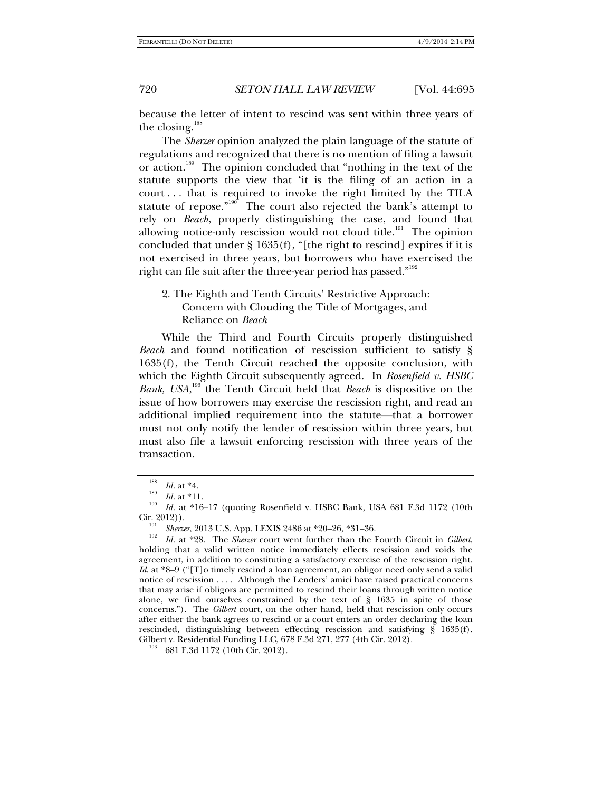because the letter of intent to rescind was sent within three years of the closing.<sup>188</sup>

The *Sherzer* opinion analyzed the plain language of the statute of regulations and recognized that there is no mention of filing a lawsuit or action.<sup>189</sup> The opinion concluded that "nothing in the text of the statute supports the view that 'it is the filing of an action in a court . . . that is required to invoke the right limited by the TILA statute of repose."<sup>190</sup> The court also rejected the bank's attempt to rely on *Beach*, properly distinguishing the case, and found that allowing notice-only rescission would not cloud title.<sup>191</sup> The opinion concluded that under  $\S 1635(f)$ , "[the right to rescind] expires if it is not exercised in three years, but borrowers who have exercised the right can file suit after the three-year period has passed."<sup>192</sup>

## 2. The Eighth and Tenth Circuits' Restrictive Approach: Concern with Clouding the Title of Mortgages, and Reliance on *Beach*

While the Third and Fourth Circuits properly distinguished *Beach* and found notification of rescission sufficient to satisfy § 1635(f), the Tenth Circuit reached the opposite conclusion, with which the Eighth Circuit subsequently agreed. In *Rosenfield v. HSBC Bank, USA*, 193 the Tenth Circuit held that *Beach* is dispositive on the issue of how borrowers may exercise the rescission right, and read an additional implied requirement into the statute—that a borrower must not only notify the lender of rescission within three years, but must also file a lawsuit enforcing rescission with three years of the transaction.

<sup>188</sup>

<sup>&</sup>lt;sup>188</sup> *Id.* at \*4.<br><sup>189</sup> *Id.* at \*11.

*Id.* at \*16–17 (quoting Rosenfield v. HSBC Bank, USA 681 F.3d 1172 (10th Cir. 2012)).<br><sup>191</sup> Sherzer, 2013 U.S. App. LEXIS 2486 at \*20–26, \*31–36.

<sup>&</sup>lt;sup>192</sup> Id. at \*28. The *Sherzer* court went further than the Fourth Circuit in *Gilbert*, holding that a valid written notice immediately effects rescission and voids the agreement, in addition to constituting a satisfactory exercise of the rescission right. *Id.* at \*8–9 ("[T]o timely rescind a loan agreement, an obligor need only send a valid notice of rescission . . . . Although the Lenders' amici have raised practical concerns that may arise if obligors are permitted to rescind their loans through written notice alone, we find ourselves constrained by the text of § 1635 in spite of those concerns."). The *Gilbert* court, on the other hand, held that rescission only occurs after either the bank agrees to rescind or a court enters an order declaring the loan rescinded, distinguishing between effecting rescission and satisfying § 1635(f). Gilbert v. Residential Funding LLC, 678 F.3d 271, 277 (4th Cir. 2012). 193 681 F.3d 1172 (10th Cir. 2012).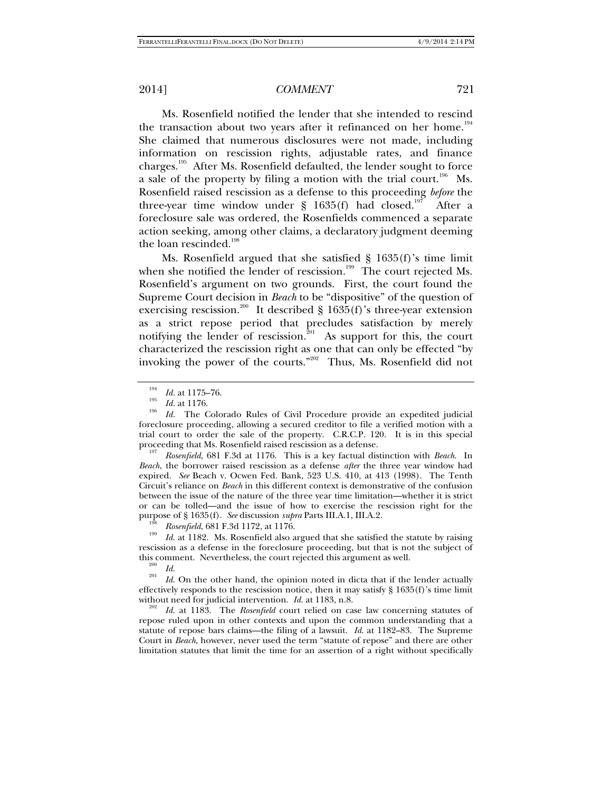Ms. Rosenfield notified the lender that she intended to rescind the transaction about two years after it refinanced on her home.<sup>194</sup> She claimed that numerous disclosures were not made, including information on rescission rights, adjustable rates, and finance charges.195 After Ms. Rosenfield defaulted, the lender sought to force a sale of the property by filing a motion with the trial court.<sup>196</sup> Ms. Rosenfield raised rescission as a defense to this proceeding *before* the three-year time window under § 1635(f) had closed.<sup>197</sup> After a foreclosure sale was ordered, the Rosenfields commenced a separate action seeking, among other claims, a declaratory judgment deeming the loan rescinded.<sup>198</sup>

Ms. Rosenfield argued that she satisfied § 1635(f)'s time limit when she notified the lender of rescission.<sup>199</sup> The court rejected Ms. Rosenfield's argument on two grounds. First, the court found the Supreme Court decision in *Beach* to be "dispositive" of the question of exercising rescission.<sup>200</sup> It described § 1635(f)'s three-year extension as a strict repose period that precludes satisfaction by merely notifying the lender of rescission.<sup>201</sup> As support for this, the court characterized the rescission right as one that can only be effected "by invoking the power of the courts."<sup>202</sup> Thus, Ms. Rosenfield did not

 *Rosenfield*, 681 F.3d at 1176. This is a key factual distinction with *Beach*. In *Beach*, the borrower raised rescission as a defense *after* the three year window had expired. *See* Beach v. Ocwen Fed. Bank, 523 U.S. 410, at 413 (1998). The Tenth Circuit's reliance on *Beach* in this different context is demonstrative of the confusion between the issue of the nature of the three year time limitation—whether it is strict or can be tolled—and the issue of how to exercise the rescission right for the purpose of § 1635(f). See discussion *supra* Parts III.A.1, III.A.2.

<sup>198</sup> Rosenfield, 681 F.3d 1172, at 1176.<br><sup>199</sup> *Id.* at 1182. Ms. Rosenfield also argued that she satisfied the statute by raising rescission as a defense in the foreclosure proceeding, but that is not the subject of this comment. Nevertheless, the court rejected this argument as well.<br> $\frac{200}{100}$  *Id.* 

<sup>201</sup> *Id*. On the other hand, the opinion noted in dicta that if the lender actually effectively responds to the rescission notice, then it may satisfy  $\S 1635(f)$ 's time limit without need for judicial intervention. *Id.* at 1183, n.8.

 *Id*. at 1183. The *Rosenfield* court relied on case law concerning statutes of repose ruled upon in other contexts and upon the common understanding that a statute of repose bars claims—the filing of a lawsuit. *Id*. at 1182–83. The Supreme Court in *Beach*, however, never used the term "statute of repose" and there are other limitation statutes that limit the time for an assertion of a right without specifically

<sup>194</sup> <sup>194</sup> *Id.* at 1175–76.<br><sup>195</sup> *Id.* at 1176.

*Id.* The Colorado Rules of Civil Procedure provide an expedited judicial foreclosure proceeding, allowing a secured creditor to file a verified motion with a trial court to order the sale of the property. C.R.C.P. 120. It is in this special proceeding that Ms. Rosenfield raised rescission as a defense.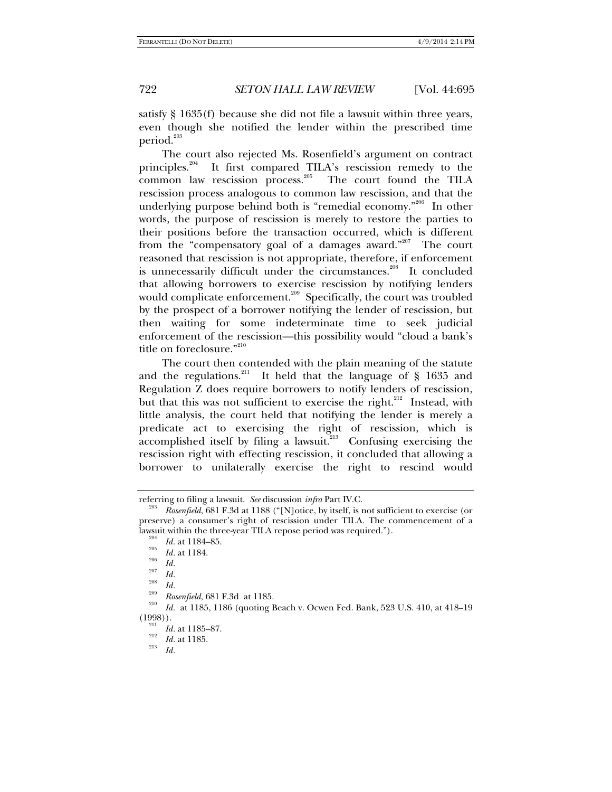satisfy § 1635(f) because she did not file a lawsuit within three years, even though she notified the lender within the prescribed time period.<sup>203</sup>

The court also rejected Ms. Rosenfield's argument on contract principles.<sup>204</sup> It first compared TILA's rescission remedy to the common law rescission process.<sup>205</sup> The court found the TILA rescission process analogous to common law rescission, and that the underlying purpose behind both is "remedial economy."<sup>206</sup> In other words, the purpose of rescission is merely to restore the parties to their positions before the transaction occurred, which is different from the "compensatory goal of a damages award."<sup>207</sup> The court reasoned that rescission is not appropriate, therefore, if enforcement is unnecessarily difficult under the circumstances.<sup>208</sup> It concluded that allowing borrowers to exercise rescission by notifying lenders would complicate enforcement.<sup>209</sup> Specifically, the court was troubled by the prospect of a borrower notifying the lender of rescission, but then waiting for some indeterminate time to seek judicial enforcement of the rescission—this possibility would "cloud a bank's title on foreclosure."<sup>210</sup>

The court then contended with the plain meaning of the statute and the regulations.<sup>211</sup> It held that the language of  $\S$  1635 and Regulation Z does require borrowers to notify lenders of rescission, but that this was not sufficient to exercise the right. $^{212}$  Instead, with little analysis, the court held that notifying the lender is merely a predicate act to exercising the right of rescission, which is accomplished itself by filing a lawsuit.<sup>213</sup> Confusing exercising the rescission right with effecting rescission, it concluded that allowing a borrower to unilaterally exercise the right to rescind would

 $\frac{1}{208}$  *Id.*  $\frac{1}{209}$ 

 *Id.* at 1185, 1186 (quoting Beach v. Ocwen Fed. Bank, 523 U.S. 410, at 418–19  $(1998)$ .

*Id.*

referring to filing a lawsuit. See discussion *infra* Part IV.C.

*Rosenfield*, 681 F.3d at 1188 ("[N]otice, by itself, is not sufficient to exercise (or preserve) a consumer's right of rescission under TILA. The commencement of a lawsuit within the three-year TILA repose period was required.").

<sup>&</sup>lt;sup>204</sup> *Id.* at 1184–85.<br><sup>205</sup> *Id.* at 1184.

 $\frac{200}{207}$  *Id.* 

<sup>&</sup>lt;sup>209</sup> *Rosenfield*, 681 F.3d at 1185.

 $I_{\text{212}}^{211}$  *Id.* at 1185–87.<br> *Id.* at 1185.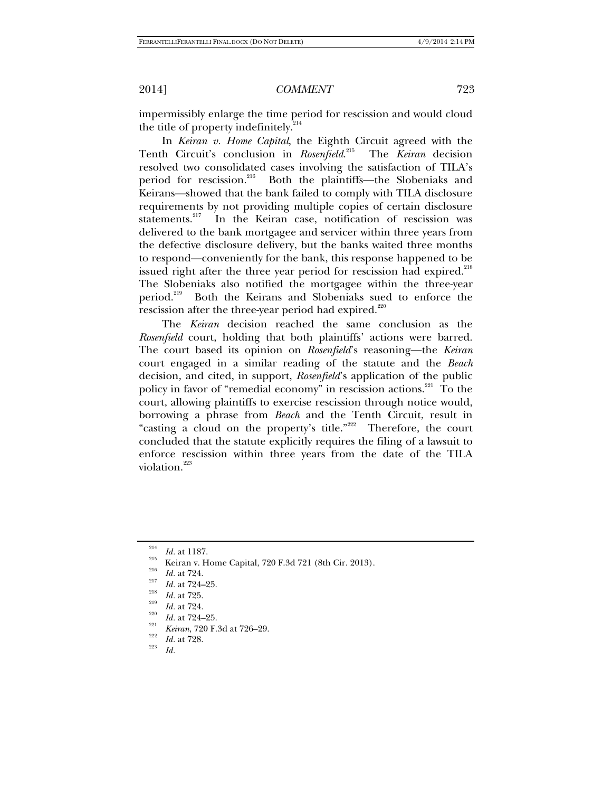impermissibly enlarge the time period for rescission and would cloud the title of property indefinitely. $214$ 

In *Keiran v. Home Capital*, the Eighth Circuit agreed with the Tenth Circuit's conclusion in *Rosenfield*. 215 The *Keiran* decision resolved two consolidated cases involving the satisfaction of TILA's period for rescission.<sup>216</sup> Both the plaintiffs—the Slobeniaks and Keirans—showed that the bank failed to comply with TILA disclosure requirements by not providing multiple copies of certain disclosure statements.<sup>217</sup> In the Keiran case, notification of rescission was delivered to the bank mortgagee and servicer within three years from the defective disclosure delivery, but the banks waited three months to respond—conveniently for the bank, this response happened to be issued right after the three year period for rescission had expired.<sup>218</sup> The Slobeniaks also notified the mortgagee within the three-year period.<sup>219</sup> Both the Keirans and Slobeniaks sued to enforce the rescission after the three-year period had expired.<sup>220</sup>

The *Keiran* decision reached the same conclusion as the *Rosenfield* court, holding that both plaintiffs' actions were barred. The court based its opinion on *Rosenfield*'s reasoning—the *Keiran*  court engaged in a similar reading of the statute and the *Beach*  decision, and cited, in support, *Rosenfield*'s application of the public policy in favor of "remedial economy" in rescission actions. $^{221}$  To the court, allowing plaintiffs to exercise rescission through notice would, borrowing a phrase from *Beach* and the Tenth Circuit, result in "casting a cloud on the property's title."222 Therefore, the court concluded that the statute explicitly requires the filing of a lawsuit to enforce rescission within three years from the date of the TILA violation.<sup>223</sup>

<sup>214</sup>

*Id.* at 1187.<br><sup>215</sup> Keiran v. Home Capital, 720 F.3d 721 (8th Cir. 2013).<br><sup>216</sup> *Id.* at 724.<br><sup>217</sup> *Id.* at 724–25.<br>*Id.* at 725.

<sup>&</sup>lt;sup>219</sup> *Id.* at 724.<br><sup>220</sup> *Id.* at 724–25.

<sup>&</sup>lt;sup>221</sup> *Keiran*, 720 F.3d at 726–29.<br><sup>222</sup> *Id.* at 728.

*Id.*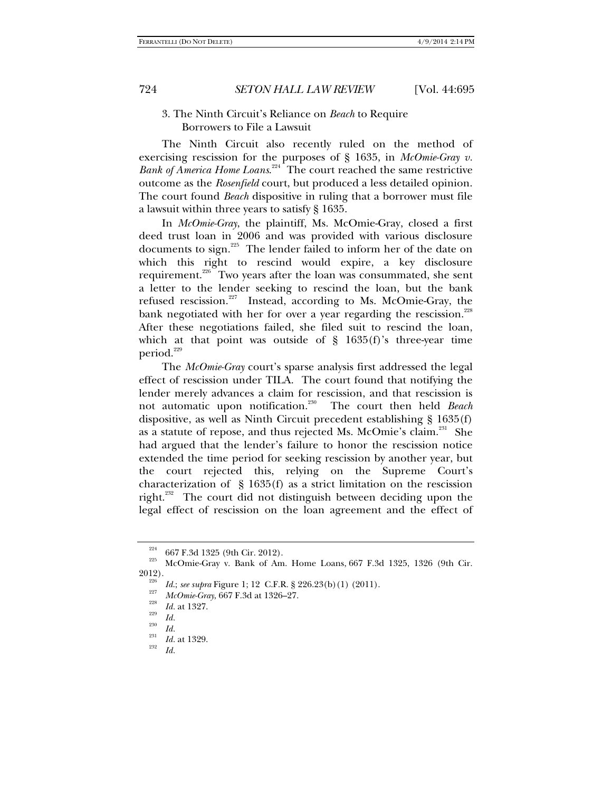### 3. The Ninth Circuit's Reliance on *Beach* to Require Borrowers to File a Lawsuit

The Ninth Circuit also recently ruled on the method of exercising rescission for the purposes of § 1635, in *McOmie-Gray v. Bank of America Home Loans*. 224 The court reached the same restrictive outcome as the *Rosenfield* court, but produced a less detailed opinion. The court found *Beach* dispositive in ruling that a borrower must file a lawsuit within three years to satisfy § 1635.

In *McOmie-Gray*, the plaintiff, Ms. McOmie-Gray, closed a first deed trust loan in 2006 and was provided with various disclosure documents to sign.225 The lender failed to inform her of the date on which this right to rescind would expire, a key disclosure requirement.<sup>226</sup> Two years after the loan was consummated, she sent a letter to the lender seeking to rescind the loan, but the bank refused rescission.<sup>227</sup> Instead, according to Ms. McOmie-Gray, the bank negotiated with her for over a year regarding the rescission.<sup>228</sup> After these negotiations failed, she filed suit to rescind the loan, which at that point was outside of  $\S$  1635(f)'s three-year time period.<sup>229</sup>

The *McOmie-Gray* court's sparse analysis first addressed the legal effect of rescission under TILA. The court found that notifying the lender merely advances a claim for rescission, and that rescission is not automatic upon notification.230 The court then held *Beach* dispositive, as well as Ninth Circuit precedent establishing § 1635(f) as a statute of repose, and thus rejected Ms. McOmie's claim.<sup>231</sup> She had argued that the lender's failure to honor the rescission notice extended the time period for seeking rescission by another year, but the court rejected this, relying on the Supreme Court's characterization of § 1635(f) as a strict limitation on the rescission right.<sup>232</sup> The court did not distinguish between deciding upon the legal effect of rescission on the loan agreement and the effect of

 $^{224}$  667 F.3d 1325 (9th Cir. 2012).<br><sup>225</sup> McOmie-Gray v. Bank of Am. Home Loans, 667 F.3d 1325, 1326 (9th Cir. 2012).<br>
<sup>226</sup> *Id.*; *see supra* Figure 1; 12 C.F.R. § 226.23(b)(1) (2011).

<sup>&</sup>lt;sup>227</sup> *McOmie-Gray*, 667 F.3d at 1326–27.<br><sup>228</sup> *Id.* at 1327.<br><sup>230</sup> *Id. Id.* 

 $\frac{231}{232}$  *Id.* at 1329.

*Id.*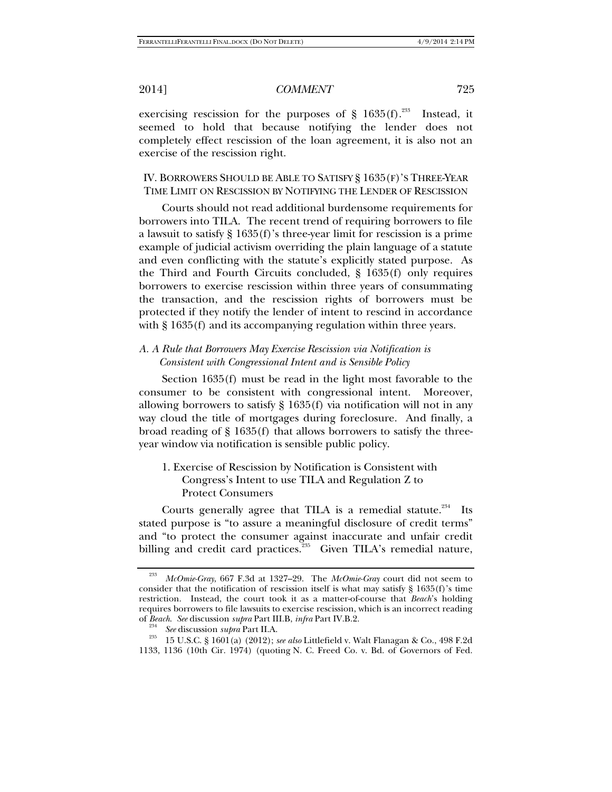exercising rescission for the purposes of  $\S$  1635(f).<sup>233</sup> Instead, it seemed to hold that because notifying the lender does not completely effect rescission of the loan agreement, it is also not an exercise of the rescission right.

IV. BORROWERS SHOULD BE ABLE TO SATISFY § 1635(F)'S THREE-YEAR TIME LIMIT ON RESCISSION BY NOTIFYING THE LENDER OF RESCISSION

Courts should not read additional burdensome requirements for borrowers into TILA. The recent trend of requiring borrowers to file a lawsuit to satisfy § 1635(f)'s three-year limit for rescission is a prime example of judicial activism overriding the plain language of a statute and even conflicting with the statute's explicitly stated purpose. As the Third and Fourth Circuits concluded, § 1635(f) only requires borrowers to exercise rescission within three years of consummating the transaction, and the rescission rights of borrowers must be protected if they notify the lender of intent to rescind in accordance with § 1635(f) and its accompanying regulation within three years.

## *A. A Rule that Borrowers May Exercise Rescission via Notification is Consistent with Congressional Intent and is Sensible Policy*

Section 1635(f) must be read in the light most favorable to the consumer to be consistent with congressional intent. Moreover, allowing borrowers to satisfy § 1635(f) via notification will not in any way cloud the title of mortgages during foreclosure. And finally, a broad reading of § 1635(f) that allows borrowers to satisfy the threeyear window via notification is sensible public policy.

## 1. Exercise of Rescission by Notification is Consistent with Congress's Intent to use TILA and Regulation Z to Protect Consumers

Courts generally agree that TILA is a remedial statute.<sup>234</sup> Its stated purpose is "to assure a meaningful disclosure of credit terms" and "to protect the consumer against inaccurate and unfair credit billing and credit card practices.<sup>235</sup> Given TILA's remedial nature,

<sup>233</sup> *McOmie-Gray*, 667 F.3d at 1327–29. The *McOmie-Gray* court did not seem to consider that the notification of rescission itself is what may satisfy  $\S$  1635(f)'s time restriction. Instead, the court took it as a matter-of-course that *Beach*'s holding requires borrowers to file lawsuits to exercise rescission, which is an incorrect reading of *Beach*. *See* discussion *supra* Part III.B, *infra* Part IV.B.2. 234

<sup>&</sup>lt;sup>235</sup> 15 U.S.C. § 1601(a) (2012); *see also* Littlefield v. Walt Flanagan & Co., 498 F.2d 1133, 1136 (10th Cir. 1974) (quoting N. C. Freed Co. v. Bd. of Governors of Fed.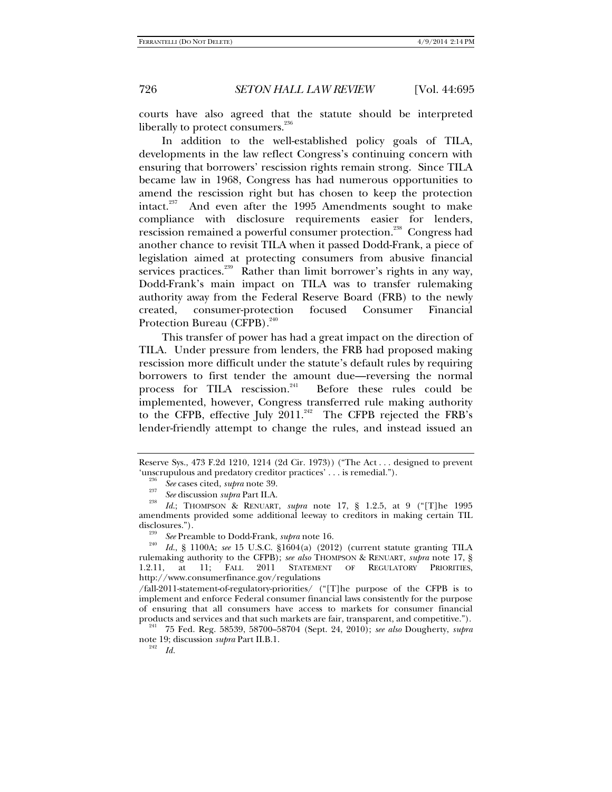courts have also agreed that the statute should be interpreted liberally to protect consumers. $236$ 

In addition to the well-established policy goals of TILA, developments in the law reflect Congress's continuing concern with ensuring that borrowers' rescission rights remain strong. Since TILA became law in 1968, Congress has had numerous opportunities to amend the rescission right but has chosen to keep the protection intact. $237$  And even after the 1995 Amendments sought to make compliance with disclosure requirements easier for lenders, rescission remained a powerful consumer protection.238 Congress had another chance to revisit TILA when it passed Dodd-Frank, a piece of legislation aimed at protecting consumers from abusive financial services practices.<sup>239</sup> Rather than limit borrower's rights in any way, Dodd-Frank's main impact on TILA was to transfer rulemaking authority away from the Federal Reserve Board (FRB) to the newly created, consumer-protection focused Consumer Financial Protection Bureau (CFPB).<sup>240</sup>

This transfer of power has had a great impact on the direction of TILA. Under pressure from lenders, the FRB had proposed making rescission more difficult under the statute's default rules by requiring borrowers to first tender the amount due—reversing the normal process for TILA rescission.<sup>241</sup> Before these rules could be implemented, however, Congress transferred rule making authority to the CFPB, effective July  $2011.^{242}$  The CFPB rejected the FRB's lender-friendly attempt to change the rules, and instead issued an

Reserve Sys., 473 F.2d 1210, 1214 (2d Cir. 1973)) ("The Act . . . designed to prevent 'unscrupulous and predatory creditor practices' . . . is remedial.").

<sup>&</sup>lt;sup>236</sup> *See* cases cited, *supra* note 39.<br><sup>237</sup> *See* discussion *supra* Part II.A.

<sup>&</sup>lt;sup>238</sup> *Id.*; THOMPSON & RENUART, *supra* note 17, § 1.2.5, at 9 ("[T]he 1995 amendments provided some additional leeway to creditors in making certain TIL disclosures."). 239 *See* Preamble to Dodd-Frank, *supra* note 16. 240

*Id*., § 1100A; *see* 15 U.S.C. §1604(a) (2012) (current statute granting TILA rulemaking authority to the CFPB); *see also* THOMPSON & RENUART, *supra* note 17, § 1.2.11, at 11; FALL 2011 STATEMENT OF REGULATORY PRIORITIES, http://www.consumerfinance.gov/regulations

<sup>/</sup>fall-2011-statement-of-regulatory-priorities/ ("[T]he purpose of the CFPB is to implement and enforce Federal consumer financial laws consistently for the purpose of ensuring that all consumers have access to markets for consumer financial products and services and that such markets are fair, transparent, and competitive.").

products and services and that such markets are fair, transparent, and competitive."). 241 75 Fed. Reg. 58539, 58700–58704 (Sept. 24, 2010); *see also* Dougherty, *supra* note 19; discussion *supra* Part II.B.1.

 $^{242}$  *Id.*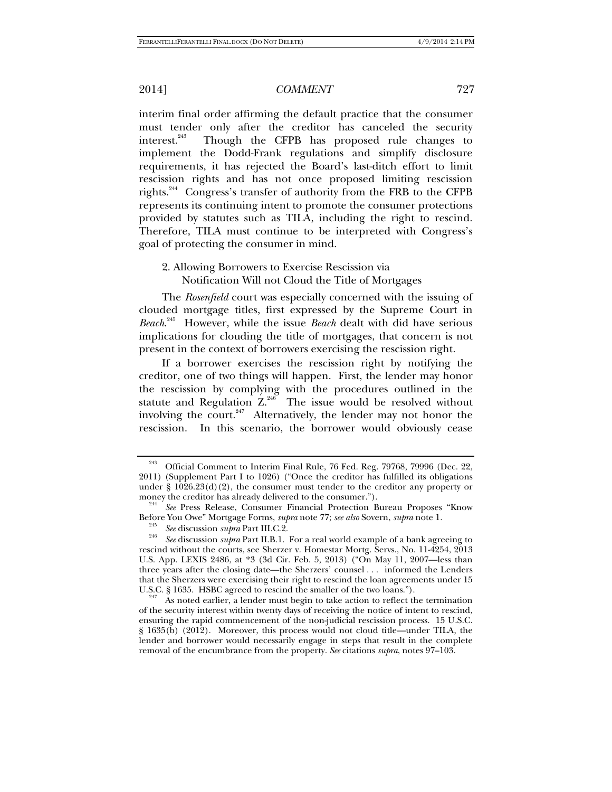interim final order affirming the default practice that the consumer must tender only after the creditor has canceled the security interest.<sup>243</sup> Though the CFPB has proposed rule changes to Though the CFPB has proposed rule changes to implement the Dodd-Frank regulations and simplify disclosure requirements, it has rejected the Board's last-ditch effort to limit rescission rights and has not once proposed limiting rescission rights.<sup>244</sup> Congress's transfer of authority from the FRB to the CFPB represents its continuing intent to promote the consumer protections provided by statutes such as TILA, including the right to rescind. Therefore, TILA must continue to be interpreted with Congress's goal of protecting the consumer in mind.

## 2. Allowing Borrowers to Exercise Rescission via Notification Will not Cloud the Title of Mortgages

The *Rosenfield* court was especially concerned with the issuing of clouded mortgage titles, first expressed by the Supreme Court in *Beach*. 245 However, while the issue *Beach* dealt with did have serious implications for clouding the title of mortgages, that concern is not present in the context of borrowers exercising the rescission right.

If a borrower exercises the rescission right by notifying the creditor, one of two things will happen. First, the lender may honor the rescission by complying with the procedures outlined in the statute and Regulation  $Z^{246}$  The issue would be resolved without involving the court.<sup>247</sup> Alternatively, the lender may not honor the rescission. In this scenario, the borrower would obviously cease

Official Comment to Interim Final Rule, 76 Fed. Reg. 79768, 79996 (Dec. 22, 2011) (Supplement Part I to 1026) ("Once the creditor has fulfilled its obligations under  $\S 1026.23(d)(2)$ , the consumer must tender to the creditor any property or money the creditor has already delivered to the consumer.").

<sup>&</sup>lt;sup>244</sup> See Press Release, Consumer Financial Protection Bureau Proposes "Know Before You Owe" Mortgage Forms, *supra* note 77; *see also* Sovern, *supra* note 1. 245

<sup>&</sup>lt;sup>246</sup> *See* discussion *supra* Part II.B.1. For a real world example of a bank agreeing to rescind without the courts, see Sherzer v. Homestar Mortg. Servs., No. 11-4254, 2013 U.S. App. LEXIS 2486, at \*3 (3d Cir. Feb. 5, 2013) ("On May 11, 2007—less than three years after the closing date—the Sherzers' counsel . . . informed the Lenders that the Sherzers were exercising their right to rescind the loan agreements under 15 U.S.C. § 1635. HSBC agreed to rescind the smaller of the two loans.").

 $\overline{P_{247}}$  As noted earlier, a lender must begin to take action to reflect the termination of the security interest within twenty days of receiving the notice of intent to rescind, ensuring the rapid commencement of the non-judicial rescission process. 15 U.S.C. § 1635(b) (2012). Moreover, this process would not cloud title—under TILA, the lender and borrower would necessarily engage in steps that result in the complete removal of the encumbrance from the property. *See* citations *supra*, notes 97–103.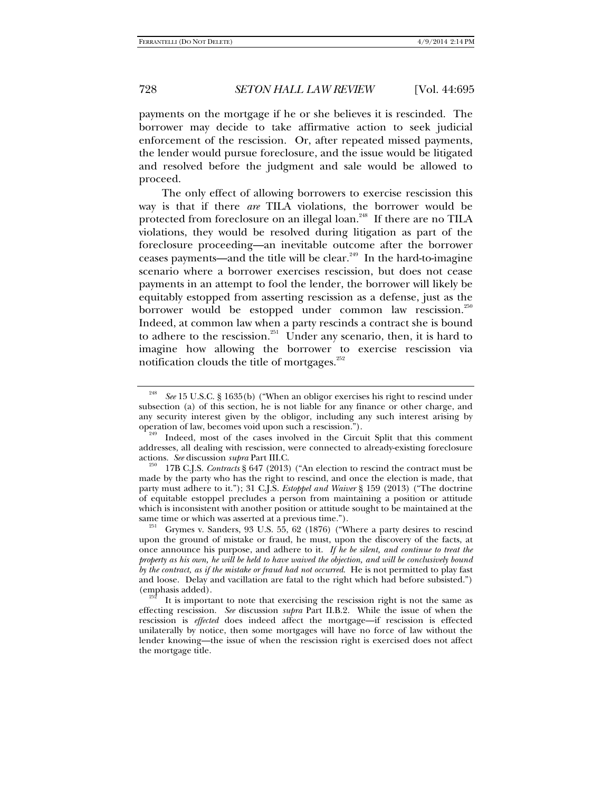payments on the mortgage if he or she believes it is rescinded. The borrower may decide to take affirmative action to seek judicial enforcement of the rescission. Or, after repeated missed payments, the lender would pursue foreclosure, and the issue would be litigated and resolved before the judgment and sale would be allowed to proceed.

The only effect of allowing borrowers to exercise rescission this way is that if there *are* TILA violations, the borrower would be protected from foreclosure on an illegal loan.<sup>248</sup> If there are no TILA violations, they would be resolved during litigation as part of the foreclosure proceeding—an inevitable outcome after the borrower ceases payments—and the title will be clear.<sup>249</sup> In the hard-to-imagine scenario where a borrower exercises rescission, but does not cease payments in an attempt to fool the lender, the borrower will likely be equitably estopped from asserting rescission as a defense, just as the borrower would be estopped under common law rescission.<sup>250</sup> Indeed, at common law when a party rescinds a contract she is bound to adhere to the rescission.<sup>251</sup> Under any scenario, then, it is hard to imagine how allowing the borrower to exercise rescission via notification clouds the title of mortgages. $252$ 

<sup>248</sup> *See* 15 U.S.C. § 1635(b) ("When an obligor exercises his right to rescind under subsection (a) of this section, he is not liable for any finance or other charge, and any security interest given by the obligor, including any such interest arising by

operation of law, becomes void upon such a rescission.").<br><sup>249</sup> Indeed, most of the cases involved in the Circuit Split that this comment addresses, all dealing with rescission, were connected to already-existing foreclosure actions. See discussion supra Part III.C.

<sup>&</sup>lt;sup>250</sup> 17B C.J.S. *Contracts* § 647 (2013) ("An election to rescind the contract must be made by the party who has the right to rescind, and once the election is made, that party must adhere to it."); 31 C.J.S. *Estoppel and Waiver* § 159 (2013) ("The doctrine of equitable estoppel precludes a person from maintaining a position or attitude which is inconsistent with another position or attitude sought to be maintained at the same time or which was asserted at a previous time.").<br><sup>251</sup> Grymes v. Sanders, 93 U.S. 55, 62 (1876) ("Where a party desires to rescind

upon the ground of mistake or fraud, he must, upon the discovery of the facts, at once announce his purpose, and adhere to it. *If he be silent, and continue to treat the property as his own, he will be held to have waived the objection, and will be conclusively bound by the contract, as if the mistake or fraud had not occurred*. He is not permitted to play fast and loose. Delay and vacillation are fatal to the right which had before subsisted.") (emphasis added).<br><sup>252</sup> It is important to note that exercising the rescission right is not the same as

effecting rescission. *See* discussion *supra* Part II.B.2. While the issue of when the rescission is *effected* does indeed affect the mortgage—if rescission is effected unilaterally by notice, then some mortgages will have no force of law without the lender knowing—the issue of when the rescission right is exercised does not affect the mortgage title.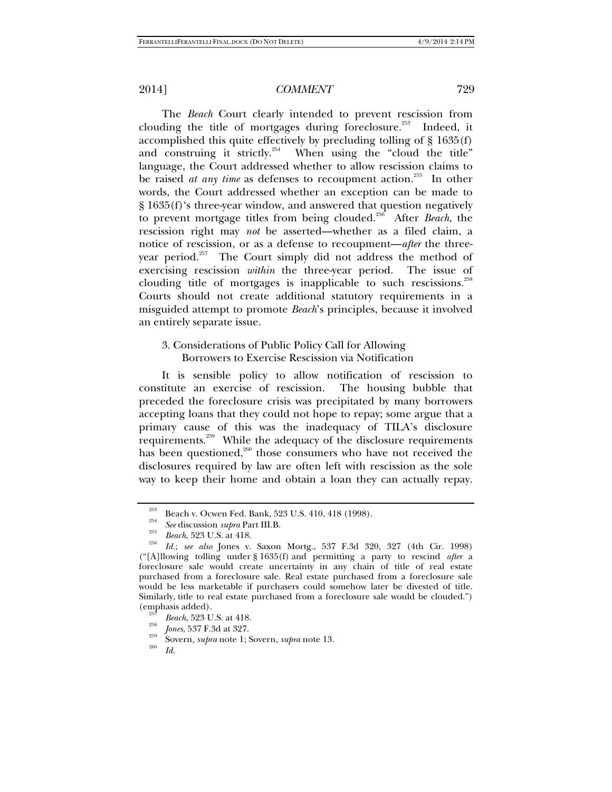The *Beach* Court clearly intended to prevent rescission from clouding the title of mortgages during foreclosure.<sup>253</sup> Indeed, it accomplished this quite effectively by precluding tolling of § 1635(f) and construing it strictly.<sup>254</sup> When using the "cloud the title" language, the Court addressed whether to allow rescission claims to be raised *at any time* as defenses to recoupment action.<sup>255</sup> In other words, the Court addressed whether an exception can be made to § 1635(f)'s three-year window, and answered that question negatively to prevent mortgage titles from being clouded.256 After *Beach*, the rescission right may *not* be asserted—whether as a filed claim, a notice of rescission, or as a defense to recoupment—*after* the threeyear period.<sup>257</sup> The Court simply did not address the method of exercising rescission *within* the three-year period. The issue of clouding title of mortgages is inapplicable to such rescissions.<sup>258</sup> Courts should not create additional statutory requirements in a misguided attempt to promote *Beach*'s principles, because it involved an entirely separate issue.

## 3. Considerations of Public Policy Call for Allowing Borrowers to Exercise Rescission via Notification

It is sensible policy to allow notification of rescission to constitute an exercise of rescission. The housing bubble that preceded the foreclosure crisis was precipitated by many borrowers accepting loans that they could not hope to repay; some argue that a primary cause of this was the inadequacy of TILA's disclosure requirements.<sup>259</sup> While the adequacy of the disclosure requirements has been questioned,<sup>260</sup> those consumers who have not received the disclosures required by law are often left with rescission as the sole way to keep their home and obtain a loan they can actually repay.

<sup>&</sup>lt;sup>253</sup> Beach v. Ocwen Fed. Bank, 523 U.S. 410, 418 (1998).<br><sup>254</sup> See discussion *supra* Part III.B.

*See* discussion *supra* Part III.B. 255 *Beach*, 523 U.S. at 418. 256 *Id.*; *see also* Jones v. Saxon Mortg., 537 F.3d 320, 327 (4th Cir. 1998) ("[A]llowing tolling under § 1635(f) and permitting a party to rescind *after* a foreclosure sale would create uncertainty in any chain of title of real estate purchased from a foreclosure sale. Real estate purchased from a foreclosure sale would be less marketable if purchasers could somehow later be divested of title. Similarly, title to real estate purchased from a foreclosure sale would be clouded.") emphasis added).<br><sup>257</sup> *Beach*, 523 U.S. at 418.<br>*258 Jones*, 537 F.3d at 327.

<sup>&</sup>lt;sup>259</sup> Sovern, *supra* note 1; Sovern, *supra* note 13.

*Id.*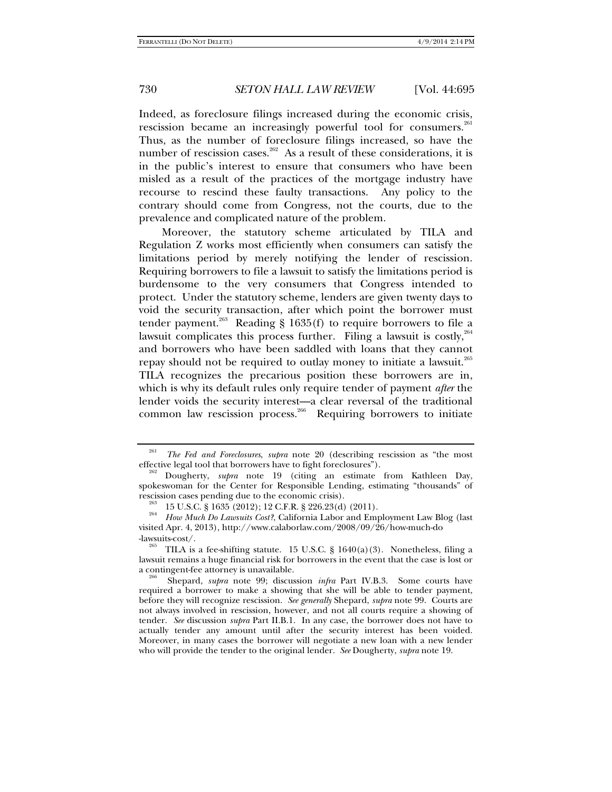Indeed, as foreclosure filings increased during the economic crisis, rescission became an increasingly powerful tool for consumers.<sup>261</sup> Thus, as the number of foreclosure filings increased, so have the number of rescission cases.<sup>262</sup> As a result of these considerations, it is in the public's interest to ensure that consumers who have been misled as a result of the practices of the mortgage industry have recourse to rescind these faulty transactions. Any policy to the contrary should come from Congress, not the courts, due to the prevalence and complicated nature of the problem.

Moreover, the statutory scheme articulated by TILA and Regulation Z works most efficiently when consumers can satisfy the limitations period by merely notifying the lender of rescission. Requiring borrowers to file a lawsuit to satisfy the limitations period is burdensome to the very consumers that Congress intended to protect. Under the statutory scheme, lenders are given twenty days to void the security transaction, after which point the borrower must tender payment.<sup>263</sup> Reading § 1635(f) to require borrowers to file a lawsuit complicates this process further. Filing a lawsuit is costly,  $2^{64}$ and borrowers who have been saddled with loans that they cannot repay should not be required to outlay money to initiate a lawsuit.<sup>265</sup> TILA recognizes the precarious position these borrowers are in, which is why its default rules only require tender of payment *after* the lender voids the security interest—a clear reversal of the traditional common law rescission process.<sup>266</sup> Requiring borrowers to initiate

<sup>&</sup>lt;sup>261</sup> *The Fed and Foreclosures*, *supra* note 20 (describing rescission as "the most effective legal tool that borrowers have to fight foreclosures").

Dougherty, *supra* note 19 (citing an estimate from Kathleen Day, spokeswoman for the Center for Responsible Lending, estimating "thousands" of rescission cases pending due to the economic crisis).<br><sup>263</sup> 15 U.S.C. § 1635 (2012); 12 C.F.R. § 226.23(d) (2011).<br>*How Much Do Lawsuits Cost?*, California Labor and Employment Law Blog (last

visited Apr. 4, 2013), http://www.calaborlaw.com/2008/09/26/how-much-do

<sup>-</sup>lawsuits-cost/.<br><sup>265</sup> TILA is a fee-shifting statute. 15 U.S.C. § 1640(a)(3). Nonetheless, filing a lawsuit remains a huge financial risk for borrowers in the event that the case is lost or a contingent-fee attorney is unavailable.

Shepard, *supra* note 99; discussion *infra* Part IV.B.3. Some courts have required a borrower to make a showing that she will be able to tender payment, before they will recognize rescission. *See generally* Shepard, *supra* note 99. Courts are not always involved in rescission, however, and not all courts require a showing of tender. *See* discussion *supra* Part II.B.1. In any case, the borrower does not have to actually tender any amount until after the security interest has been voided. Moreover, in many cases the borrower will negotiate a new loan with a new lender who will provide the tender to the original lender. *See* Dougherty, *supra* note 19.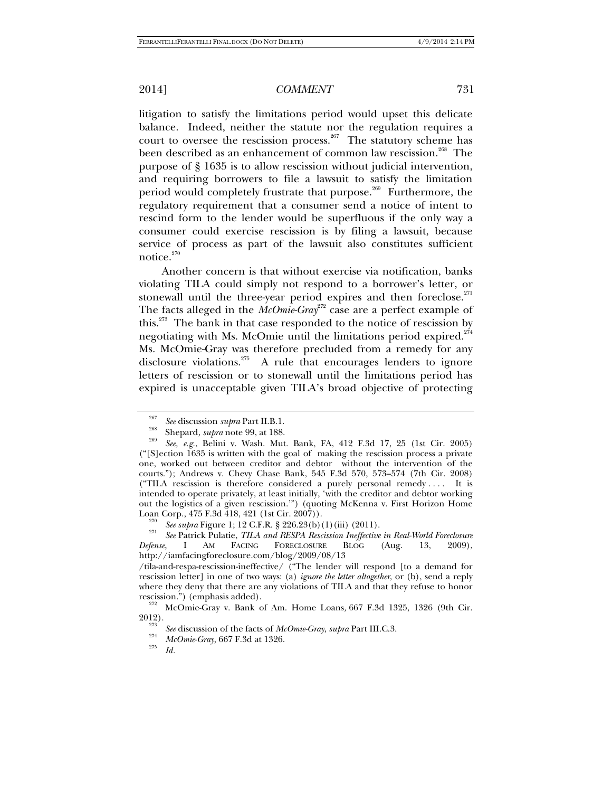litigation to satisfy the limitations period would upset this delicate balance. Indeed, neither the statute nor the regulation requires a court to oversee the rescission process.<sup>267</sup> The statutory scheme has been described as an enhancement of common law rescission.<sup>268</sup> The purpose of § 1635 is to allow rescission without judicial intervention, and requiring borrowers to file a lawsuit to satisfy the limitation period would completely frustrate that purpose.<sup>269</sup> Furthermore, the regulatory requirement that a consumer send a notice of intent to rescind form to the lender would be superfluous if the only way a consumer could exercise rescission is by filing a lawsuit, because service of process as part of the lawsuit also constitutes sufficient notice.<sup>270</sup>

Another concern is that without exercise via notification, banks violating TILA could simply not respond to a borrower's letter, or stonewall until the three-year period expires and then foreclose. $271$ The facts alleged in the *McOmie-Gray*<sup>272</sup> case are a perfect example of this.<sup>273</sup> The bank in that case responded to the notice of rescission by negotiating with Ms. McOmie until the limitations period expired.<sup> $274$ </sup> Ms. McOmie-Gray was therefore precluded from a remedy for any disclosure violations.<sup>275</sup> A rule that encourages lenders to ignore letters of rescission or to stonewall until the limitations period has expired is unacceptable given TILA's broad objective of protecting

<sup>267</sup>

<sup>&</sup>lt;sup>267</sup> See discussion *supra* Part II.B.1.<br><sup>268</sup> Shepard, *supra* note 99, at 188.

*See, e.g.*, Belini v. Wash. Mut. Bank, FA, 412 F.3d 17, 25 (1st Cir. 2005) ("[S]ection 1635 is written with the goal of making the rescission process a private one, worked out between creditor and debtor without the intervention of the courts."); Andrews v. Chevy Chase Bank, 545 F.3d 570, 573–574 (7th Cir. 2008) ("TILA rescission is therefore considered a purely personal remedy .... It is intended to operate privately, at least initially, 'with the creditor and debtor working out the logistics of a given rescission.'") (quoting McKenna v. First Horizon Home Loan Corp., 475 F.3d 418, 421 (1st Cir. 2007)).<br><sup>270</sup> See supra Figure 1; 12 C.F.R. § 226.23(b)(1)(iii) (2011).

<sup>&</sup>lt;sup>271</sup> *See Patrick Pulatie, <i>TILA and RESPA Rescission Ineffective in Real-World Foreclosure Defense*, I AM FACING FORECLOSURE BLOG (Aug. 13, 2009), http://iamfacingforeclosure.com/blog/2009/08/13

<sup>/</sup>tila-and-respa-rescission-ineffective/ ("The lender will respond [to a demand for rescission letter] in one of two ways: (a) *ignore the letter altogether*, or (b), send a reply where they deny that there are any violations of TILA and that they refuse to honor rescission.") (emphasis added). 272 McOmie-Gray v. Bank of Am. Home Loans*,* 667 F.3d 1325, 1326 (9th Cir.

 $2012$ ).

*See* discussion of the facts of *McOmie-Gray*, *supra* Part III.C.3. 274 *McOmie-Gray*, 667 F.3d at 1326. 275

*Id.*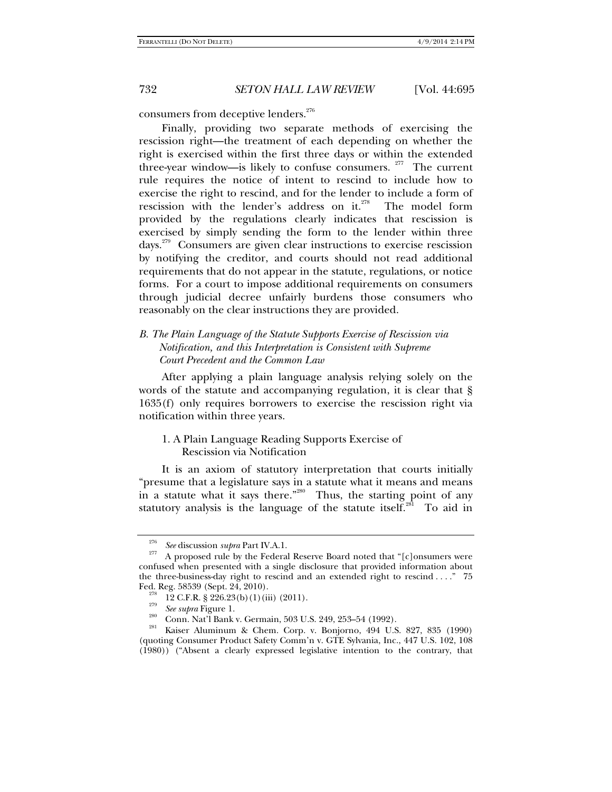consumers from deceptive lenders.<sup>276</sup>

Finally, providing two separate methods of exercising the rescission right—the treatment of each depending on whether the right is exercised within the first three days or within the extended three-year window—is likely to confuse consumers.  $277$  The current rule requires the notice of intent to rescind to include how to exercise the right to rescind, and for the lender to include a form of rescission with the lender's address on it.<sup>278</sup> The model form provided by the regulations clearly indicates that rescission is exercised by simply sending the form to the lender within three days.279 Consumers are given clear instructions to exercise rescission by notifying the creditor, and courts should not read additional requirements that do not appear in the statute, regulations, or notice forms. For a court to impose additional requirements on consumers through judicial decree unfairly burdens those consumers who reasonably on the clear instructions they are provided.

## *B. The Plain Language of the Statute Supports Exercise of Rescission via Notification, and this Interpretation is Consistent with Supreme Court Precedent and the Common Law*

After applying a plain language analysis relying solely on the words of the statute and accompanying regulation, it is clear that § 1635(f) only requires borrowers to exercise the rescission right via notification within three years.

## 1. A Plain Language Reading Supports Exercise of Rescission via Notification

It is an axiom of statutory interpretation that courts initially "presume that a legislature says in a statute what it means and means in a statute what it says there."<sup>280</sup> Thus, the starting point of any statutory analysis is the language of the statute itself.<sup>281</sup> To aid in

<sup>&</sup>lt;sup>276</sup> See discussion *supra* Part IV.A.1.<br><sup>277</sup> A proposed rule by the Federal Reserve Board noted that "[c]onsumers were confused when presented with a single disclosure that provided information about the three-business-day right to rescind and an extended right to rescind . . . ." 75 Fed. Reg. 58539 (Sept. 24, 2010).

<sup>&</sup>lt;sup>278</sup> 12 C.F.R. § 226.23(b)(1)(iii) (2011).<br><sup>279</sup> *See supra* Figure 1.

*See supra* Figure 1. 280 Conn. Nat'l Bank v. Germain, 503 U.S. 249, 253–54 (1992). 281 Kaiser Aluminum & Chem. Corp. v. Bonjorno, 494 U.S. 827, 835 (1990) (quoting Consumer Product Safety Comm'n v. GTE Sylvania, Inc., 447 U.S. 102, 108 (1980)) ("Absent a clearly expressed legislative intention to the contrary, that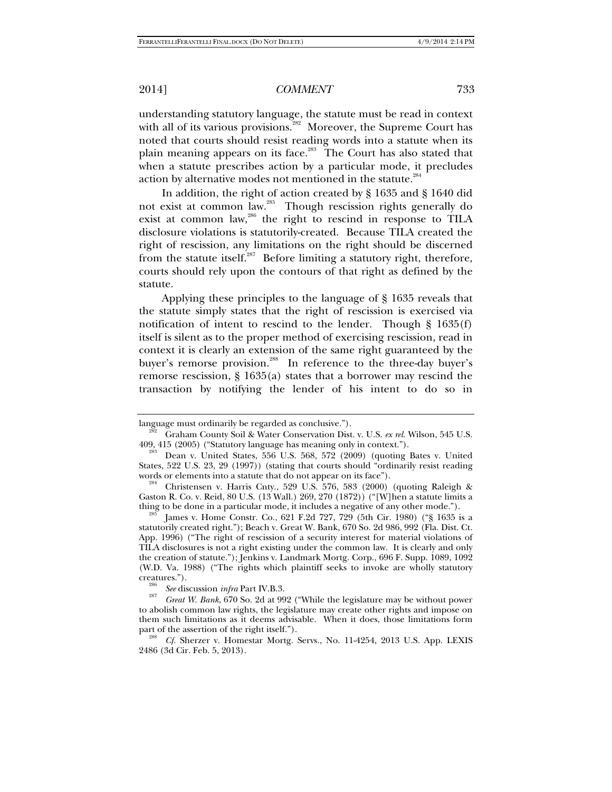understanding statutory language, the statute must be read in context with all of its various provisions.<sup>282</sup> Moreover, the Supreme Court has noted that courts should resist reading words into a statute when its plain meaning appears on its face.<sup>283</sup> The Court has also stated that when a statute prescribes action by a particular mode, it precludes action by alternative modes not mentioned in the statute. $24$ 

In addition, the right of action created by § 1635 and § 1640 did not exist at common law.<sup>285</sup> Though rescission rights generally do exist at common law,<sup>286</sup> the right to rescind in response to TILA disclosure violations is statutorily-created. Because TILA created the right of rescission, any limitations on the right should be discerned from the statute itself.<sup>287</sup> Before limiting a statutory right, therefore, courts should rely upon the contours of that right as defined by the statute.

Applying these principles to the language of § 1635 reveals that the statute simply states that the right of rescission is exercised via notification of intent to rescind to the lender. Though § 1635(f) itself is silent as to the proper method of exercising rescission, read in context it is clearly an extension of the same right guaranteed by the buyer's remorse provision.<sup>288</sup> In reference to the three-day buyer's remorse rescission, § 1635(a) states that a borrower may rescind the transaction by notifying the lender of his intent to do so in

language must ordinarily be regarded as conclusive."). 282 Graham County Soil & Water Conservation Dist. v. U.S. *ex rel.* Wilson, 545 U.S. 409, 415 (2005) ("Statutory language has meaning only in context.").<br><sup>283</sup> Dean v. United States, 556 U.S. 568, 572 (2009) (quoting Bates v. United

States, 522 U.S. 23, 29 (1997)) (stating that courts should "ordinarily resist reading words or elements into a statute that do not appear on its face").

<sup>&</sup>lt;sup>284</sup> Christensen v. Harris Cnty., 529 U.S. 576, 583 (2000) (quoting Raleigh & Gaston R. Co. v. Reid, 80 U.S. (13 Wall.) 269, 270 (1872)) ("[W]hen a statute limits a thing to be done in a particular mode, it includes a negative of any other mode.").

James v. Home Constr. Co., 621 F.2d 727, 729 (5th Cir. 1980) ("§ 1635 is a statutorily created right."); Beach v. Great W. Bank, 670 So. 2d 986, 992 (Fla. Dist. Ct. App. 1996) ("The right of rescission of a security interest for material violations of TILA disclosures is not a right existing under the common law. It is clearly and only the creation of statute."); Jenkins v. Landmark Mortg. Corp., 696 F. Supp. 1089, 1092 (W.D. Va. 1988) ("The rights which plaintiff seeks to invoke are wholly statutory creatures."). 286 *See* discussion *infra* Part IV.B.3. 287

*Great W. Bank*, 670 So. 2d at 992 ("While the legislature may be without power to abolish common law rights, the legislature may create other rights and impose on them such limitations as it deems advisable. When it does, those limitations form part of the assertion of the right itself.").<br><sup>288</sup> *Cf.* Sherzer v. Homestar Mortg. Servs., No. 11-4254, 2013 U.S. App. LEXIS

<sup>2486 (3</sup>d Cir. Feb. 5, 2013).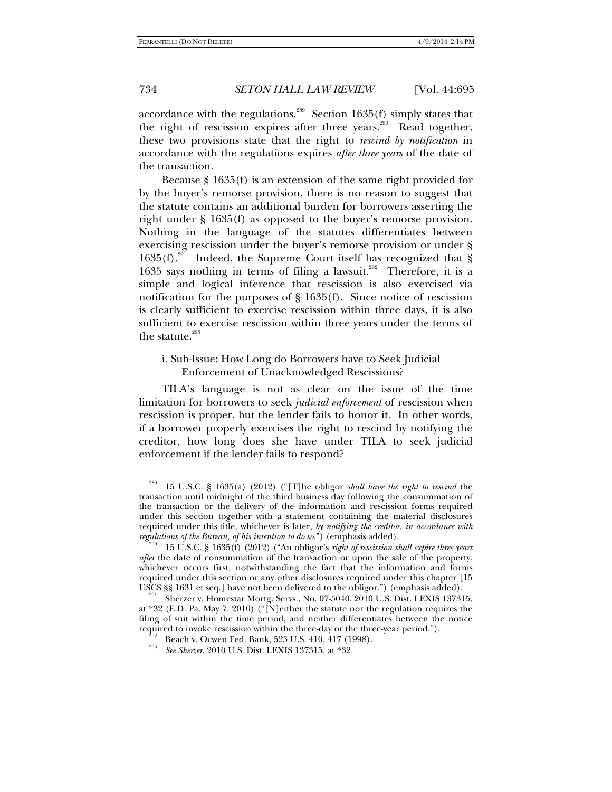accordance with the regulations.<sup>289</sup> Section 1635(f) simply states that the right of rescission expires after three years.<sup>290</sup> Read together, these two provisions state that the right to *rescind by notification* in accordance with the regulations expires *after three years* of the date of the transaction.

Because § 1635(f) is an extension of the same right provided for by the buyer's remorse provision, there is no reason to suggest that the statute contains an additional burden for borrowers asserting the right under § 1635(f) as opposed to the buyer's remorse provision. Nothing in the language of the statutes differentiates between exercising rescission under the buyer's remorse provision or under §  $1635(f).^{291}$  Indeed, the Supreme Court itself has recognized that § 1635 says nothing in terms of filing a lawsuit.<sup>292</sup> Therefore, it is a simple and logical inference that rescission is also exercised via notification for the purposes of § 1635(f). Since notice of rescission is clearly sufficient to exercise rescission within three days, it is also sufficient to exercise rescission within three years under the terms of the statute. $293$ 

### i. Sub-Issue: How Long do Borrowers have to Seek Judicial Enforcement of Unacknowledged Rescissions?

TILA's language is not as clear on the issue of the time limitation for borrowers to seek *judicial enforcement* of rescission when rescission is proper, but the lender fails to honor it. In other words, if a borrower properly exercises the right to rescind by notifying the creditor, how long does she have under TILA to seek judicial enforcement if the lender fails to respond?

<sup>289 15</sup> U.S.C. § 1635(a) (2012) ("[T]he obligor *shall have the right to rescind* the transaction until midnight of the third business day following the consummation of the transaction or the delivery of the information and rescission forms required under this section together with a statement containing the material disclosures required under this title, whichever is later, *by notifying the creditor, in accordance with regulations of the Bureau, of his intention to do so.*") (emphasis added).

<sup>15</sup> U.S.C. § 1635(f) (2012) ("An obligor's *right of rescission shall expire three years after* the date of consummation of the transaction or upon the sale of the property, whichever occurs first, notwithstanding the fact that the information and forms required under this section or any other disclosures required under this chapter [15 USCS §§ 1631 et seq.] have not been delivered to the obligor.") (emphasis added).

Sherzer v. Homestar Mortg. Servs., No. 07-5040, 2010 U.S. Dist. LEXIS 137315, at \*32 (E.D. Pa. May 7, 2010) ("[N]either the statute nor the regulation requires the filing of suit within the time period, and neither differentiates between the notice required to invoke rescission within the three-day or the three-year period.").<br>
<sup>292</sup> Beach v. Ocwen Fed. Bank, 523 U.S. 410, 417 (1998).<br>
<sup>293</sup> Beach v. Ocwen Fed. Bank, 523 U.S. 410, 417 (1998).

*See Sherzer*, 2010 U.S. Dist. LEXIS 137315, at \*32.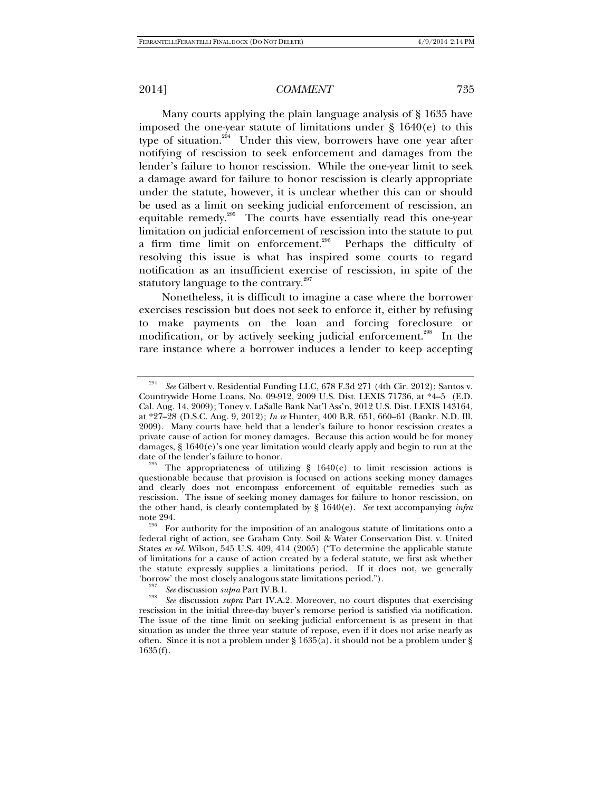Many courts applying the plain language analysis of § 1635 have imposed the one-year statute of limitations under § 1640(e) to this type of situation.<sup>294</sup> Under this view, borrowers have one year after notifying of rescission to seek enforcement and damages from the lender's failure to honor rescission. While the one-year limit to seek a damage award for failure to honor rescission is clearly appropriate under the statute, however, it is unclear whether this can or should be used as a limit on seeking judicial enforcement of rescission, an equitable remedy.<sup>295</sup> The courts have essentially read this one-year limitation on judicial enforcement of rescission into the statute to put a firm time limit on enforcement.296 Perhaps the difficulty of resolving this issue is what has inspired some courts to regard notification as an insufficient exercise of rescission, in spite of the statutory language to the contrary. $297$ 

Nonetheless, it is difficult to imagine a case where the borrower exercises rescission but does not seek to enforce it, either by refusing to make payments on the loan and forcing foreclosure or modification, or by actively seeking judicial enforcement.<sup>298</sup> In the rare instance where a borrower induces a lender to keep accepting

<sup>294</sup> *See* Gilbert v. Residential Funding LLC, 678 F.3d 271 (4th Cir. 2012); Santos v. Countrywide Home Loans, No. 09-912, 2009 U.S. Dist. LEXIS 71736, at \*4–5 (E.D. Cal. Aug. 14, 2009); Toney v. LaSalle Bank Nat'l Ass'n, 2012 U.S. Dist. LEXIS 143164, at \*27–28 (D.S.C. Aug. 9, 2012); *In re* Hunter, 400 B.R. 651, 660–61 (Bankr. N.D. Ill. 2009). Many courts have held that a lender's failure to honor rescission creates a private cause of action for money damages. Because this action would be for money damages,  $\S 1640(e)$ 's one year limitation would clearly apply and begin to run at the date of the lender's failure to honor.<br><sup>295</sup> The appropriateness of utilizing § 1640(e) to limit rescission actions is

questionable because that provision is focused on actions seeking money damages and clearly does not encompass enforcement of equitable remedies such as rescission. The issue of seeking money damages for failure to honor rescission, on the other hand, is clearly contemplated by § 1640(e). *See* text accompanying *infra*

For authority for the imposition of an analogous statute of limitations onto a federal right of action, see Graham Cnty. Soil & Water Conservation Dist. v. United States *ex rel.* Wilson, 545 U.S. 409, 414 (2005) ("To determine the applicable statute of limitations for a cause of action created by a federal statute, we first ask whether the statute expressly supplies a limitations period. If it does not, we generally 'borrow' the most closely analogous state limitations period.").<br> *297* See discussion *supra* Part IV.B.1.

 $See$  discussion *supra* Part IV.A.2. Moreover, no court disputes that exercising rescission in the initial three-day buyer's remorse period is satisfied via notification. The issue of the time limit on seeking judicial enforcement is as present in that situation as under the three year statute of repose, even if it does not arise nearly as often. Since it is not a problem under § 1635(a), it should not be a problem under § 1635(f).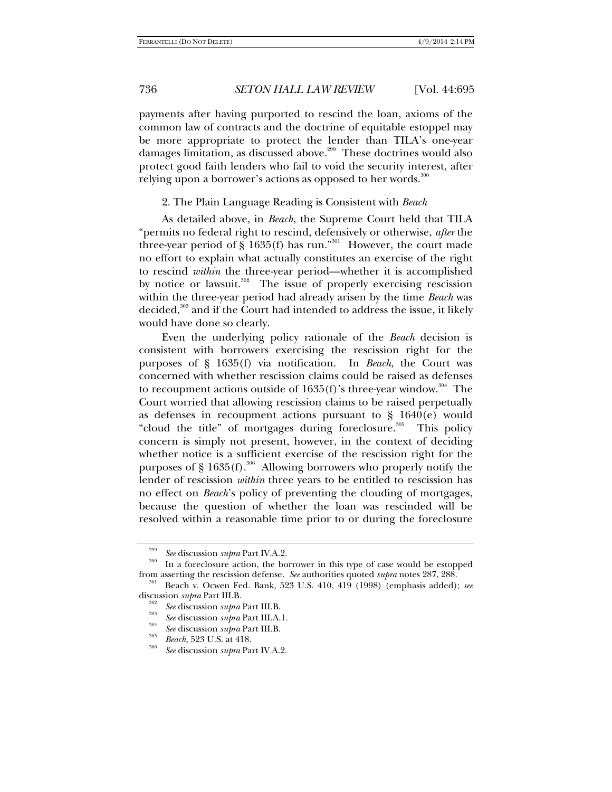payments after having purported to rescind the loan, axioms of the common law of contracts and the doctrine of equitable estoppel may be more appropriate to protect the lender than TILA's one-year damages limitation, as discussed above.<sup>299</sup> These doctrines would also protect good faith lenders who fail to void the security interest, after relying upon a borrower's actions as opposed to her words.<sup>300</sup>

2. The Plain Language Reading is Consistent with *Beach*

As detailed above, in *Beach*, the Supreme Court held that TILA "permits no federal right to rescind, defensively or otherwise, *after* the three-year period of  $\frac{8}{3}$  1635(f) has run."<sup>301</sup> However, the court made no effort to explain what actually constitutes an exercise of the right to rescind *within* the three-year period—whether it is accomplished by notice or lawsuit.<sup>302</sup> The issue of properly exercising rescission within the three-year period had already arisen by the time *Beach* was decided,<sup>303</sup> and if the Court had intended to address the issue, it likely would have done so clearly.

Even the underlying policy rationale of the *Beach* decision is consistent with borrowers exercising the rescission right for the purposes of § 1635(f) via notification. In *Beach*, the Court was concerned with whether rescission claims could be raised as defenses to recoupment actions outside of  $1635(f)$ 's three-year window.<sup>304</sup> The Court worried that allowing rescission claims to be raised perpetually as defenses in recoupment actions pursuant to  $\S$  1640(e) would "cloud the title" of mortgages during foreclosure.<sup>305</sup> This policy concern is simply not present, however, in the context of deciding whether notice is a sufficient exercise of the rescission right for the purposes of  $\S 1635(f).$ <sup>306</sup> Allowing borrowers who properly notify the lender of rescission *within* three years to be entitled to rescission has no effect on *Beach*'s policy of preventing the clouding of mortgages, because the question of whether the loan was rescinded will be resolved within a reasonable time prior to or during the foreclosure

<sup>299</sup>

<sup>&</sup>lt;sup>309</sup> *See* discussion *supra* Part IV.A.2.<br><sup>300</sup> In a foreclosure action, the borrower in this type of case would be estopped from asserting the rescission defense. *See* authorities quoted *supra* notes 287, 288. 301 Beach v. Ocwen Fed. Bank, 523 U.S. 410, 419 (1998) (emphasis added); *see*

discussion *supra* Part III.B.<br><sup>302</sup> *See* discussion *supra* Part III.A.1.<br><sup>304</sup> *See* discussion *supra* Part III.A.1.

<sup>&</sup>lt;sup>304</sup> *See* discussion *supra* Part III.B.<br><sup>305</sup> *Beach*, 523 U.S. at 418.

*See* discussion *supra* Part IV.A.2.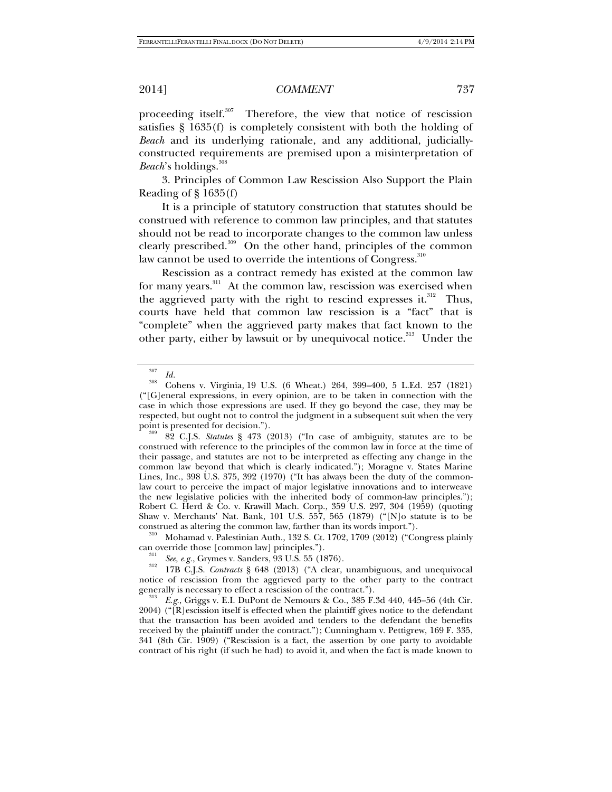proceeding itself. $307$  Therefore, the view that notice of rescission satisfies § 1635(f) is completely consistent with both the holding of *Beach* and its underlying rationale, and any additional, judiciallyconstructed requirements are premised upon a misinterpretation of *Beach*'s holdings.<sup>308</sup>

3. Principles of Common Law Rescission Also Support the Plain Reading of § 1635(f)

It is a principle of statutory construction that statutes should be construed with reference to common law principles, and that statutes should not be read to incorporate changes to the common law unless clearly prescribed.<sup>309</sup> On the other hand, principles of the common law cannot be used to override the intentions of Congress.<sup>310</sup>

Rescission as a contract remedy has existed at the common law for many years. $311$  At the common law, rescission was exercised when the aggrieved party with the right to rescind expresses it. $312$  Thus, courts have held that common law rescission is a "fact" that is "complete" when the aggrieved party makes that fact known to the other party, either by lawsuit or by unequivocal notice.<sup>313</sup> Under the

Mohamad v. Palestinian Auth., 132 S. Ct. 1702, 1709 (2012) ("Congress plainly can override those [common law] principles.").<br><sup>311</sup> *See, e.g.*, Grymes v. Sanders, 93 U.S. 55 (1876).<br><sup>312</sup> 17B C.J.S. *Contracts* § 648 (2013) ("A clear, unambiguous, and unequivocal

<sup>307</sup>

*Id.* 308 Cohens v. Virginia*,* 19 U.S. (6 Wheat.) 264, 399–400, 5 L.Ed. 257 (1821) ("[G]eneral expressions, in every opinion, are to be taken in connection with the case in which those expressions are used. If they go beyond the case, they may be respected, but ought not to control the judgment in a subsequent suit when the very point is presented for decision.").

<sup>82</sup> C.J.S. *Statutes* § 473 (2013) ("In case of ambiguity, statutes are to be construed with reference to the principles of the common law in force at the time of their passage, and statutes are not to be interpreted as effecting any change in the common law beyond that which is clearly indicated."); Moragne v. States Marine Lines, Inc., 398 U.S. 375, 392 (1970) ("It has always been the duty of the commonlaw court to perceive the impact of major legislative innovations and to interweave the new legislative policies with the inherited body of common-law principles."); Robert C. Herd & Co. v. Krawill Mach. Corp., 359 U.S. 297, 304 (1959) (quoting Shaw v. Merchants' Nat. Bank, 101 U.S. 557, 565 (1879) ("[N]o statute is to be

notice of rescission from the aggrieved party to the other party to the contract generally is necessary to effect a rescission of the contract.").<br><sup>313</sup> E.g., Griggs v. E.I. DuPont de Nemours & Co., 385 F.3d 440, 445–56 (4th Cir.

<sup>2004) (&</sup>quot;[R]escission itself is effected when the plaintiff gives notice to the defendant that the transaction has been avoided and tenders to the defendant the benefits received by the plaintiff under the contract."); Cunningham v. Pettigrew, 169 F. 335, 341 (8th Cir. 1909) ("Rescission is a fact, the assertion by one party to avoidable contract of his right (if such he had) to avoid it, and when the fact is made known to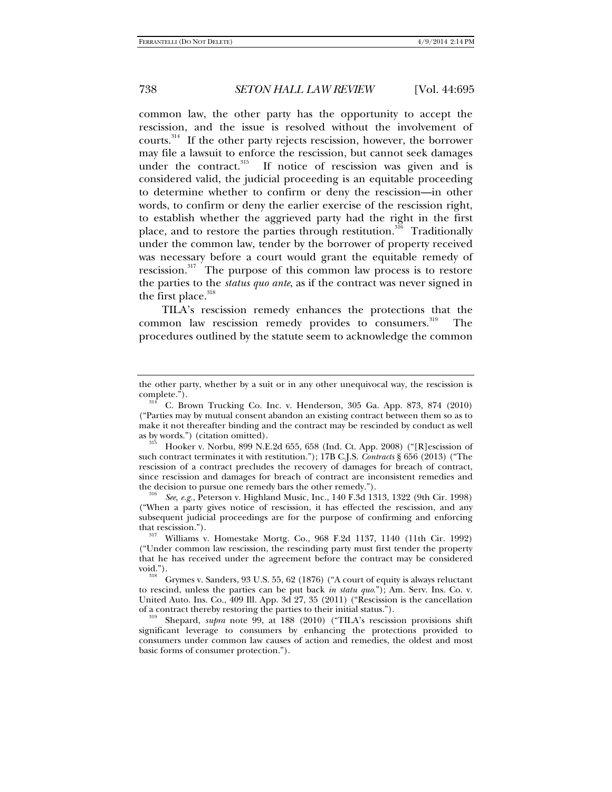common law, the other party has the opportunity to accept the rescission, and the issue is resolved without the involvement of courts.<sup>314</sup> If the other party rejects rescission, however, the borrower may file a lawsuit to enforce the rescission, but cannot seek damages under the contract. $315$  If notice of rescission was given and is considered valid, the judicial proceeding is an equitable proceeding to determine whether to confirm or deny the rescission—in other words, to confirm or deny the earlier exercise of the rescission right, to establish whether the aggrieved party had the right in the first place, and to restore the parties through restitution.<sup>316</sup> Traditionally under the common law, tender by the borrower of property received was necessary before a court would grant the equitable remedy of rescission. $\frac{317}{2}$  The purpose of this common law process is to restore the parties to the *status quo ante*, as if the contract was never signed in the first place. $318$ 

TILA's rescission remedy enhances the protections that the common law rescission remedy provides to consumers.<sup>319</sup> The procedures outlined by the statute seem to acknowledge the common

 *See, e.g.*, Peterson v. Highland Music, Inc., 140 F.3d 1313, 1322 (9th Cir. 1998) ("When a party gives notice of rescission, it has effected the rescission, and any subsequent judicial proceedings are for the purpose of confirming and enforcing that rescission.").

the other party, whether by a suit or in any other unequivocal way, the rescission is complete.").<br> $314$  C. Brown Trucking Co. Inc. v. Henderson, 305 Ga. App. 873, 874 (2010)

<sup>(&</sup>quot;Parties may by mutual consent abandon an existing contract between them so as to make it not thereafter binding and the contract may be rescinded by conduct as well as by words.") (citation omitted).<br><sup>315</sup> Hooker v. Norbu, 899 N.E.2d 655, 658 (Ind. Ct. App. 2008) ("[R]escission of

such contract terminates it with restitution."); 17B C.J.S. *Contracts* § 656 (2013) ("The rescission of a contract precludes the recovery of damages for breach of contract, since rescission and damages for breach of contract are inconsistent remedies and the decision to pursue one remedy bars the other remedy.").

 $317$  Williams v. Homestake Mortg. Co., 968 F.2d 1137, 1140 (11th Cir. 1992) ("Under common law rescission, the rescinding party must first tender the property that he has received under the agreement before the contract may be considered

Grymes v. Sanders, 93 U.S. 55, 62 (1876) ("A court of equity is always reluctant to rescind, unless the parties can be put back *in statu quo*."); Am. Serv. Ins. Co. v. United Auto. Ins. Co., 409 Ill. App. 3d 27, 35 (2011) ("Rescission is the cancellation of a contract thereby restoring the parties to their initial status.").

Shepard, *supra* note 99, at 188 (2010) ("TILA's rescission provisions shift significant leverage to consumers by enhancing the protections provided to consumers under common law causes of action and remedies, the oldest and most basic forms of consumer protection.").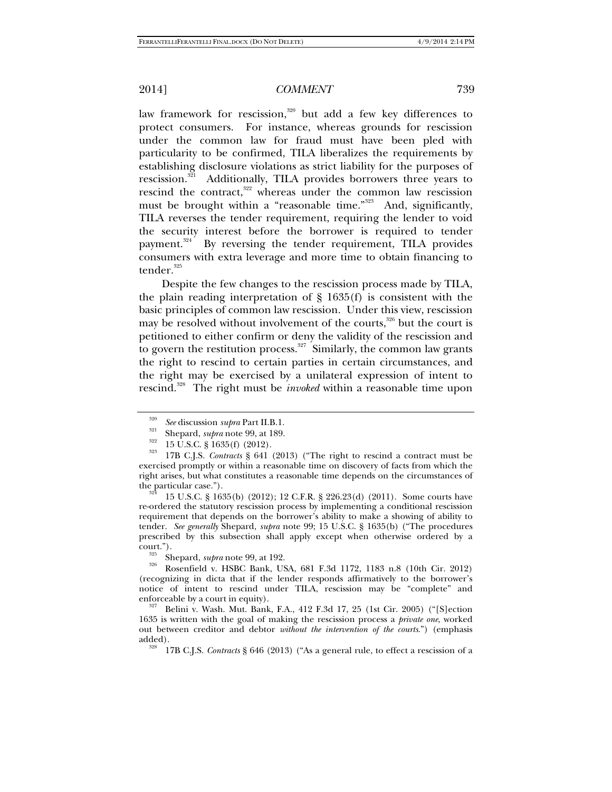law framework for rescission,<sup>320</sup> but add a few key differences to protect consumers. For instance, whereas grounds for rescission under the common law for fraud must have been pled with particularity to be confirmed, TILA liberalizes the requirements by establishing disclosure violations as strict liability for the purposes of rescission. $321$  Additionally, TILA provides borrowers three years to rescind the contract, $322$  whereas under the common law rescission must be brought within a "reasonable time."<sup>323</sup> And, significantly, TILA reverses the tender requirement, requiring the lender to void the security interest before the borrower is required to tender payment.<sup>324</sup> By reversing the tender requirement, TILA provides consumers with extra leverage and more time to obtain financing to tender.<sup>325</sup>

Despite the few changes to the rescission process made by TILA, the plain reading interpretation of  $\S$  1635(f) is consistent with the basic principles of common law rescission. Under this view, rescission may be resolved without involvement of the courts,<sup>326</sup> but the court is petitioned to either confirm or deny the validity of the rescission and to govern the restitution process.<sup>327</sup> Similarly, the common law grants the right to rescind to certain parties in certain circumstances, and the right may be exercised by a unilateral expression of intent to rescind.328 The right must be *invoked* within a reasonable time upon

re-ordered the statutory rescission process by implementing a conditional rescission requirement that depends on the borrower's ability to make a showing of ability to tender. *See generally* Shepard, *supra* note 99; 15 U.S.C. § 1635(b) ("The procedures prescribed by this subsection shall apply except when otherwise ordered by a court."). 325 Shepard, *supra* note 99, at 192. 326 Rosenfield v. HSBC Bank, USA, 681 F.3d 1172, 1183 n.8 (10th Cir. 2012)

Belini v. Wash. Mut. Bank, F.A., 412 F.3d 17, 25 (1st Cir. 2005) ("[S]ection 1635 is written with the goal of making the rescission process a *private one*, worked out between creditor and debtor *without the intervention of the courts*.") (emphasis added).<br><sup>328</sup> 17B C.J.S. *Contracts* § 646 (2013) ("As a general rule, to effect a rescission of a

<sup>320</sup>

<sup>&</sup>lt;sup>320</sup> See discussion *supra* Part II.B.1.<br><sup>321</sup> Shepard, *supra* note 99, at 189.<br><sup>323</sup> 17B C.J.S. *Contracts* § 641 (2013) ("The right to rescind a contract must be<br><sup>323</sup> 17B C.J.S. *Contracts* § 641 (2013) ("The right to exercised promptly or within a reasonable time on discovery of facts from which the right arises, but what constitutes a reasonable time depends on the circumstances of the particular case.").  $324 \quad 15 \text{ U.S.C.}$  § 1635(b) (2012); 12 C.F.R. § 226.23(d) (2011). Some courts have

<sup>(</sup>recognizing in dicta that if the lender responds affirmatively to the borrower's notice of intent to rescind under TILA, rescission may be "complete" and enforceable by a court in equity).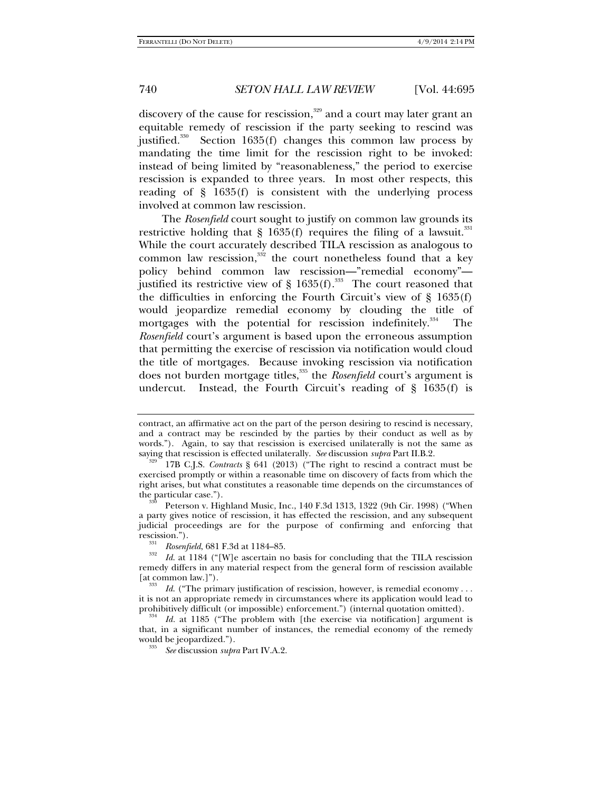discovery of the cause for rescission,<sup>329</sup> and a court may later grant an equitable remedy of rescission if the party seeking to rescind was justified. $330$  Section 1635(f) changes this common law process by mandating the time limit for the rescission right to be invoked: instead of being limited by "reasonableness," the period to exercise rescission is expanded to three years. In most other respects, this reading of § 1635(f) is consistent with the underlying process involved at common law rescission.

The *Rosenfield* court sought to justify on common law grounds its restrictive holding that § 1635(f) requires the filing of a lawsuit.<sup>331</sup> While the court accurately described TILA rescission as analogous to common law rescission,<sup>332</sup> the court nonetheless found that a key policy behind common law rescission—"remedial economy" justified its restrictive view of  $\S$  1635(f).<sup>333</sup> The court reasoned that the difficulties in enforcing the Fourth Circuit's view of § 1635(f) would jeopardize remedial economy by clouding the title of mortgages with the potential for rescission indefinitely.<sup>334</sup> The *Rosenfield* court's argument is based upon the erroneous assumption that permitting the exercise of rescission via notification would cloud the title of mortgages. Because invoking rescission via notification does not burden mortgage titles,335 the *Rosenfield* court's argument is undercut. Instead, the Fourth Circuit's reading of § 1635(f) is

contract, an affirmative act on the part of the person desiring to rescind is necessary, and a contract may be rescinded by the parties by their conduct as well as by words."). Again, to say that rescission is exercised unilaterally is not the same as saying that rescission is effected unilaterally. *See* discussion *supra* Part II.B.2.<br><sup>329</sup> 17B C.J.S. *Contracts* § 641 (2013) ("The right to rescind a contract must be

exercised promptly or within a reasonable time on discovery of facts from which the right arises, but what constitutes a reasonable time depends on the circumstances of the particular case.").<br><sup>330</sup> Peterson v. Highland Music, Inc., 140 F.3d 1313, 1322 (9th Cir. 1998) ("When

a party gives notice of rescission, it has effected the rescission, and any subsequent judicial proceedings are for the purpose of confirming and enforcing that rescission.").<br><sup>331</sup> *Rosenfield*, 681 F.3d at 1184–85.<br>*332 L*<sub>1</sub> (1184 (<sup>4</sup><sup>5</sup>LLL</sup>)

*Id.* at 1184 ("[W]e ascertain no basis for concluding that the TILA rescission remedy differs in any material respect from the general form of rescission available [at common law.]").

*Id.* ("The primary justification of rescission, however, is remedial economy . . . it is not an appropriate remedy in circumstances where its application would lead to prohibitively difficult (or impossible) enforcement.") (internal quotation omitted).

*Id.* at 1185 ("The problem with [the exercise via notification] argument is that, in a significant number of instances, the remedial economy of the remedy would be jeopardized.").

*See* discussion *supra* Part IV.A.2.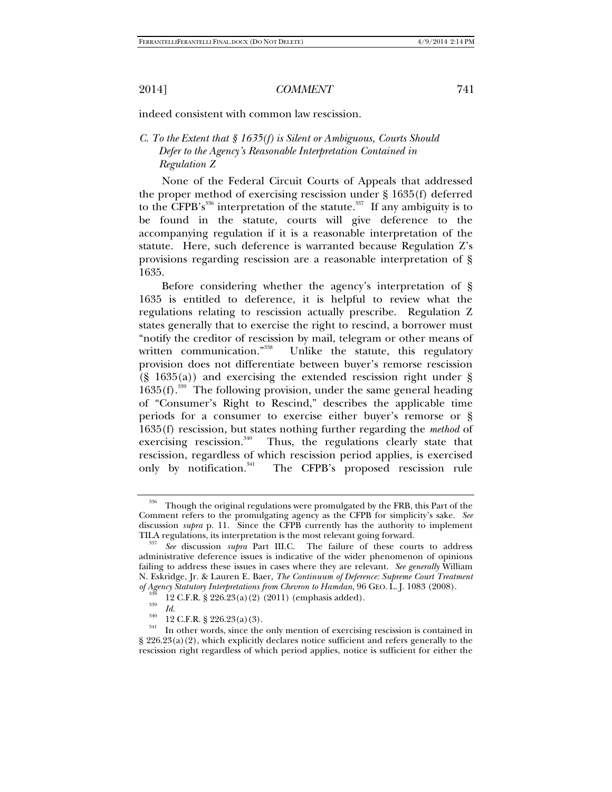indeed consistent with common law rescission.

## *C. To the Extent that § 1635(f) is Silent or Ambiguous, Courts Should Defer to the Agency's Reasonable Interpretation Contained in Regulation Z*

None of the Federal Circuit Courts of Appeals that addressed the proper method of exercising rescission under § 1635(f) deferred to the CFPB's<sup>336</sup> interpretation of the statute.<sup>337</sup> If any ambiguity is to be found in the statute, courts will give deference to the accompanying regulation if it is a reasonable interpretation of the statute. Here, such deference is warranted because Regulation Z's provisions regarding rescission are a reasonable interpretation of § 1635.

Before considering whether the agency's interpretation of § 1635 is entitled to deference, it is helpful to review what the regulations relating to rescission actually prescribe. Regulation Z states generally that to exercise the right to rescind, a borrower must "notify the creditor of rescission by mail, telegram or other means of written communication."<sup>338</sup> Unlike the statute, this regulatory provision does not differentiate between buyer's remorse rescission  $(\S$  1635(a)) and exercising the extended rescission right under  $\S$  $1635(f).$ <sup>339</sup> The following provision, under the same general heading of "Consumer's Right to Rescind," describes the applicable time periods for a consumer to exercise either buyer's remorse or § 1635(f) rescission, but states nothing further regarding the *method* of exercising rescission.<sup>340</sup> Thus, the regulations clearly state that Thus, the regulations clearly state that rescission, regardless of which rescission period applies, is exercised only by notification.<sup>341</sup> The CFPB's proposed rescission rule

Though the original regulations were promulgated by the FRB, this Part of the Comment refers to the promulgating agency as the CFPB for simplicity's sake. *See*  discussion *supra* p. 11. Since the CFPB currently has the authority to implement TILA regulations, its interpretation is the most relevant going forward.

See discussion *supra* Part III.C. The failure of these courts to address administrative deference issues is indicative of the wider phenomenon of opinions failing to address these issues in cases where they are relevant. *See generally* William N. Eskridge, Jr. & Lauren E. Baer, *The Continuum of Deference: Supreme Court Treatment of Agency Statutory Interpretations from Chevron to Hamdan*, 96 GEO. L. J. 1083 (2008).<br><sup>338</sup> 12 C.F.R. § 226.23(a)(2) (2011) (emphasis added).<br>*339 Id.* 

<sup>&</sup>lt;sup>340</sup> 12 C.F.R. § 226.23(a)(3).<br><sup>341</sup> In other words, since the only mention of exercising rescission is contained in § 226.23(a)(2), which explicitly declares notice sufficient and refers generally to the rescission right regardless of which period applies, notice is sufficient for either the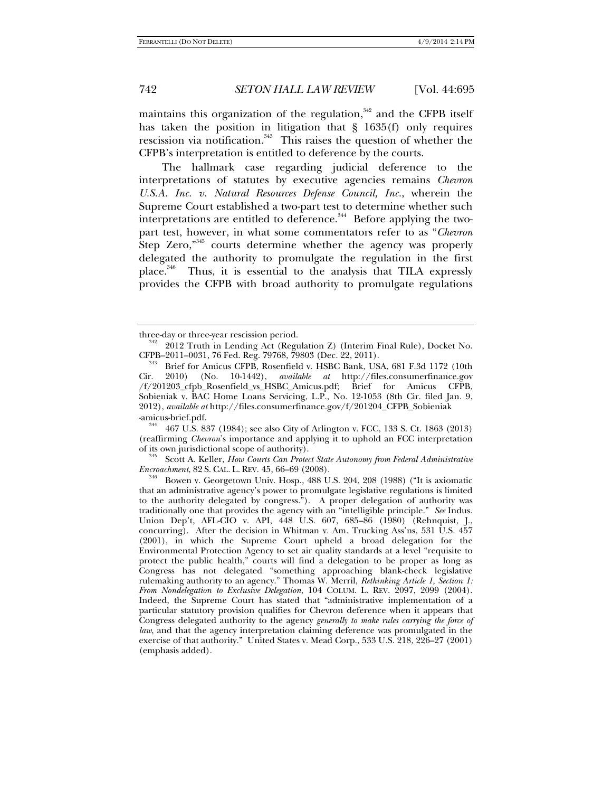maintains this organization of the regulation, $342$  and the CFPB itself has taken the position in litigation that § 1635(f) only requires rescission via notification.<sup>343</sup> This raises the question of whether the CFPB's interpretation is entitled to deference by the courts.

The hallmark case regarding judicial deference to the interpretations of statutes by executive agencies remains *Chevron U.S.A. Inc. v. Natural Resources Defense Council, Inc.*, wherein the Supreme Court established a two-part test to determine whether such interpretations are entitled to deference.<sup>344</sup> Before applying the twopart test, however, in what some commentators refer to as "*Chevron* Step Zero, $n_{345}$  courts determine whether the agency was properly delegated the authority to promulgate the regulation in the first place.346 Thus, it is essential to the analysis that TILA expressly provides the CFPB with broad authority to promulgate regulations

(reaffirming *Chevron*'s importance and applying it to uphold an FCC interpretation

<sup>345</sup> Scott A. Keller, *How Courts Can Protect State Autonomy from Federal Administrative Encroachment*, 82 S. CAL. L. REV. 45, 66–69 (2008).

three-day or three-year rescission period.<br><sup>342</sup> 2012 Truth in Lending Act (Regulation Z) (Interim Final Rule), Docket No.<br>CFPB–2011–0031, 76 Fed. Reg. 79768, 79803 (Dec. 22, 2011).

Brief for Amicus CFPB, Rosenfield v. HSBC Bank, USA, 681 F.3d 1172 (10th Cir. 2010) (No. 10-1442), *available at* http://files.consumerfinance.gov /f/201203\_cfpb\_Rosenfield\_vs\_HSBC\_Amicus.pdf; Brief for Amicus CFPB, Sobieniak v. BAC Home Loans Servicing, L.P., No. 12-1053 (8th Cir. filed Jan. 9, 2012), *available at* http://files.consumerfinance.gov/f/201204\_CFPB\_Sobieniak -amicus-brief.pdf. 344 467 U.S. 837 (1984); see also City of Arlington v. FCC, 133 S. Ct. 1863 (2013)

Bowen v. Georgetown Univ. Hosp., 488 U.S. 204, 208 (1988) ("It is axiomatic that an administrative agency's power to promulgate legislative regulations is limited to the authority delegated by congress."). A proper delegation of authority was traditionally one that provides the agency with an "intelligible principle." *See* Indus. Union Dep't, AFL-CIO v. API, 448 U.S. 607, 685-86 (1980) (Rehnquist, J., concurring). After the decision in Whitman v. Am. Trucking Ass'ns, 531 U.S. 457 (2001), in which the Supreme Court upheld a broad delegation for the Environmental Protection Agency to set air quality standards at a level "requisite to protect the public health," courts will find a delegation to be proper as long as Congress has not delegated "something approaching blank-check legislative rulemaking authority to an agency." Thomas W. Merril, *Rethinking Article 1, Section 1: From Nondelegation to Exclusive Delegation*, 104 COLUM. L. REV. 2097, 2099 (2004). Indeed, the Supreme Court has stated that "administrative implementation of a particular statutory provision qualifies for Chevron deference when it appears that Congress delegated authority to the agency *generally to make rules carrying the force of law*, and that the agency interpretation claiming deference was promulgated in the exercise of that authority." United States v. Mead Corp., 533 U.S. 218, 226–27 (2001) (emphasis added).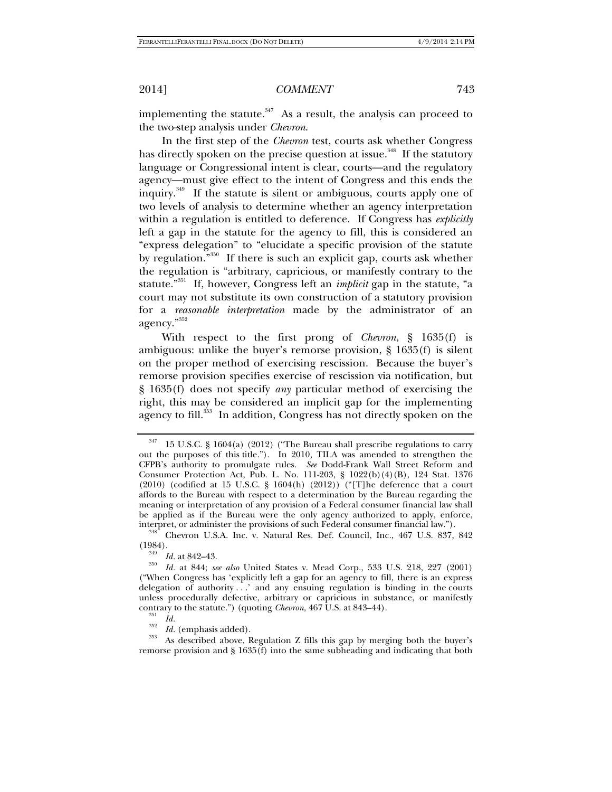implementing the statute.<sup>347</sup> As a result, the analysis can proceed to the two-step analysis under *Chevron*.

In the first step of the *Chevron* test, courts ask whether Congress has directly spoken on the precise question at issue.<sup>348</sup> If the statutory language or Congressional intent is clear, courts—and the regulatory agency—must give effect to the intent of Congress and this ends the inquiry.349 If the statute is silent or ambiguous, courts apply one of two levels of analysis to determine whether an agency interpretation within a regulation is entitled to deference. If Congress has *explicitly* left a gap in the statute for the agency to fill, this is considered an "express delegation" to "elucidate a specific provision of the statute by regulation."<sup>350</sup> If there is such an explicit gap, courts ask whether the regulation is "arbitrary, capricious, or manifestly contrary to the statute."351 If, however, Congress left an *implicit* gap in the statute, "a court may not substitute its own construction of a statutory provision for a *reasonable interpretation* made by the administrator of an agency."352

With respect to the first prong of *Chevron*, § 1635(f) is ambiguous: unlike the buyer's remorse provision, § 1635(f) is silent on the proper method of exercising rescission. Because the buyer's remorse provision specifies exercise of rescission via notification, but § 1635(f) does not specify *any* particular method of exercising the right, this may be considered an implicit gap for the implementing agency to fill.<sup>353</sup> In addition, Congress has not directly spoken on the

 $(1984)$ .<br><sup>349</sup> *Id.* at 842–43.

<sup>350</sup> *Id.* at 844; *see also* United States v. Mead Corp., 533 U.S. 218, 227 (2001) ("When Congress has 'explicitly left a gap for an agency to fill, there is an express delegation of authority . . .' and any ensuing regulation is binding in the courts unless procedurally defective, arbitrary or capricious in substance, or manifestly contrary to the statute.") (quoting *Chevron*, 467 U.S. at 843–44).<br><sup>351</sup> *Id.* (emphasis added).

<sup>353</sup> As described above, Regulation Z fills this gap by merging both the buyer's remorse provision and  $\S$  1635(f) into the same subheading and indicating that both

 $347$  15 U.S.C. § 1604(a) (2012) ("The Bureau shall prescribe regulations to carry out the purposes of this title."). In 2010, TILA was amended to strengthen the CFPB's authority to promulgate rules. *See* Dodd-Frank Wall Street Reform and Consumer Protection Act, Pub. L. No. 111-203, § 1022(b)(4)(B), 124 Stat. 1376 (2010) (codified at 15 U.S.C. § 1604(h) (2012)) ("[T]he deference that a court affords to the Bureau with respect to a determination by the Bureau regarding the meaning or interpretation of any provision of a Federal consumer financial law shall be applied as if the Bureau were the only agency authorized to apply, enforce, interpret, or administer the provisions of such Federal consumer financial law."). 348 Chevron U.S.A. Inc. v. Natural Res. Def. Council, Inc., 467 U.S. 837, 842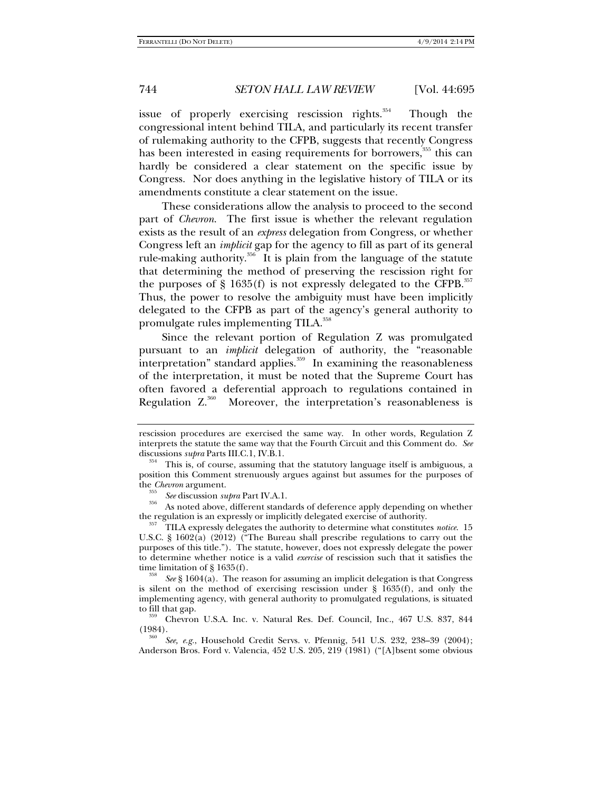issue of properly exercising rescission rights.<sup>354</sup> Though the congressional intent behind TILA, and particularly its recent transfer of rulemaking authority to the CFPB, suggests that recently Congress has been interested in easing requirements for borrowers,<sup>355</sup> this can hardly be considered a clear statement on the specific issue by Congress. Nor does anything in the legislative history of TILA or its amendments constitute a clear statement on the issue.

These considerations allow the analysis to proceed to the second part of *Chevron*. The first issue is whether the relevant regulation exists as the result of an *express* delegation from Congress, or whether Congress left an *implicit* gap for the agency to fill as part of its general rule-making authority.<sup>356</sup> It is plain from the language of the statute that determining the method of preserving the rescission right for the purposes of § 1635(f) is not expressly delegated to the CFPB. $^{357}$ Thus, the power to resolve the ambiguity must have been implicitly delegated to the CFPB as part of the agency's general authority to promulgate rules implementing TILA.<sup>358</sup>

Since the relevant portion of Regulation Z was promulgated pursuant to an *implicit* delegation of authority, the "reasonable interpretation" standard applies.<sup>359</sup> In examining the reasonableness of the interpretation, it must be noted that the Supreme Court has often favored a deferential approach to regulations contained in Regulation  $Z^{360}$  Moreover, the interpretation's reasonableness is

 $^{356}$  As noted above, different standards of deference apply depending on whether the regulation is an expressly or implicitly delegated exercise of authority. 357 TILA expressly delegates the authority to determine what constitutes *notice*. 15

U.S.C. § 1602(a) (2012) ("The Bureau shall prescribe regulations to carry out the purposes of this title."). The statute, however, does not expressly delegate the power to determine whether notice is a valid *exercise* of rescission such that it satisfies the time limitation of  $\S$  1635(f).

 *See* § 1604(a). The reason for assuming an implicit delegation is that Congress is silent on the method of exercising rescission under  $\S$  1635 $(f)$ , and only the implementing agency, with general authority to promulgated regulations, is situated

to fill that gap.<br><sup>359</sup> Chevron U.S.A. Inc. v. Natural Res. Def. Council, Inc., 467 U.S. 837, 844<br>(1984).

See, e.g., Household Credit Servs. v. Pfennig, 541 U.S. 232, 238-39 (2004); Anderson Bros. Ford v. Valencia, 452 U.S. 205, 219 (1981) ("[A]bsent some obvious

rescission procedures are exercised the same way. In other words, Regulation Z interprets the statute the same way that the Fourth Circuit and this Comment do. *See*

discussions *supra* Parts III.C.1, IV.B.1.<br><sup>354</sup> This is, of course, assuming that the statutory language itself is ambiguous, a position this Comment strenuously argues against but assumes for the purposes of the *Chevron* argument.<br><sup>355</sup> See discussion *supra* Part IV.A.1.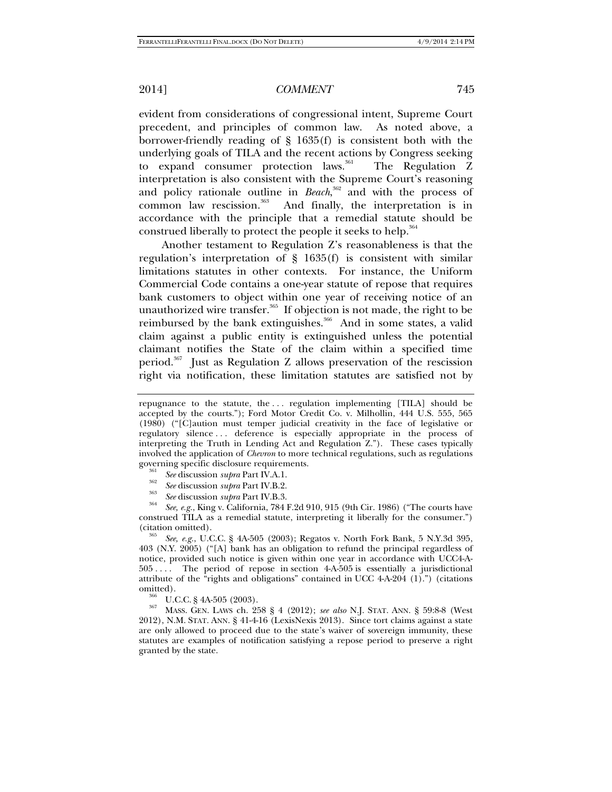evident from considerations of congressional intent, Supreme Court precedent, and principles of common law. As noted above, a borrower-friendly reading of § 1635(f) is consistent both with the underlying goals of TILA and the recent actions by Congress seeking to expand consumer protection laws.<sup>361</sup> The Regulation Z interpretation is also consistent with the Supreme Court's reasoning and policy rationale outline in *Beach*, 362 and with the process of common law rescission.<sup>363</sup> And finally, the interpretation is in accordance with the principle that a remedial statute should be construed liberally to protect the people it seeks to help.<sup>36</sup>

Another testament to Regulation Z's reasonableness is that the regulation's interpretation of § 1635(f) is consistent with similar limitations statutes in other contexts. For instance, the Uniform Commercial Code contains a one-year statute of repose that requires bank customers to object within one year of receiving notice of an unauthorized wire transfer. $365$  If objection is not made, the right to be reimbursed by the bank extinguishes.<sup>366</sup> And in some states, a valid claim against a public entity is extinguished unless the potential claimant notifies the State of the claim within a specified time period. $367$  Just as Regulation Z allows preservation of the rescission right via notification, these limitation statutes are satisfied not by

- 
- 
- *See* discussion *supra* Part IV.B.2. 363 *See* discussion *supra* Part IV.B.3. 364

 *See, e.g.*, King v. California, 784 F.2d 910, 915 (9th Cir. 1986) ("The courts have construed TILA as a remedial statute, interpreting it liberally for the consumer.") (citation omitted).

 *See, e.g.*, U.C.C. § 4A-505 (2003); Regatos v. North Fork Bank, 5 N.Y.3d 395, 403 (N.Y. 2005) ("[A] bank has an obligation to refund the principal regardless of notice, provided such notice is given within one year in accordance with UCC4-A-505 . . . . The period of repose in section 4-A-505 is essentially a jurisdictional attribute of the "rights and obligations" contained in UCC 4-A-204 (1).") (citations

omitted).<br><sup>366</sup> U.C.C. § 4A-505 (2003).<br><sup>367</sup> MASS. GEN. LAWS ch. 258 § 4 (2012); *see also* N.J. STAT. ANN. § 59:8-8 (West 2012), N.M. STAT. ANN. § 41-4-16 (LexisNexis 2013). Since tort claims against a state are only allowed to proceed due to the state's waiver of sovereign immunity, these statutes are examples of notification satisfying a repose period to preserve a right granted by the state.

repugnance to the statute, the . . . regulation implementing [TILA] should be accepted by the courts."); Ford Motor Credit Co. v. Milhollin, 444 U.S. 555, 565 (1980) ("[C]aution must temper judicial creativity in the face of legislative or regulatory silence . . . deference is especially appropriate in the process of interpreting the Truth in Lending Act and Regulation Z."). These cases typically involved the application of *Chevron* to more technical regulations, such as regulations governing specific disclosure requirements.<br><sup>361</sup> *See* discussion *supra* Part IV.A.1.<br>*See* discussion *subra* Part IV.B.2.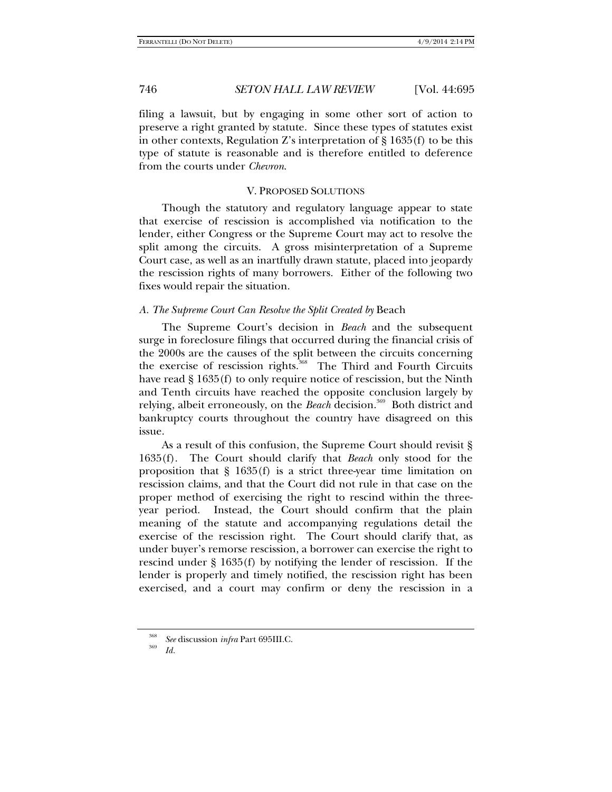filing a lawsuit, but by engaging in some other sort of action to preserve a right granted by statute. Since these types of statutes exist in other contexts, Regulation Z's interpretation of § 1635(f) to be this type of statute is reasonable and is therefore entitled to deference from the courts under *Chevron*.

#### V. PROPOSED SOLUTIONS

Though the statutory and regulatory language appear to state that exercise of rescission is accomplished via notification to the lender, either Congress or the Supreme Court may act to resolve the split among the circuits. A gross misinterpretation of a Supreme Court case, as well as an inartfully drawn statute, placed into jeopardy the rescission rights of many borrowers. Either of the following two fixes would repair the situation.

#### *A. The Supreme Court Can Resolve the Split Created by* Beach

The Supreme Court's decision in *Beach* and the subsequent surge in foreclosure filings that occurred during the financial crisis of the 2000s are the causes of the split between the circuits concerning the exercise of rescission rights.<sup>368</sup> The Third and Fourth Circuits have read § 1635(f) to only require notice of rescission, but the Ninth and Tenth circuits have reached the opposite conclusion largely by relying, albeit erroneously, on the *Beach* decision.<sup>369</sup> Both district and bankruptcy courts throughout the country have disagreed on this issue.

As a result of this confusion, the Supreme Court should revisit § 1635(f). The Court should clarify that *Beach* only stood for the proposition that § 1635(f) is a strict three-year time limitation on rescission claims, and that the Court did not rule in that case on the proper method of exercising the right to rescind within the threeyear period. Instead, the Court should confirm that the plain meaning of the statute and accompanying regulations detail the exercise of the rescission right. The Court should clarify that, as under buyer's remorse rescission, a borrower can exercise the right to rescind under § 1635(f) by notifying the lender of rescission. If the lender is properly and timely notified, the rescission right has been exercised, and a court may confirm or deny the rescission in a

<sup>&</sup>lt;sup>368</sup> See discussion *infra* Part 695III.C.

*Id.*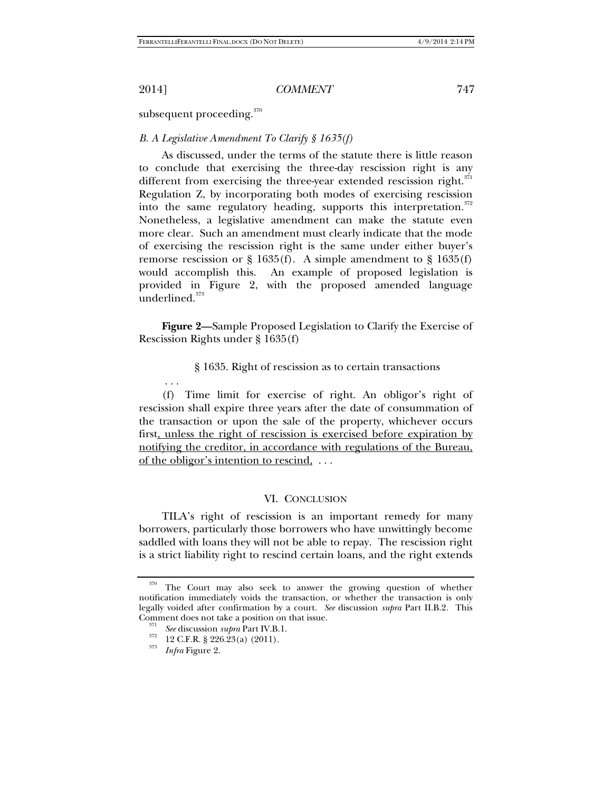subsequent proceeding. $370$ 

## *B. A Legislative Amendment To Clarify § 1635(f)*

As discussed, under the terms of the statute there is little reason to conclude that exercising the three-day rescission right is any different from exercising the three-year extended rescission right.<sup>371</sup> Regulation Z, by incorporating both modes of exercising rescission into the same regulatory heading, supports this interpretation.<sup>372</sup> Nonetheless, a legislative amendment can make the statute even more clear. Such an amendment must clearly indicate that the mode of exercising the rescission right is the same under either buyer's remorse rescission or  $\S$  1635(f). A simple amendment to  $\S$  1635(f) would accomplish this. An example of proposed legislation is provided in Figure 2, with the proposed amended language underlined.<sup>373</sup>

**Figure 2—**Sample Proposed Legislation to Clarify the Exercise of Rescission Rights under § 1635(f)

#### § 1635. Right of rescission as to certain transactions

(f) Time limit for exercise of right. An obligor's right of rescission shall expire three years after the date of consummation of the transaction or upon the sale of the property, whichever occurs first, unless the right of rescission is exercised before expiration by notifying the creditor, in accordance with regulations of the Bureau, of the obligor's intention to rescind, . . .

#### VI. CONCLUSION

TILA's right of rescission is an important remedy for many borrowers, particularly those borrowers who have unwittingly become saddled with loans they will not be able to repay. The rescission right is a strict liability right to rescind certain loans, and the right extends

. . .

<sup>&</sup>lt;sup>370</sup> The Court may also seek to answer the growing question of whether notification immediately voids the transaction, or whether the transaction is only legally voided after confirmation by a court. *See* discussion *supra* Part II.B.2. This Comment does not take a position on that issue.<br> $371$  See discussion supra Part IV.B.1.

<sup>&</sup>lt;sup>372</sup> 12 C.F.R. § 226.23(a) (2011).

*Infra* Figure 2.